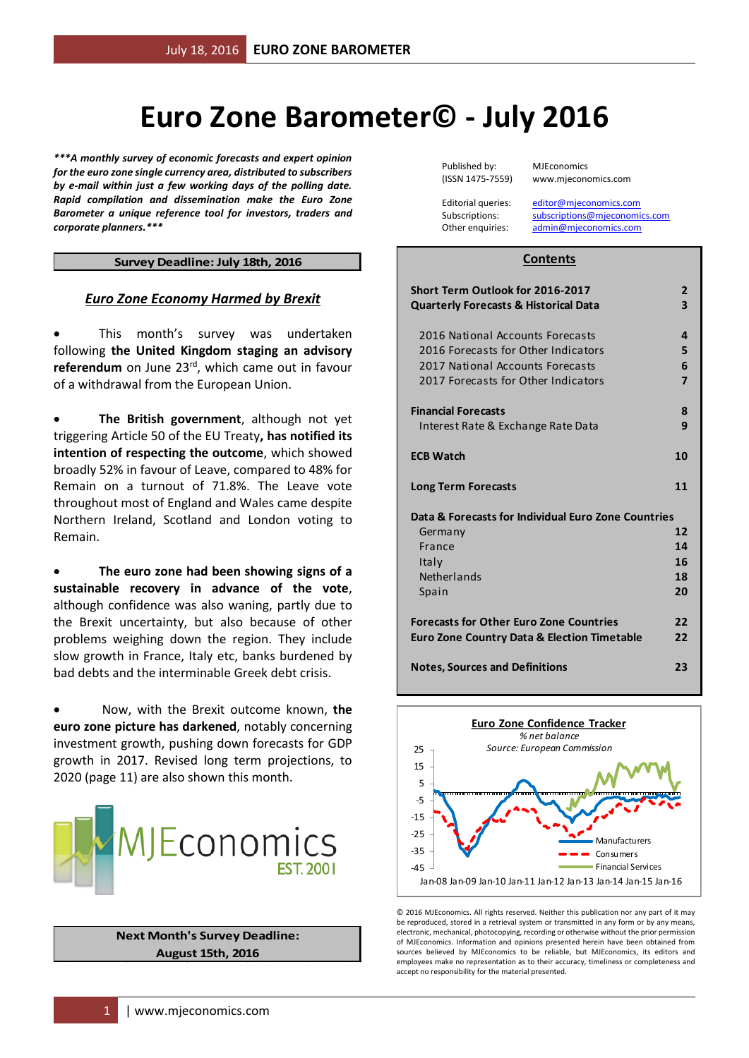# **Euro Zone Barometer© - July 2016**

*\*\*\*A monthly survey of economic forecasts and expert opinion for the euro zone single currency area, distributed to subscribers by e-mail within just a few working days of the polling date. Rapid compilation and dissemination make the Euro Zone Barometer a unique reference tool for investors, traders and corporate planners.\*\*\**

#### **Survey Deadline: July 18th, 2016**

#### *Euro Zone Economy Harmed by Brexit*

 This month's survey was undertaken following **the United Kingdom staging an advisory** referendum on June 23<sup>rd</sup>, which came out in favour of a withdrawal from the European Union.

 **The British government**, although not yet triggering Article 50 of the EU Treaty**, has notified its intention of respecting the outcome**, which showed broadly 52% in favour of Leave, compared to 48% for Remain on a turnout of 71.8%. The Leave vote throughout most of England and Wales came despite Northern Ireland, Scotland and London voting to Remain.

 **The euro zone had been showing signs of a sustainable recovery in advance of the vote**, although confidence was also waning, partly due to the Brexit uncertainty, but also because of other problems weighing down the region. They include slow growth in France, Italy etc, banks burdened by bad debts and the interminable Greek debt crisis.

 Now, with the Brexit outcome known, **the euro zone picture has darkened**, notably concerning investment growth, pushing down forecasts for GDP growth in 2017. Revised long term projections, to 2020 (page 11) are also shown this month.



**Next Month's Survey Deadline: August 15th, 2016**

Published by: MJEconomics

(ISSN 1475-7559) www.mjeconomics.com

Editorial queries: [editor@mjeconomics.com](mailto:editor@mjeconomics.com)<br>Subscriptions: subscriptions@mieconomi subscriptions@mieconomics.com Other enquiries: [admin@mjeconomics.com](mailto:admin@mjeconomics.com)

#### **Contents**

| Short Term Outlook for 2016-2017<br><b>Quarterly Forecasts &amp; Historical Data</b> | $\overline{2}$<br>$\overline{\mathbf{3}}$ |
|--------------------------------------------------------------------------------------|-------------------------------------------|
| 2016 National Accounts Forecasts<br>2016 Forecasts for Other Indicators              | 4<br>5                                    |
| 2017 National Accounts Forecasts<br>2017 Forecasts for Other Indicators              | 6<br>$\overline{7}$                       |
| <b>Financial Forecasts</b><br>Interest Rate & Exchange Rate Data                     | 8<br>9                                    |
| <b>ECB Watch</b>                                                                     | 10                                        |
| <b>Long Term Forecasts</b>                                                           | 11                                        |
| Data & Forecasts for Individual Euro Zone Countries                                  |                                           |
| Germany                                                                              | 12                                        |
| France                                                                               | 14                                        |
| Italy                                                                                | 16                                        |
| Netherlands                                                                          | 18                                        |
| Spain                                                                                | 20                                        |
| <b>Forecasts for Other Euro Zone Countries</b>                                       | 22                                        |
| <b>Euro Zone Country Data &amp; Election Timetable</b>                               | 22                                        |
| <b>Notes, Sources and Definitions</b>                                                | 23                                        |



© 2016 MJEconomics. All rights reserved. Neither this publication nor any part of it may be reproduced, stored in a retrieval system or transmitted in any form or by any means electronic, mechanical, photocopying, recording or otherwise without the prior permission of MJEconomics. Information and opinions presented herein have been obtained from sources believed by MJEconomics to be reliable, but MJEconomics, its editors and employees make no representation as to their accuracy, timeliness or completeness and accept no responsibility for the material presented.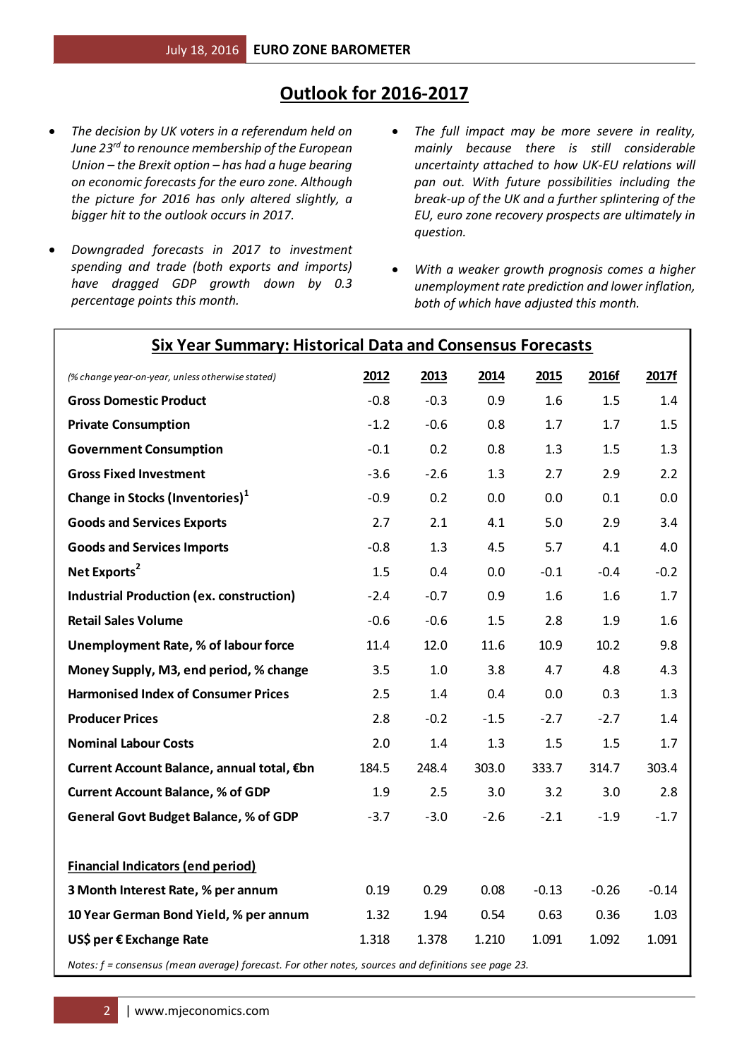# **Outlook for 2016-2017**

- *The decision by UK voters in a referendum held on June 23rd to renounce membership of the European Union – the Brexit option – has had a huge bearing on economic forecasts for the euro zone. Although the picture for 2016 has only altered slightly, a bigger hit to the outlook occurs in 2017.*
- *Downgraded forecasts in 2017 to investment spending and trade (both exports and imports) have dragged GDP growth down by 0.3 percentage points this month.*
- *The full impact may be more severe in reality, mainly because there is still considerable uncertainty attached to how UK-EU relations will pan out. With future possibilities including the break-up of the UK and a further splintering of the EU, euro zone recovery prospects are ultimately in question.*
- *With a weaker growth prognosis comes a higher unemployment rate prediction and lower inflation, both of which have adjusted this month.*

| (% change year-on-year, unless otherwise stated)                                                      | 2012   | 2013   | 2014   | 2015    | 2016f   | 2017f   |
|-------------------------------------------------------------------------------------------------------|--------|--------|--------|---------|---------|---------|
| <b>Gross Domestic Product</b>                                                                         | $-0.8$ | $-0.3$ | 0.9    | 1.6     | 1.5     | 1.4     |
| <b>Private Consumption</b>                                                                            | $-1.2$ | $-0.6$ | 0.8    | 1.7     | 1.7     | 1.5     |
| <b>Government Consumption</b>                                                                         | $-0.1$ | 0.2    | 0.8    | 1.3     | 1.5     | 1.3     |
| <b>Gross Fixed Investment</b>                                                                         | $-3.6$ | $-2.6$ | 1.3    | 2.7     | 2.9     | 2.2     |
| Change in Stocks (Inventories) <sup>1</sup>                                                           | $-0.9$ | 0.2    | 0.0    | 0.0     | 0.1     | 0.0     |
| <b>Goods and Services Exports</b>                                                                     | 2.7    | 2.1    | 4.1    | 5.0     | 2.9     | 3.4     |
| <b>Goods and Services Imports</b>                                                                     | $-0.8$ | 1.3    | 4.5    | 5.7     | 4.1     | 4.0     |
| Net Exports <sup>2</sup>                                                                              | 1.5    | 0.4    | 0.0    | $-0.1$  | $-0.4$  | $-0.2$  |
| <b>Industrial Production (ex. construction)</b>                                                       | $-2.4$ | $-0.7$ | 0.9    | 1.6     | 1.6     | 1.7     |
| <b>Retail Sales Volume</b>                                                                            | $-0.6$ | $-0.6$ | 1.5    | 2.8     | 1.9     | 1.6     |
| <b>Unemployment Rate, % of labour force</b>                                                           | 11.4   | 12.0   | 11.6   | 10.9    | 10.2    | 9.8     |
| Money Supply, M3, end period, % change                                                                | 3.5    | 1.0    | 3.8    | 4.7     | 4.8     | 4.3     |
| <b>Harmonised Index of Consumer Prices</b>                                                            | 2.5    | 1.4    | 0.4    | 0.0     | 0.3     | 1.3     |
| <b>Producer Prices</b>                                                                                | 2.8    | $-0.2$ | $-1.5$ | $-2.7$  | $-2.7$  | 1.4     |
| <b>Nominal Labour Costs</b>                                                                           | 2.0    | 1.4    | 1.3    | 1.5     | 1.5     | 1.7     |
| Current Account Balance, annual total, €bn                                                            | 184.5  | 248.4  | 303.0  | 333.7   | 314.7   | 303.4   |
| <b>Current Account Balance, % of GDP</b>                                                              | 1.9    | 2.5    | 3.0    | 3.2     | 3.0     | 2.8     |
| <b>General Govt Budget Balance, % of GDP</b>                                                          | $-3.7$ | $-3.0$ | $-2.6$ | $-2.1$  | $-1.9$  | $-1.7$  |
|                                                                                                       |        |        |        |         |         |         |
| <b>Financial Indicators (end period)</b>                                                              |        |        |        |         |         |         |
| 3 Month Interest Rate, % per annum                                                                    | 0.19   | 0.29   | 0.08   | $-0.13$ | $-0.26$ | $-0.14$ |
| 10 Year German Bond Yield, % per annum                                                                | 1.32   | 1.94   | 0.54   | 0.63    | 0.36    | 1.03    |
| US\$ per € Exchange Rate                                                                              | 1.318  | 1.378  | 1.210  | 1.091   | 1.092   | 1.091   |
| Notes $f =$ consequently and success for each $f$ or other notes, secures and definitions see none 22 |        |        |        |         |         |         |

### **Six Year Summary: Historical Data and Consensus Forecasts**

*Notes: f = consensus (mean average) forecast. For other notes, sources and definitions see page 23.*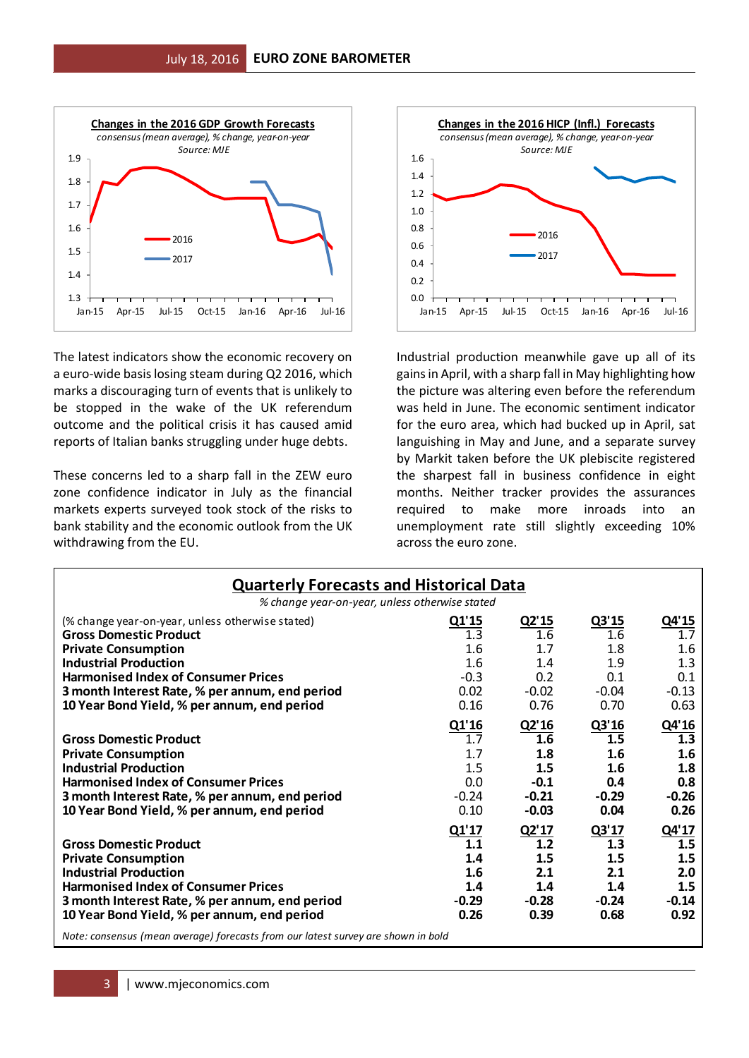

The latest indicators show the economic recovery on a euro-wide basis losing steam during Q2 2016, which marks a discouraging turn of events that is unlikely to be stopped in the wake of the UK referendum outcome and the political crisis it has caused amid reports of Italian banks struggling under huge debts.

These concerns led to a sharp fall in the ZEW euro zone confidence indicator in July as the financial markets experts surveyed took stock of the risks to bank stability and the economic outlook from the UK withdrawing from the EU.



Industrial production meanwhile gave up all of its gains in April, with a sharp fall in May highlighting how the picture was altering even before the referendum was held in June. The economic sentiment indicator for the euro area, which had bucked up in April, sat languishing in May and June, and a separate survey by Markit taken before the UK plebiscite registered the sharpest fall in business confidence in eight months. Neither tracker provides the assurances required to make more inroads into an unemployment rate still slightly exceeding 10% across the euro zone.

|                                                                                                                                                                                                                                            | <b>Quarterly Forecasts and Historical Data</b>       |                                                            |                                                          |                                                      |  |  |  |  |  |  |
|--------------------------------------------------------------------------------------------------------------------------------------------------------------------------------------------------------------------------------------------|------------------------------------------------------|------------------------------------------------------------|----------------------------------------------------------|------------------------------------------------------|--|--|--|--|--|--|
| % change year-on-year, unless otherwise stated                                                                                                                                                                                             |                                                      |                                                            |                                                          |                                                      |  |  |  |  |  |  |
| (% change year-on-year, unless otherwise stated)<br><b>Gross Domestic Product</b>                                                                                                                                                          | Q1'15<br>1.3                                         | Q2'15<br>1.6                                               | Q3'15<br>1.6                                             | Q4'15<br>1.7                                         |  |  |  |  |  |  |
| <b>Private Consumption</b><br><b>Industrial Production</b>                                                                                                                                                                                 | 1.6<br>1.6                                           | 1.7<br>1.4                                                 | 1.8<br>1.9                                               | 1.6<br>1.3                                           |  |  |  |  |  |  |
| <b>Harmonised Index of Consumer Prices</b><br>3 month Interest Rate, % per annum, end period                                                                                                                                               | $-0.3$<br>0.02                                       | 0.2<br>$-0.02$                                             | 0.1<br>$-0.04$                                           | 0.1<br>$-0.13$                                       |  |  |  |  |  |  |
| 10 Year Bond Yield, % per annum, end period                                                                                                                                                                                                | 0.16                                                 | 0.76                                                       | 0.70                                                     | 0.63                                                 |  |  |  |  |  |  |
| <b>Gross Domestic Product</b><br><b>Private Consumption</b><br><b>Industrial Production</b><br><b>Harmonised Index of Consumer Prices</b><br>3 month Interest Rate, % per annum, end period<br>10 Year Bond Yield, % per annum, end period | Q1'16<br>1.7<br>1.7<br>1.5<br>0.0<br>$-0.24$<br>0.10 | Q2'16<br>1.6<br>1.8<br>1.5<br>$-0.1$<br>$-0.21$<br>$-0.03$ | Q3'16<br>1.5<br>1.6<br>1.6<br>0.4<br>$-0.29$<br>0.04     | Q4'16<br>1.3<br>1.6<br>1.8<br>0.8<br>$-0.26$<br>0.26 |  |  |  |  |  |  |
| <b>Gross Domestic Product</b><br><b>Private Consumption</b><br><b>Industrial Production</b><br><b>Harmonised Index of Consumer Prices</b><br>3 month Interest Rate, % per annum, end period<br>10 Year Bond Yield, % per annum, end period | Q1'17<br>1.1<br>1.4<br>1.6<br>1.4<br>$-0.29$<br>0.26 | Q2'17<br>1.2<br>1.5<br>2.1<br>1.4<br>$-0.28$<br>0.39       | Q3'17<br>1.3<br>$1.5\,$<br>2.1<br>1.4<br>$-0.24$<br>0.68 | Q4'17<br>1.5<br>1.5<br>2.0<br>1.5<br>$-0.14$<br>0.92 |  |  |  |  |  |  |
| Note: consensus (mean average) forecasts from our latest survey are shown in bold                                                                                                                                                          |                                                      |                                                            |                                                          |                                                      |  |  |  |  |  |  |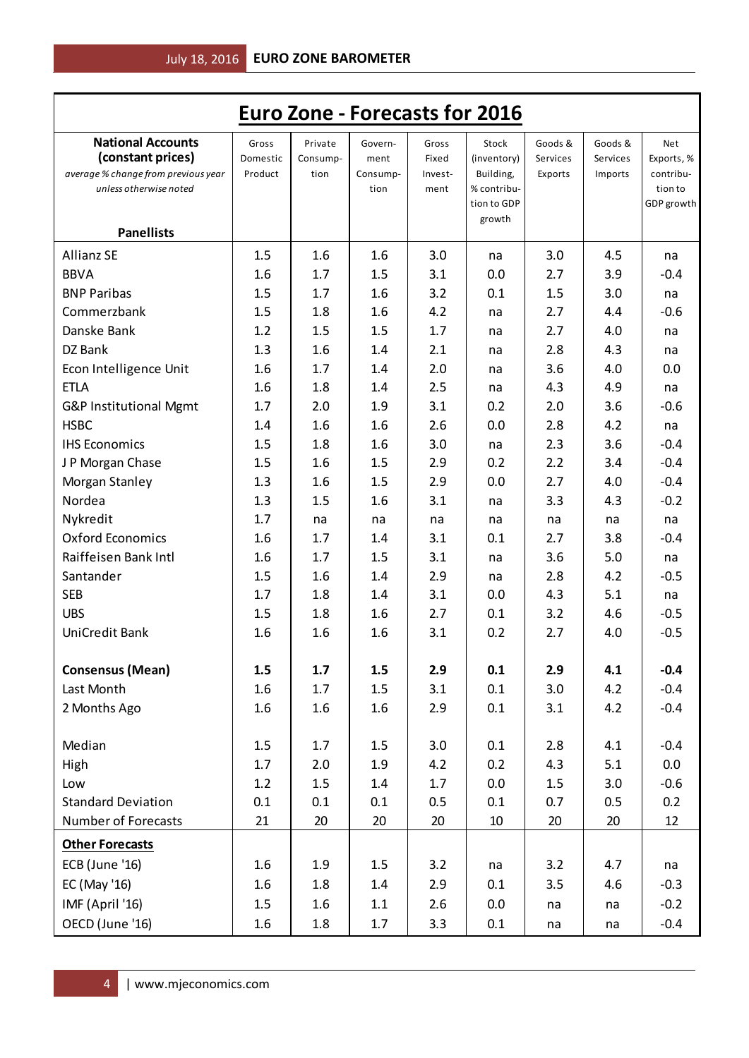|                                                                                      |                              |                             |                             |                           | <b>Euro Zone - Forecasts for 2016</b> |                                |                                |                                |
|--------------------------------------------------------------------------------------|------------------------------|-----------------------------|-----------------------------|---------------------------|---------------------------------------|--------------------------------|--------------------------------|--------------------------------|
| <b>National Accounts</b><br>(constant prices)<br>average % change from previous year | Gross<br>Domestic<br>Product | Private<br>Consump-<br>tion | Govern-<br>ment<br>Consump- | Gross<br>Fixed<br>Invest- | Stock<br>(inventory)<br>Building,     | Goods &<br>Services<br>Exports | Goods &<br>Services<br>Imports | Net<br>Exports, %<br>contribu- |
| unless otherwise noted<br><b>Panellists</b>                                          |                              |                             | tion                        | ment                      | % contribu-<br>tion to GDP<br>growth  |                                |                                | tion to<br>GDP growth          |
| <b>Allianz SE</b>                                                                    | 1.5                          | 1.6                         | 1.6                         | 3.0                       | na                                    | 3.0                            | 4.5                            | na                             |
| <b>BBVA</b>                                                                          | 1.6                          | 1.7                         | 1.5                         | 3.1                       | 0.0                                   | 2.7                            | 3.9                            | $-0.4$                         |
| <b>BNP Paribas</b>                                                                   | 1.5                          | 1.7                         | 1.6                         | 3.2                       | 0.1                                   | 1.5                            | 3.0                            | na                             |
| Commerzbank                                                                          | 1.5                          | 1.8                         | 1.6                         | 4.2                       | na                                    | 2.7                            | 4.4                            | $-0.6$                         |
| Danske Bank                                                                          | 1.2                          | 1.5                         | 1.5                         | 1.7                       | na                                    | 2.7                            | 4.0                            | na                             |
| DZ Bank                                                                              | 1.3                          | 1.6                         | 1.4                         | 2.1                       | na                                    | 2.8                            | 4.3                            | na                             |
| Econ Intelligence Unit                                                               | 1.6                          | 1.7                         | 1.4                         | 2.0                       | na                                    | 3.6                            | 4.0                            | 0.0                            |
| <b>ETLA</b>                                                                          | 1.6                          | 1.8                         | 1.4                         | 2.5                       | na                                    | 4.3                            | 4.9                            | na                             |
| G&P Institutional Mgmt                                                               | 1.7                          | 2.0                         | 1.9                         | 3.1                       | 0.2                                   | 2.0                            | 3.6                            | $-0.6$                         |
| <b>HSBC</b>                                                                          | 1.4                          | 1.6                         | 1.6                         | 2.6                       | 0.0                                   | 2.8                            | 4.2                            | na                             |
| <b>IHS Economics</b>                                                                 | 1.5                          | 1.8                         | 1.6                         | 3.0                       | na                                    | 2.3                            | 3.6                            | $-0.4$                         |
| J P Morgan Chase                                                                     | 1.5                          | 1.6                         | 1.5                         | 2.9                       | 0.2                                   | 2.2                            | 3.4                            | $-0.4$                         |
| Morgan Stanley                                                                       | 1.3                          | 1.6                         | 1.5                         | 2.9                       | 0.0                                   | 2.7                            | 4.0                            | $-0.4$                         |
| Nordea                                                                               | 1.3                          | 1.5                         | 1.6                         | 3.1                       | na                                    | 3.3                            | 4.3                            | $-0.2$                         |
| Nykredit                                                                             | 1.7                          | na                          | na                          | na                        | na                                    | na                             | na                             | na                             |
| <b>Oxford Economics</b>                                                              | 1.6                          | 1.7                         | 1.4                         | 3.1                       | 0.1                                   | 2.7                            | 3.8                            | $-0.4$                         |
| Raiffeisen Bank Intl                                                                 | 1.6                          | 1.7                         | 1.5                         | 3.1                       | na                                    | 3.6                            | 5.0                            | na                             |
| Santander                                                                            | 1.5                          | 1.6                         | 1.4                         | 2.9                       | na                                    | 2.8                            | 4.2                            | $-0.5$                         |
| <b>SEB</b>                                                                           | 1.7                          | 1.8                         | 1.4                         | 3.1                       | 0.0                                   | 4.3                            | 5.1                            | na                             |
| <b>UBS</b>                                                                           | 1.5                          | 1.8                         | 1.6                         | 2.7                       | 0.1                                   | 3.2                            | 4.6                            | $-0.5$                         |
| UniCredit Bank                                                                       | 1.6                          | 1.6                         | 1.6                         | 3.1                       | 0.2                                   | 2.7                            | 4.0                            | $-0.5$                         |
| <b>Consensus (Mean)</b>                                                              | 1.5                          | 1.7                         | 1.5                         | 2.9                       | 0.1                                   | 2.9                            | 4.1                            | $-0.4$                         |
| Last Month                                                                           | 1.6                          | 1.7                         | 1.5                         | 3.1                       | 0.1                                   | 3.0                            | 4.2                            | $-0.4$                         |
| 2 Months Ago                                                                         | 1.6                          | 1.6                         | 1.6                         | 2.9                       | 0.1                                   | 3.1                            | 4.2                            | $-0.4$                         |
| Median                                                                               | 1.5                          | 1.7                         | 1.5                         | 3.0                       | 0.1                                   | 2.8                            | 4.1                            | $-0.4$                         |
| High                                                                                 | 1.7                          | 2.0                         | 1.9                         | 4.2                       | 0.2                                   | 4.3                            | 5.1                            | 0.0                            |
| Low                                                                                  | 1.2                          | 1.5                         | 1.4                         | 1.7                       | 0.0                                   | 1.5                            | 3.0                            | $-0.6$                         |
| <b>Standard Deviation</b>                                                            | 0.1                          | 0.1                         | 0.1                         | 0.5                       | 0.1                                   | 0.7                            | 0.5                            | 0.2                            |
| Number of Forecasts                                                                  | 21                           | 20                          | 20                          | 20                        | 10                                    | 20                             | 20                             | 12                             |
|                                                                                      |                              |                             |                             |                           |                                       |                                |                                |                                |
| <b>Other Forecasts</b><br><b>ECB</b> (June '16)                                      | 1.6                          | 1.9                         | 1.5                         | 3.2                       | na                                    | 3.2                            | 4.7                            | na                             |
| EC (May '16)                                                                         | 1.6                          | 1.8                         | 1.4                         | 2.9                       | 0.1                                   | 3.5                            | 4.6                            | $-0.3$                         |
| IMF (April '16)                                                                      | 1.5                          | 1.6                         | 1.1                         | 2.6                       | 0.0                                   | na                             | na                             | $-0.2$                         |
| OECD (June '16)                                                                      | 1.6                          | 1.8                         | 1.7                         | 3.3                       | 0.1                                   | na                             | na                             | $-0.4$                         |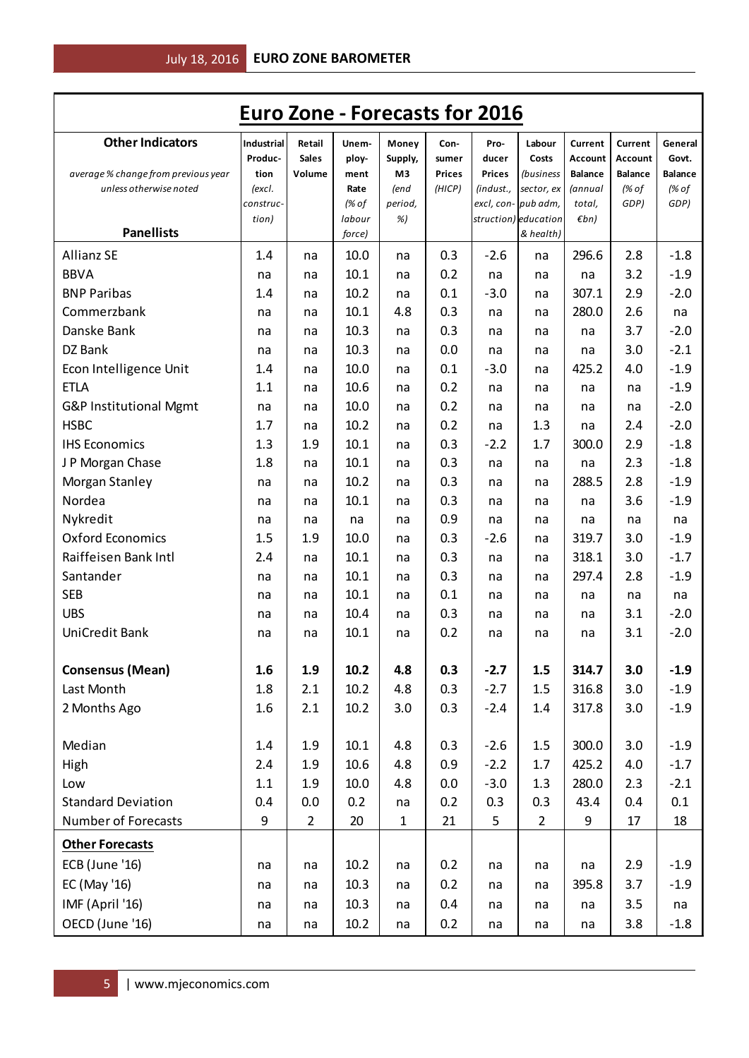| <b>Euro Zone - Forecasts for 2016</b>                         |                     |                |              |              |               |               |                                   |                   |                         |                         |
|---------------------------------------------------------------|---------------------|----------------|--------------|--------------|---------------|---------------|-----------------------------------|-------------------|-------------------------|-------------------------|
| <b>Other Indicators</b>                                       | Industrial          | Retail         | Unem-        | Money        | Con-          | Pro-          | Labour                            | Current           | Current                 | General                 |
|                                                               | Produc-             | <b>Sales</b>   | ploy-        | Supply,      | sumer         | ducer         | Costs                             | Account           | Account                 | Govt.                   |
| average % change from previous year<br>unless otherwise noted | tion                | Volume         | ment<br>Rate | M3<br>(end   | <b>Prices</b> | <b>Prices</b> | <i>(business</i>                  | <b>Balance</b>    | <b>Balance</b><br>(% of | <b>Balance</b><br>(% of |
|                                                               | (excl.<br>construc- |                | (% of        | period,      | (HICP)        | (indust.,     | sector, ex<br>excl, con- pub adm, | (annual<br>total, | GDP)                    | GDP)                    |
|                                                               | tion)               |                | labour       | %)           |               |               | struction) education              | $\n  Emb\n$       |                         |                         |
| <b>Panellists</b>                                             |                     |                | force)       |              |               |               | & health)                         |                   |                         |                         |
| <b>Allianz SE</b>                                             | 1.4                 | na             | 10.0         | na           | 0.3           | $-2.6$        | na                                | 296.6             | 2.8                     | $-1.8$                  |
| <b>BBVA</b>                                                   | na                  | na             | 10.1         | na           | 0.2           | na            | na                                | na                | 3.2                     | $-1.9$                  |
| <b>BNP Paribas</b>                                            | 1.4                 | na             | 10.2         | na           | 0.1           | $-3.0$        | na                                | 307.1             | 2.9                     | $-2.0$                  |
| Commerzbank                                                   | na                  | na             | 10.1         | 4.8          | 0.3           | na            | na                                | 280.0             | 2.6                     | na                      |
| Danske Bank                                                   | na                  | na             | 10.3         | na           | 0.3           | na            | na                                | na                | 3.7                     | $-2.0$                  |
| DZ Bank                                                       | na                  | na             | 10.3         | na           | 0.0           | na            | na                                | na                | 3.0                     | $-2.1$                  |
| Econ Intelligence Unit                                        | 1.4                 | na             | 10.0         | na           | 0.1           | $-3.0$        | na                                | 425.2             | 4.0                     | $-1.9$                  |
| <b>ETLA</b>                                                   | 1.1                 | na             | 10.6         | na           | 0.2           | na            | na                                | na                | na                      | $-1.9$                  |
| G&P Institutional Mgmt                                        | na                  | na             | 10.0         | na           | 0.2           | na            | na                                | na                | na                      | $-2.0$                  |
| <b>HSBC</b>                                                   | 1.7                 | na             | 10.2         | na           | 0.2           | na            | 1.3                               | na                | 2.4                     | $-2.0$                  |
| <b>IHS Economics</b>                                          | 1.3                 | 1.9            | 10.1         | na           | 0.3           | $-2.2$        | 1.7                               | 300.0             | 2.9                     | $-1.8$                  |
| J P Morgan Chase                                              | 1.8                 | na             | 10.1         | na           | 0.3           | na            | na                                | na                | 2.3                     | $-1.8$                  |
| Morgan Stanley                                                | na                  | na             | 10.2         | na           | 0.3           | na            | na                                | 288.5             | 2.8                     | $-1.9$                  |
| Nordea                                                        | na                  | na             | 10.1         | na           | 0.3           | na            | na                                | na                | 3.6                     | $-1.9$                  |
| Nykredit                                                      | na                  | na             | na           | na           | 0.9           | na            | na                                | na                | na                      | na                      |
| <b>Oxford Economics</b>                                       | 1.5                 | 1.9            | 10.0         | na           | 0.3           | $-2.6$        | na                                | 319.7             | 3.0                     | $-1.9$                  |
| Raiffeisen Bank Intl                                          | 2.4                 | na             | 10.1         | na           | 0.3           | na            | na                                | 318.1             | 3.0                     | $-1.7$                  |
| Santander                                                     | na                  | na             | 10.1         | na           | 0.3           | na            | na                                | 297.4             | 2.8                     | $-1.9$                  |
| <b>SEB</b>                                                    | na                  | na             | 10.1         | na           | 0.1           | na            | na                                | na                | na                      | na                      |
| <b>UBS</b>                                                    | na                  | na             | 10.4         | na           | 0.3           | na            | na                                | na                | 3.1                     | $-2.0$                  |
| UniCredit Bank                                                | na                  | na             | 10.1         | na           | 0.2           | na            | na                                | na                | 3.1                     | $-2.0$                  |
|                                                               |                     |                |              |              |               |               |                                   |                   |                         |                         |
| <b>Consensus (Mean)</b>                                       | 1.6                 | 1.9            | 10.2         | 4.8          | 0.3           | $-2.7$        | 1.5                               | 314.7             | 3.0                     | $-1.9$                  |
| Last Month                                                    | 1.8                 | 2.1            | 10.2         | 4.8          | 0.3           | $-2.7$        | 1.5                               | 316.8             | 3.0                     | $-1.9$                  |
| 2 Months Ago                                                  | 1.6                 | 2.1            | 10.2         | 3.0          | 0.3           | $-2.4$        | 1.4                               | 317.8             | 3.0                     | $-1.9$                  |
|                                                               |                     |                |              |              |               |               |                                   |                   |                         |                         |
| Median                                                        | 1.4                 | 1.9            | 10.1         | 4.8          | 0.3           | $-2.6$        | 1.5                               | 300.0             | 3.0                     | $-1.9$                  |
| High                                                          | 2.4                 | 1.9            | 10.6         | 4.8          | 0.9           | $-2.2$        | 1.7                               | 425.2             | 4.0                     | $-1.7$                  |
| Low                                                           | 1.1                 | 1.9            | 10.0         | 4.8          | 0.0           | $-3.0$        | 1.3                               | 280.0             | 2.3                     | $-2.1$                  |
| <b>Standard Deviation</b>                                     | 0.4                 | 0.0            | 0.2          | na           | 0.2           | 0.3           | 0.3                               | 43.4              | 0.4                     | 0.1                     |
| Number of Forecasts                                           | 9                   | $\overline{2}$ | 20           | $\mathbf{1}$ | 21            | 5             | $\overline{2}$                    | 9                 | 17                      | 18                      |
| <b>Other Forecasts</b>                                        |                     |                |              |              |               |               |                                   |                   |                         |                         |
| <b>ECB</b> (June '16)                                         | na                  | na             | 10.2         | na           | 0.2           | na            | na                                | na                | 2.9                     | $-1.9$                  |
| EC (May '16)                                                  | na                  | na             | 10.3         | na           | 0.2           | na            | na                                | 395.8             | 3.7                     | $-1.9$                  |
| IMF (April '16)                                               | na                  | na             | 10.3         | na           | 0.4           | na            | na                                | na                | 3.5                     | na                      |
|                                                               |                     |                |              |              |               |               |                                   |                   |                         |                         |
| OECD (June '16)                                               | na                  | na             | 10.2         | na           | 0.2           | na            | na                                | na                | 3.8                     | $-1.8$                  |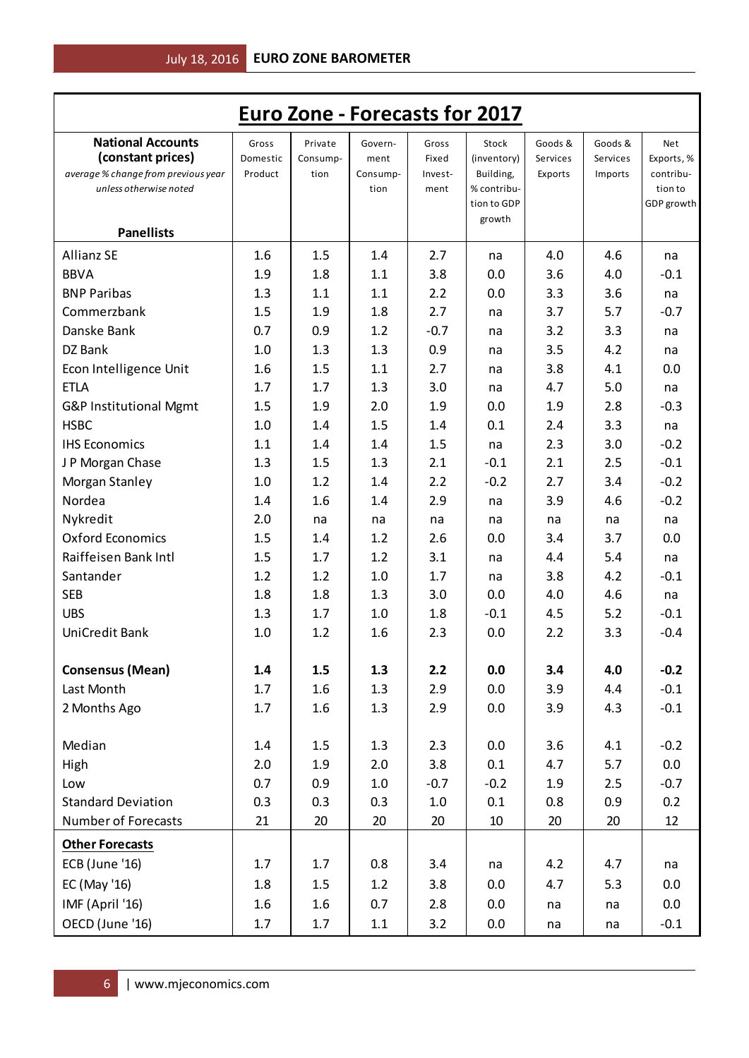|                                                                                                                |                              |                             |                                     |                                   | <b>Euro Zone - Forecasts for 2017</b>                                     |                                |                                |                                                         |
|----------------------------------------------------------------------------------------------------------------|------------------------------|-----------------------------|-------------------------------------|-----------------------------------|---------------------------------------------------------------------------|--------------------------------|--------------------------------|---------------------------------------------------------|
| <b>National Accounts</b><br>(constant prices)<br>average % change from previous year<br>unless otherwise noted | Gross<br>Domestic<br>Product | Private<br>Consump-<br>tion | Govern-<br>ment<br>Consump-<br>tion | Gross<br>Fixed<br>Invest-<br>ment | Stock<br>(inventory)<br>Building,<br>% contribu-<br>tion to GDP<br>growth | Goods &<br>Services<br>Exports | Goods &<br>Services<br>Imports | Net<br>Exports, %<br>contribu-<br>tion to<br>GDP growth |
| <b>Panellists</b>                                                                                              |                              |                             |                                     |                                   |                                                                           |                                |                                |                                                         |
| <b>Allianz SE</b>                                                                                              | 1.6                          | 1.5                         | 1.4                                 | 2.7                               | na                                                                        | 4.0                            | 4.6                            | na                                                      |
| <b>BBVA</b>                                                                                                    | 1.9                          | 1.8                         | 1.1                                 | 3.8                               | 0.0                                                                       | 3.6                            | 4.0                            | $-0.1$                                                  |
| <b>BNP Paribas</b>                                                                                             | 1.3                          | 1.1                         | 1.1                                 | 2.2                               | 0.0                                                                       | 3.3                            | 3.6                            | na                                                      |
| Commerzbank                                                                                                    | 1.5                          | 1.9                         | 1.8                                 | 2.7                               | na                                                                        | 3.7                            | 5.7                            | $-0.7$                                                  |
| Danske Bank                                                                                                    | 0.7                          | 0.9                         | 1.2                                 | $-0.7$                            | na                                                                        | 3.2                            | 3.3                            | na                                                      |
| DZ Bank                                                                                                        | 1.0                          | 1.3                         | 1.3                                 | 0.9                               | na                                                                        | 3.5                            | 4.2                            | na                                                      |
| Econ Intelligence Unit                                                                                         | 1.6                          | 1.5                         | 1.1                                 | 2.7                               | na                                                                        | 3.8                            | 4.1                            | 0.0                                                     |
| <b>ETLA</b>                                                                                                    | 1.7                          | 1.7                         | 1.3                                 | 3.0                               | na                                                                        | 4.7                            | 5.0                            | na                                                      |
| G&P Institutional Mgmt                                                                                         | 1.5                          | 1.9                         | 2.0                                 | 1.9                               | 0.0                                                                       | 1.9                            | 2.8                            | $-0.3$                                                  |
| <b>HSBC</b>                                                                                                    | 1.0                          | 1.4                         | 1.5                                 | 1.4                               | 0.1                                                                       | 2.4                            | 3.3                            | na                                                      |
| <b>IHS Economics</b>                                                                                           | 1.1                          | 1.4                         | 1.4                                 | 1.5                               | na                                                                        | 2.3                            | 3.0                            | $-0.2$                                                  |
| J P Morgan Chase                                                                                               | 1.3                          | 1.5                         | 1.3                                 | 2.1                               | $-0.1$                                                                    | 2.1                            | 2.5                            | $-0.1$                                                  |
| Morgan Stanley                                                                                                 | 1.0                          | 1.2                         | 1.4                                 | 2.2                               | $-0.2$                                                                    | 2.7                            | 3.4                            | $-0.2$                                                  |
| Nordea                                                                                                         | 1.4                          | 1.6                         | 1.4                                 | 2.9                               | na                                                                        | 3.9                            | 4.6                            | $-0.2$                                                  |
| Nykredit                                                                                                       | 2.0                          | na                          | na                                  | na                                | na                                                                        | na                             | na                             | na                                                      |
| <b>Oxford Economics</b>                                                                                        | 1.5                          | 1.4                         | 1.2                                 | 2.6                               | 0.0                                                                       | 3.4                            | 3.7                            | 0.0                                                     |
| Raiffeisen Bank Intl                                                                                           | 1.5                          | 1.7                         | 1.2                                 | 3.1                               | na                                                                        | 4.4                            | 5.4                            | na                                                      |
| Santander                                                                                                      | 1.2                          | 1.2                         | 1.0                                 | 1.7                               | na                                                                        | 3.8                            | 4.2                            | $-0.1$                                                  |
| <b>SEB</b>                                                                                                     | 1.8                          | 1.8                         | 1.3                                 | 3.0                               | 0.0                                                                       | 4.0                            | 4.6                            | na                                                      |
| <b>UBS</b>                                                                                                     | 1.3                          | 1.7                         | 1.0                                 | 1.8                               | $-0.1$                                                                    | 4.5                            | 5.2                            | $-0.1$                                                  |
| <b>UniCredit Bank</b>                                                                                          | 1.0                          | 1.2                         | 1.6                                 | 2.3                               | 0.0                                                                       | 2.2                            | 3.3                            | $-0.4$                                                  |
| <b>Consensus (Mean)</b>                                                                                        | 1.4                          | 1.5                         | 1.3                                 | 2.2                               | 0.0                                                                       | 3.4                            | 4.0                            | $-0.2$                                                  |
| Last Month                                                                                                     | 1.7                          | $1.6\phantom{0}$            | 1.3                                 | 2.9                               | 0.0                                                                       | 3.9                            | 4.4                            | $-0.1$                                                  |
| 2 Months Ago                                                                                                   | 1.7                          | $1.6\phantom{0}$            | 1.3                                 | 2.9                               | 0.0                                                                       | 3.9                            | 4.3                            | $-0.1$                                                  |
| Median                                                                                                         | 1.4                          | 1.5                         | 1.3                                 | 2.3                               | 0.0                                                                       | 3.6                            | 4.1                            | $-0.2$                                                  |
| High                                                                                                           | 2.0                          | 1.9                         | 2.0                                 | 3.8                               | 0.1                                                                       | 4.7                            | 5.7                            | 0.0                                                     |
| Low                                                                                                            | 0.7                          | 0.9                         | 1.0                                 | $-0.7$                            | $-0.2$                                                                    | 1.9                            | 2.5                            | $-0.7$                                                  |
| <b>Standard Deviation</b>                                                                                      | 0.3                          | 0.3                         | 0.3                                 | 1.0                               | 0.1                                                                       | 0.8                            | 0.9                            | 0.2                                                     |
| Number of Forecasts                                                                                            | 21                           | 20                          | 20                                  | 20                                | 10                                                                        | 20                             | 20                             | 12                                                      |
| <b>Other Forecasts</b>                                                                                         |                              |                             |                                     |                                   |                                                                           |                                |                                |                                                         |
| <b>ECB</b> (June '16)                                                                                          | 1.7                          | 1.7                         | 0.8                                 | 3.4                               | na                                                                        | 4.2                            | 4.7                            | na                                                      |
| EC (May '16)                                                                                                   | 1.8                          | 1.5                         | 1.2                                 | 3.8                               | 0.0                                                                       | 4.7                            | 5.3                            | 0.0                                                     |
| IMF (April '16)                                                                                                | 1.6                          | $1.6\phantom{0}$            | 0.7                                 | 2.8                               | 0.0                                                                       | na                             | na                             | 0.0                                                     |
| OECD (June '16)                                                                                                | 1.7                          | 1.7                         | 1.1                                 | 3.2                               | 0.0                                                                       | na                             | na                             | $-0.1$                                                  |
|                                                                                                                |                              |                             |                                     |                                   |                                                                           |                                |                                |                                                         |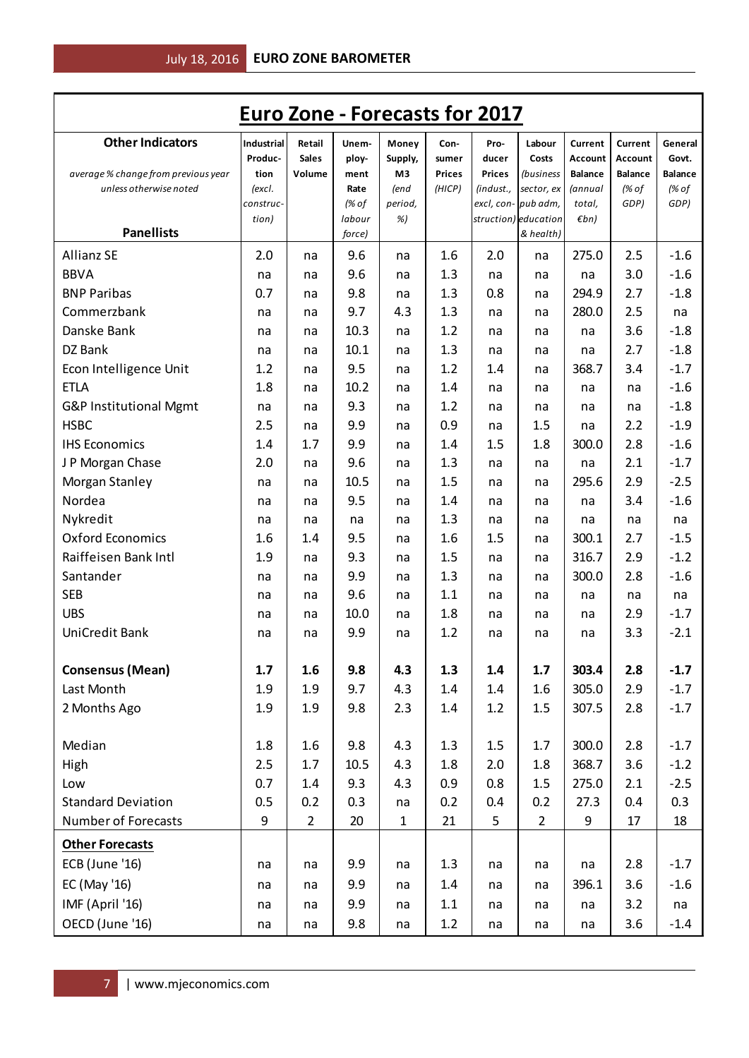| <b>Euro Zone - Forecasts for 2017</b>                         |                   |                |              |              |                         |               |                                          |                           |                         |                         |
|---------------------------------------------------------------|-------------------|----------------|--------------|--------------|-------------------------|---------------|------------------------------------------|---------------------------|-------------------------|-------------------------|
| <b>Other Indicators</b>                                       | <b>Industrial</b> | Retail         | Unem-        | Money        | Con-                    | Pro-          | Labour                                   | Current                   | Current                 | General                 |
|                                                               | Produc-           | <b>Sales</b>   | ploy-        | Supply,      | sumer                   | ducer         | Costs                                    | Account                   | Account                 | Govt.                   |
| average % change from previous year<br>unless otherwise noted | tion<br>(excl.    | Volume         | ment<br>Rate | M3<br>(end   | <b>Prices</b><br>(HICP) | <b>Prices</b> | <i>(business</i><br>(indust., sector, ex | <b>Balance</b><br>(annual | <b>Balance</b><br>(% of | <b>Balance</b><br>(% of |
|                                                               | construc-         |                | (% of        | period,      |                         |               | excl, con-pub adm,                       | total,                    | GDP)                    | GDP)                    |
|                                                               | tion)             |                | labour       | %)           |                         |               | struction) education                     | $\not\varepsilon$ bn)     |                         |                         |
| <b>Panellists</b>                                             |                   |                | force)       |              |                         |               | & health)                                |                           |                         |                         |
| <b>Allianz SE</b>                                             | 2.0               | na             | 9.6          | na           | 1.6                     | 2.0           | na                                       | 275.0                     | 2.5                     | $-1.6$                  |
| <b>BBVA</b>                                                   | na                | na             | 9.6          | na           | 1.3                     | na            | na                                       | na                        | 3.0                     | $-1.6$                  |
| <b>BNP Paribas</b>                                            | 0.7               | na             | 9.8          | na           | 1.3                     | 0.8           | na                                       | 294.9                     | 2.7                     | $-1.8$                  |
| Commerzbank                                                   | na                | na             | 9.7          | 4.3          | 1.3                     | na            | na                                       | 280.0                     | 2.5                     | na                      |
| Danske Bank                                                   | na                | na             | 10.3         | na           | 1.2                     | na            | na                                       | na                        | 3.6                     | $-1.8$                  |
| DZ Bank                                                       | na                | na             | 10.1         | na           | 1.3                     | na            | na                                       | na                        | 2.7                     | $-1.8$                  |
| Econ Intelligence Unit                                        | 1.2               | na             | 9.5          | na           | 1.2                     | 1.4           | na                                       | 368.7                     | 3.4                     | $-1.7$                  |
| <b>ETLA</b>                                                   | 1.8               | na             | 10.2         | na           | 1.4                     | na            | na                                       | na                        | na                      | $-1.6$                  |
| G&P Institutional Mgmt                                        | na                | na             | 9.3          | na           | 1.2                     | na            | na                                       | na                        | na                      | $-1.8$                  |
| <b>HSBC</b>                                                   | 2.5               | na             | 9.9          | na           | 0.9                     | na            | 1.5                                      | na                        | 2.2                     | $-1.9$                  |
| <b>IHS Economics</b>                                          | 1.4               | 1.7            | 9.9          | na           | 1.4                     | 1.5           | 1.8                                      | 300.0                     | 2.8                     | $-1.6$                  |
| J P Morgan Chase                                              | 2.0               | na             | 9.6          | na           | 1.3                     | na            | na                                       | na                        | 2.1                     | $-1.7$                  |
| Morgan Stanley                                                | na                | na             | 10.5         | na           | 1.5                     | na            | na                                       | 295.6                     | 2.9                     | $-2.5$                  |
| Nordea                                                        | na                | na             | 9.5          | na           | 1.4                     | na            | na                                       | na                        | 3.4                     | $-1.6$                  |
| Nykredit                                                      | na                | na             | na           | na           | 1.3                     | na            | na                                       | na                        | na                      | na                      |
| <b>Oxford Economics</b>                                       | 1.6               | 1.4            | 9.5          | na           | 1.6                     | 1.5           | na                                       | 300.1                     | 2.7                     | $-1.5$                  |
| Raiffeisen Bank Intl                                          | 1.9               | na             | 9.3          | na           | 1.5                     | na            | na                                       | 316.7                     | 2.9                     | $-1.2$                  |
| Santander                                                     | na                | na             | 9.9          | na           | 1.3                     | na            | na                                       | 300.0                     | 2.8                     | $-1.6$                  |
| <b>SEB</b>                                                    | na                | na             | 9.6          | na           | 1.1                     | na            | na                                       | na                        | na                      | na                      |
| <b>UBS</b>                                                    | na                | na             | 10.0         | na           | 1.8                     | na            | na                                       | na                        | 2.9                     | $-1.7$                  |
| <b>UniCredit Bank</b>                                         | na                | na             | 9.9          | na           | 1.2                     | na            | na                                       | na                        | 3.3                     | $-2.1$                  |
|                                                               |                   |                |              |              |                         |               |                                          |                           |                         |                         |
| <b>Consensus (Mean)</b>                                       | 1.7               | 1.6            | 9.8          | 4.3          | 1.3                     | 1.4           | 1.7                                      | 303.4                     | 2.8                     | $-1.7$                  |
| Last Month                                                    | 1.9               | 1.9            | 9.7          | 4.3          | 1.4                     | 1.4           | 1.6                                      | 305.0                     | 2.9                     | $-1.7$                  |
| 2 Months Ago                                                  | 1.9               | 1.9            | 9.8          | 2.3          | 1.4                     | 1.2           | 1.5                                      | 307.5                     | 2.8                     | $-1.7$                  |
|                                                               |                   |                |              |              |                         |               |                                          |                           |                         |                         |
| Median                                                        | 1.8               | 1.6            | 9.8          | 4.3          | 1.3                     | 1.5           | 1.7                                      | 300.0                     | 2.8                     | $-1.7$                  |
| High                                                          | 2.5               | 1.7            | 10.5         | 4.3          | 1.8                     | 2.0           | 1.8                                      | 368.7                     | 3.6                     | $-1.2$                  |
| Low                                                           | 0.7               | 1.4            | 9.3          | 4.3          | 0.9                     | 0.8           | 1.5                                      | 275.0                     | 2.1                     | $-2.5$                  |
| <b>Standard Deviation</b>                                     | 0.5               | 0.2            | 0.3          | na           | 0.2                     | 0.4           | 0.2                                      | 27.3                      | 0.4                     | 0.3                     |
| Number of Forecasts                                           | 9                 | $\overline{2}$ | 20           | $\mathbf{1}$ | 21                      | 5             | $\overline{2}$                           | 9                         | 17                      | 18                      |
| <b>Other Forecasts</b>                                        |                   |                |              |              |                         |               |                                          |                           |                         |                         |
| ECB (June '16)                                                | na                | na             | 9.9          | na           | 1.3                     | na            | na                                       | na                        | 2.8                     | $-1.7$                  |
| EC (May '16)                                                  | na                | na             | 9.9          | na           | 1.4                     | na            | na                                       | 396.1                     | 3.6                     | $-1.6$                  |
| IMF (April '16)                                               |                   |                |              |              |                         |               |                                          |                           |                         |                         |
|                                                               | na                | na             | 9.9          | na           | 1.1                     | na            | na                                       | na                        | 3.2                     | na                      |
| OECD (June '16)                                               | na                | na             | 9.8          | na           | 1.2                     | na            | na                                       | na                        | 3.6                     | $-1.4$                  |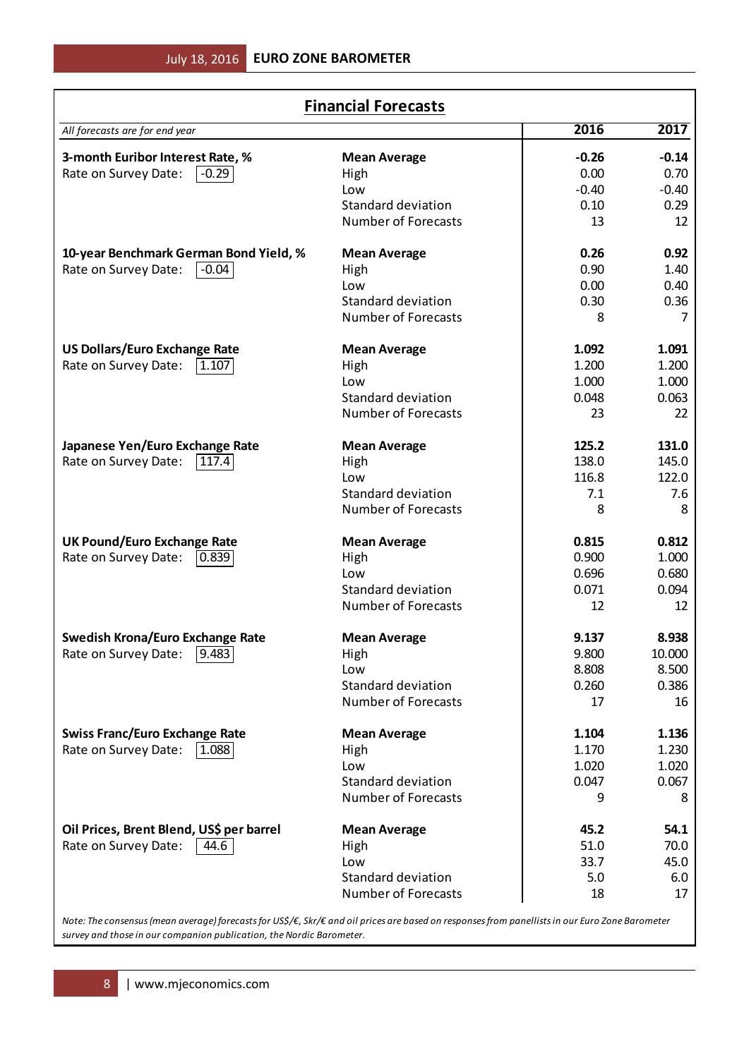| <b>Financial Forecasts</b>               |                            |         |         |  |  |  |  |  |
|------------------------------------------|----------------------------|---------|---------|--|--|--|--|--|
| All forecasts are for end year           |                            | 2016    | 2017    |  |  |  |  |  |
| 3-month Euribor Interest Rate, %         | <b>Mean Average</b>        | $-0.26$ | $-0.14$ |  |  |  |  |  |
| Rate on Survey Date:<br>$-0.29$          | High                       | 0.00    | 0.70    |  |  |  |  |  |
|                                          | Low                        | $-0.40$ | $-0.40$ |  |  |  |  |  |
|                                          | Standard deviation         | 0.10    | 0.29    |  |  |  |  |  |
|                                          | <b>Number of Forecasts</b> | 13      | 12      |  |  |  |  |  |
| 10-year Benchmark German Bond Yield, %   | <b>Mean Average</b>        | 0.26    | 0.92    |  |  |  |  |  |
| Rate on Survey Date:<br>$ -0.04 $        | High                       | 0.90    | 1.40    |  |  |  |  |  |
|                                          | Low                        | 0.00    | 0.40    |  |  |  |  |  |
|                                          | <b>Standard deviation</b>  | 0.30    | 0.36    |  |  |  |  |  |
|                                          | <b>Number of Forecasts</b> | 8       | 7       |  |  |  |  |  |
| <b>US Dollars/Euro Exchange Rate</b>     | <b>Mean Average</b>        | 1.092   | 1.091   |  |  |  |  |  |
| Rate on Survey Date:<br> 1.107           | High                       | 1.200   | 1.200   |  |  |  |  |  |
|                                          | Low                        | 1.000   | 1.000   |  |  |  |  |  |
|                                          | <b>Standard deviation</b>  | 0.048   | 0.063   |  |  |  |  |  |
|                                          | <b>Number of Forecasts</b> | 23      | 22      |  |  |  |  |  |
| Japanese Yen/Euro Exchange Rate          | <b>Mean Average</b>        | 125.2   | 131.0   |  |  |  |  |  |
| Rate on Survey Date:<br> 117.4           | High                       | 138.0   | 145.0   |  |  |  |  |  |
|                                          | Low                        | 116.8   | 122.0   |  |  |  |  |  |
|                                          | Standard deviation         | 7.1     | 7.6     |  |  |  |  |  |
|                                          | <b>Number of Forecasts</b> | 8       | 8       |  |  |  |  |  |
| <b>UK Pound/Euro Exchange Rate</b>       | <b>Mean Average</b>        | 0.815   | 0.812   |  |  |  |  |  |
| Rate on Survey Date:<br> 0.839           | High                       | 0.900   | 1.000   |  |  |  |  |  |
|                                          | Low                        | 0.696   | 0.680   |  |  |  |  |  |
|                                          | <b>Standard deviation</b>  | 0.071   | 0.094   |  |  |  |  |  |
|                                          | Number of Forecasts        | 12      | 12      |  |  |  |  |  |
| <b>Swedish Krona/Euro Exchange Rate</b>  | <b>Mean Average</b>        | 9.137   | 8.938   |  |  |  |  |  |
| Rate on Survey Date: [9.483]             | High                       | 9.800   | 10.000  |  |  |  |  |  |
|                                          | Low                        | 8.808   | 8.500   |  |  |  |  |  |
|                                          | <b>Standard deviation</b>  | 0.260   | 0.386   |  |  |  |  |  |
|                                          | <b>Number of Forecasts</b> | 17      | 16      |  |  |  |  |  |
| <b>Swiss Franc/Euro Exchange Rate</b>    | <b>Mean Average</b>        | 1.104   | 1.136   |  |  |  |  |  |
| Rate on Survey Date:<br> 1.088           | High                       | 1.170   | 1.230   |  |  |  |  |  |
|                                          | Low                        | 1.020   | 1.020   |  |  |  |  |  |
|                                          | Standard deviation         | 0.047   | 0.067   |  |  |  |  |  |
|                                          | <b>Number of Forecasts</b> | 9       | 8       |  |  |  |  |  |
| Oil Prices, Brent Blend, US\$ per barrel | <b>Mean Average</b>        | 45.2    | 54.1    |  |  |  |  |  |
| Rate on Survey Date:<br>$ 44.6\rangle$   | High                       | 51.0    | 70.0    |  |  |  |  |  |
|                                          | Low                        | 33.7    | 45.0    |  |  |  |  |  |
|                                          | Standard deviation         | 5.0     | 6.0     |  |  |  |  |  |
|                                          | <b>Number of Forecasts</b> | 18      | 17      |  |  |  |  |  |
|                                          |                            |         |         |  |  |  |  |  |

*Note: The consensus (mean average) forecasts for US\$/€, Skr/€ and oil prices are based on responses from panellists in our Euro Zone Barometer survey and those in our companion publication, the Nordic Barometer.*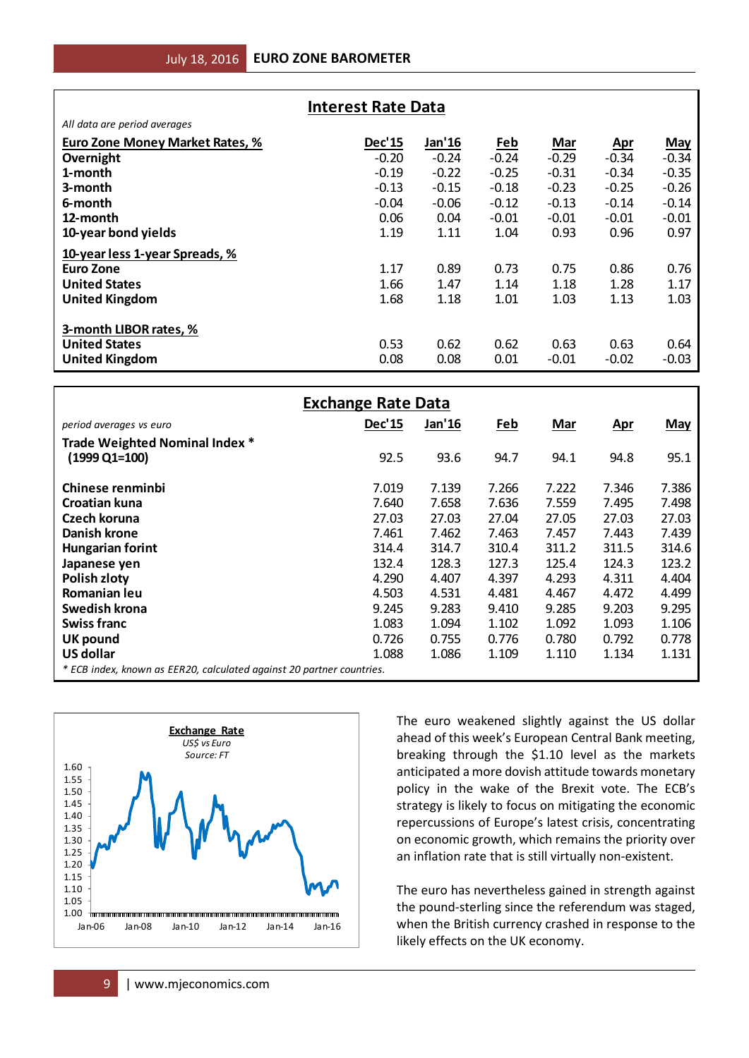| <b>Interest Rate Data</b>       |         |         |            |         |            |            |  |
|---------------------------------|---------|---------|------------|---------|------------|------------|--|
| All data are period averages    |         |         |            |         |            |            |  |
| Euro Zone Money Market Rates, % | Dec'15  | Jan'16  | <u>Feb</u> | Mar     | <u>Apr</u> | <b>May</b> |  |
| Overnight                       | $-0.20$ | $-0.24$ | $-0.24$    | $-0.29$ | $-0.34$    | $-0.34$    |  |
| 1-month                         | $-0.19$ | $-0.22$ | $-0.25$    | $-0.31$ | $-0.34$    | $-0.35$    |  |
| 3-month                         | $-0.13$ | $-0.15$ | $-0.18$    | $-0.23$ | $-0.25$    | $-0.26$    |  |
| 6-month                         | $-0.04$ | $-0.06$ | $-0.12$    | $-0.13$ | $-0.14$    | $-0.14$    |  |
| 12-month                        | 0.06    | 0.04    | $-0.01$    | $-0.01$ | $-0.01$    | $-0.01$    |  |
| 10-year bond yields             | 1.19    | 1.11    | 1.04       | 0.93    | 0.96       | 0.97       |  |
| 10-year less 1-year Spreads, %  |         |         |            |         |            |            |  |
| <b>Euro Zone</b>                | 1.17    | 0.89    | 0.73       | 0.75    | 0.86       | 0.76       |  |
| <b>United States</b>            | 1.66    | 1.47    | 1.14       | 1.18    | 1.28       | 1.17       |  |
| <b>United Kingdom</b>           | 1.68    | 1.18    | 1.01       | 1.03    | 1.13       | 1.03       |  |
| 3-month LIBOR rates, %          |         |         |            |         |            |            |  |
| <b>United States</b>            | 0.53    | 0.62    | 0.62       | 0.63    | 0.63       | 0.64       |  |
| <b>United Kingdom</b>           | 0.08    | 0.08    | 0.01       | $-0.01$ | $-0.02$    | $-0.03$    |  |

| All data are period averages                                          |                           |                                                         |            |         |            |            |
|-----------------------------------------------------------------------|---------------------------|---------------------------------------------------------|------------|---------|------------|------------|
| <b>Euro Zone Money Market Rates, %</b>                                | <b>Dec'15</b>             | Jan'16                                                  | <b>Feb</b> | Mar     | <u>Apr</u> | <b>May</b> |
| Overnight                                                             | $-0.20$                   | $-0.24$                                                 | $-0.24$    | $-0.29$ | $-0.34$    | $-0.34$    |
| 1-month                                                               | $-0.19$                   | $-0.22$                                                 | $-0.25$    | $-0.31$ | $-0.34$    | $-0.35$    |
| 3-month                                                               | $-0.13$                   | $-0.15$                                                 | $-0.18$    | $-0.23$ | $-0.25$    | $-0.26$    |
| 6-month                                                               | $-0.04$                   | $-0.06$                                                 | $-0.12$    | $-0.13$ | $-0.14$    | $-0.14$    |
| 12-month                                                              | 0.06                      | 0.04                                                    | $-0.01$    | $-0.01$ | $-0.01$    | $-0.01$    |
|                                                                       |                           |                                                         |            |         |            |            |
| 10-year bond yields                                                   | 1.19                      | 1.11                                                    | 1.04       | 0.93    | 0.96       | 0.97       |
| 10-year less 1-year Spreads, %                                        |                           |                                                         |            |         |            |            |
| <b>Euro Zone</b>                                                      | 1.17                      | 0.89                                                    | 0.73       | 0.75    | 0.86       | 0.76       |
| <b>United States</b>                                                  | 1.66                      | 1.47                                                    | 1.14       | 1.18    | 1.28       | 1.17       |
| <b>United Kingdom</b>                                                 | 1.68                      | 1.18                                                    | 1.01       | 1.03    | 1.13       | 1.03       |
|                                                                       |                           |                                                         |            |         |            |            |
| 3-month LIBOR rates, %                                                |                           |                                                         |            |         |            |            |
| <b>United States</b>                                                  | 0.53                      | 0.62                                                    | 0.62       | 0.63    | 0.63       | 0.64       |
| <b>United Kingdom</b>                                                 | 0.08                      | 0.08                                                    | 0.01       | $-0.01$ | $-0.02$    | $-0.03$    |
|                                                                       |                           |                                                         |            |         |            |            |
|                                                                       | <b>Exchange Rate Data</b> |                                                         |            |         |            |            |
| period averages vs euro                                               | <b>Dec'15</b>             | Jan'16                                                  | Feb        | Mar     | <u>Apr</u> | <b>May</b> |
| Trade Weighted Nominal Index *                                        |                           |                                                         |            |         |            |            |
| $(1999 \text{ Q1} = 100)$                                             | 92.5                      | 93.6                                                    | 94.7       | 94.1    | 94.8       | 95.1       |
|                                                                       |                           |                                                         |            |         |            |            |
| Chinese renminbi                                                      | 7.019                     | 7.139                                                   | 7.266      | 7.222   | 7.346      | 7.386      |
| Croatian kuna                                                         | 7.640                     | 7.658                                                   | 7.636      | 7.559   | 7.495      | 7.498      |
| Czech koruna                                                          | 27.03                     | 27.03                                                   | 27.04      | 27.05   | 27.03      | 27.03      |
| <b>Danish krone</b>                                                   | 7.461                     | 7.462                                                   | 7.463      | 7.457   | 7.443      | 7.439      |
|                                                                       | 314.4                     | 314.7                                                   | 310.4      | 311.2   | 311.5      | 314.6      |
| <b>Hungarian forint</b>                                               |                           |                                                         |            |         |            |            |
| Japanese yen                                                          | 132.4                     | 128.3                                                   | 127.3      | 125.4   | 124.3      | 123.2      |
| Polish zloty                                                          | 4.290                     | 4.407                                                   | 4.397      | 4.293   | 4.311      | 4.404      |
| Romanian leu                                                          | 4.503                     | 4.531                                                   | 4.481      | 4.467   | 4.472      | 4.499      |
| Swedish krona                                                         | 9.245                     | 9.283                                                   | 9.410      | 9.285   | 9.203      | 9.295      |
| <b>Swiss franc</b>                                                    | 1.083                     | 1.094                                                   | 1.102      | 1.092   | 1.093      | 1.106      |
| <b>UK pound</b>                                                       | 0.726                     | 0.755                                                   | 0.776      | 0.780   | 0.792      | 0.778      |
| <b>US dollar</b>                                                      | 1.088                     | 1.086                                                   | 1.109      | 1.110   | 1.134      | 1.131      |
| * ECB index, known as EER20, calculated against 20 partner countries. |                           |                                                         |            |         |            |            |
|                                                                       |                           |                                                         |            |         |            |            |
|                                                                       |                           | The euro weakened slightly against the US dollar        |            |         |            |            |
| <b>Exchange Rate</b>                                                  |                           |                                                         |            |         |            |            |
| US\$ vs Euro                                                          |                           | ahead of this week's European Central Bank meeting,     |            |         |            |            |
| Source: FT                                                            |                           | breaking through the \$1.10 level as the markets        |            |         |            |            |
| 1.60                                                                  |                           | anticipated a more dovish attitude towards monetary     |            |         |            |            |
| 1.55<br>1.50                                                          |                           | policy in the wake of the Brexit vote. The ECB's        |            |         |            |            |
| 1.45                                                                  |                           | strategy is likely to focus on mitigating the economic  |            |         |            |            |
| 1.40                                                                  |                           |                                                         |            |         |            |            |
| 1.35                                                                  |                           | repercussions of Europe's latest crisis, concentrating  |            |         |            |            |
| 1.30                                                                  |                           | on economic growth, which remains the priority over     |            |         |            |            |
| 1.25<br>1.20                                                          |                           | an inflation rate that is still virtually non-existent. |            |         |            |            |
| 1.15                                                                  |                           |                                                         |            |         |            |            |
| 1.10                                                                  |                           | The euro has nevertheless gained in strength against    |            |         |            |            |
| 1.05                                                                  |                           | the pound-sterling since the referendum was staged,     |            |         |            |            |
| 1.00                                                                  |                           |                                                         |            |         |            |            |
| Jan-06<br>Jan-08<br>Jan-10<br>Jan-12<br>Jan-14<br>Jan-16              |                           | when the British currency crashed in response to the    |            |         |            |            |
|                                                                       |                           | likely effects on the UK economy.                       |            |         |            |            |
|                                                                       |                           |                                                         |            |         |            |            |
| www.mjeconomics.com<br>9                                              |                           |                                                         |            |         |            |            |
|                                                                       |                           |                                                         |            |         |            |            |

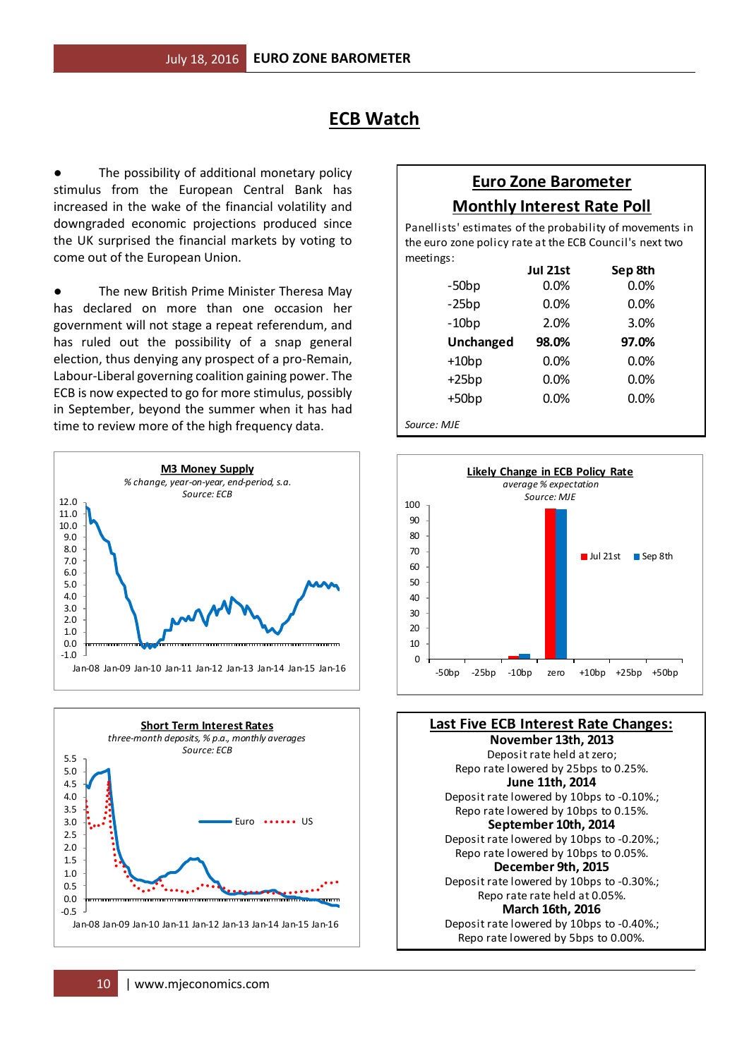# **ECB Watch**

The possibility of additional monetary policy stimulus from the European Central Bank has increased in the wake of the financial volatility and downgraded economic projections produced since the UK surprised the financial markets by voting to come out of the European Union.

The new British Prime Minister Theresa May has declared on more than one occasion her government will not stage a repeat referendum, and has ruled out the possibility of a snap general election, thus denying any prospect of a pro-Remain, Labour-Liberal governing coalition gaining power. The ECB is now expected to go for more stimulus, possibly in September, beyond the summer when it has had time to review more of the high frequency data.





# **Euro Zone Barometer Monthly Interest Rate Poll**

meetings: Panellists' estimates of the probability of movements in the euro zone policy rate at the ECB Council's next two

|                  | Jul 21st | Sep 8th |
|------------------|----------|---------|
| $-50bp$          | $0.0\%$  | 0.0%    |
| $-25bp$          | $0.0\%$  | 0.0%    |
| $-10bp$          | 2.0%     | 3.0%    |
| <b>Unchanged</b> | 98.0%    | 97.0%   |
| $+10bp$          | $0.0\%$  | 0.0%    |
| $+25bp$          | 0.0%     | 0.0%    |
| $+50bp$          | 0.0%     | 0.0%    |
| Source: MJE      |          |         |



Repo rate lowered by 5bps to 0.00%. **November 13th, 2013** Repo rate lowered by 10bps to 0.15%. **September 10th, 2014** Deposit rate lowered by 10bps to -0.20%.; Repo rate rate held at 0.05%. **March 16th, 2016** Repo rate lowered by 25bps to 0.25%. **June 11th, 2014** Deposit rate lowered by 10bps to -0.10%.; Deposit rate lowered by 10bps to -0.40%.; **Last Five ECB Interest Rate Changes:** Deposit rate held at zero; Repo rate lowered by 10bps to 0.05%. **December 9th, 2015** Deposit rate lowered by 10bps to -0.30%.;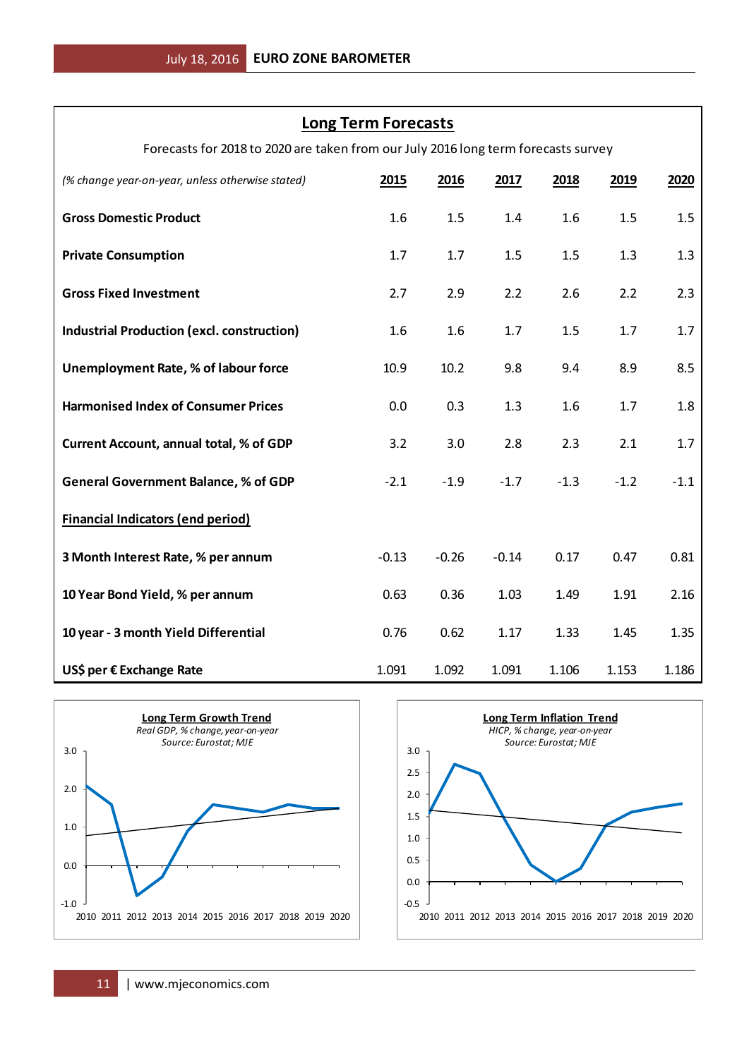### **Long Term Forecasts**

Forecasts for 2018 to 2020 are taken from our July 2016 long term forecasts survey

| (% change year-on-year, unless otherwise stated)                                                  | 2015                     | 2016                                                   | 2017    | 2018                                                                                      | 2019   | 2020   |
|---------------------------------------------------------------------------------------------------|--------------------------|--------------------------------------------------------|---------|-------------------------------------------------------------------------------------------|--------|--------|
| <b>Gross Domestic Product</b>                                                                     | 1.6                      | 1.5                                                    | 1.4     | 1.6                                                                                       | 1.5    | 1.5    |
| <b>Private Consumption</b>                                                                        | 1.7                      | 1.7                                                    | 1.5     | 1.5                                                                                       | 1.3    | 1.3    |
| <b>Gross Fixed Investment</b>                                                                     | 2.7                      | 2.9                                                    | 2.2     | 2.6                                                                                       | 2.2    | 2.3    |
| <b>Industrial Production (excl. construction)</b>                                                 | 1.6                      | 1.6                                                    | 1.7     | 1.5                                                                                       | 1.7    | 1.7    |
| Unemployment Rate, % of labour force                                                              | 10.9                     | 10.2                                                   | 9.8     | 9.4                                                                                       | 8.9    | 8.5    |
| <b>Harmonised Index of Consumer Prices</b>                                                        | 0.0                      | 0.3                                                    | 1.3     | 1.6                                                                                       | 1.7    | 1.8    |
| <b>Current Account, annual total, % of GDP</b>                                                    | 3.2                      | 3.0                                                    | 2.8     | 2.3                                                                                       | 2.1    | 1.7    |
| <b>General Government Balance, % of GDP</b>                                                       | $-2.1$                   | $-1.9$                                                 | $-1.7$  | $-1.3$                                                                                    | $-1.2$ | $-1.1$ |
| <b>Financial Indicators (end period)</b>                                                          |                          |                                                        |         |                                                                                           |        |        |
| 3 Month Interest Rate, % per annum                                                                | $-0.13$                  | $-0.26$                                                | $-0.14$ | 0.17                                                                                      | 0.47   | 0.81   |
| 10 Year Bond Yield, % per annum                                                                   | 0.63                     | 0.36                                                   | 1.03    | 1.49                                                                                      | 1.91   | 2.16   |
| 10 year - 3 month Yield Differential                                                              | 0.76                     | 0.62                                                   | 1.17    | 1.33                                                                                      | 1.45   | 1.35   |
| US\$ per € Exchange Rate                                                                          | 1.091                    | 1.092                                                  | 1.091   | 1.106                                                                                     | 1.153  | 1.186  |
| <b>Long Term Growth Trend</b><br>Real GDP, % change, year-on-year<br>Source: Eurostat; MJE<br>3.0 | 3.0<br>2.5               |                                                        |         | <b>Long Term Inflation Trend</b><br>HICP, % change, year-on-year<br>Source: Eurostat; MJE |        |        |
| 2.0<br>1.0                                                                                        | 2.0<br>1.5<br>1.0<br>0.5 |                                                        |         |                                                                                           |        |        |
| 0.0<br>$-1.0$<br>2010 2011 2012 2013 2014 2015 2016 2017 2018 2019 2020                           | 0.0<br>$-0.5$            | 2010 2011 2012 2013 2014 2015 2016 2017 2018 2019 2020 |         |                                                                                           |        |        |
| 11<br>www.mjeconomics.com                                                                         |                          |                                                        |         |                                                                                           |        |        |



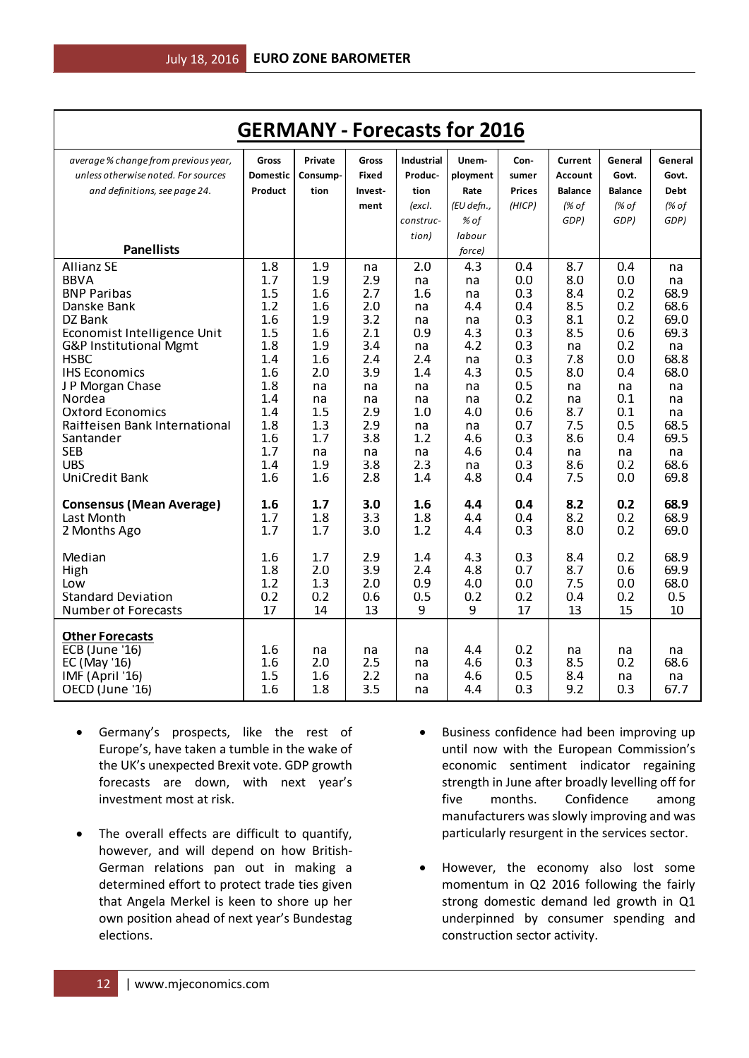| <b>GERMANY - Forecasts for 2016</b>                                                                   |                          |                         |                         |                              |                                        |                          |                         |                        |                          |
|-------------------------------------------------------------------------------------------------------|--------------------------|-------------------------|-------------------------|------------------------------|----------------------------------------|--------------------------|-------------------------|------------------------|--------------------------|
| average % change from previous year,                                                                  | Gross                    | Private                 | Gross                   | <b>Industrial</b>            | Unem-                                  | Con-                     | Current                 | General                | General                  |
| unless otherwise noted. For sources                                                                   | <b>Domestic</b>          | Consump-                | <b>Fixed</b>            | Produc-                      | ployment                               | sumer                    | <b>Account</b>          | Govt.                  | Govt.                    |
| and definitions, see page 24.                                                                         | Product                  | tion                    | Invest-                 | tion                         | Rate                                   | <b>Prices</b>            | <b>Balance</b>          | <b>Balance</b>         | <b>Debt</b>              |
| <b>Panellists</b>                                                                                     |                          |                         | ment                    | (excl.<br>construc-<br>tion) | (EU defn.,<br>% of<br>labour<br>force) | (HICP)                   | (% of<br>GDP)           | (% of<br>GDP)          | (% of<br>GDP)            |
| <b>Allianz SE</b>                                                                                     | 1.8                      | 1.9                     | na                      | 2.0                          | 4.3                                    | 0.4                      | 8.7                     | 0.4                    | na                       |
| <b>BBVA</b>                                                                                           | 1.7                      | 1.9                     | 2.9                     | na                           | na                                     | 0.0                      | 8.0                     | 0.0                    | na                       |
| <b>BNP Paribas</b>                                                                                    | 1.5                      | 1.6                     | 2.7                     | 1.6                          | na                                     | 0.3                      | 8.4                     | 0.2                    | 68.9                     |
| Danske Bank                                                                                           | 1.2                      | 1.6                     | 2.0                     | na                           | 4.4                                    | 0.4                      | 8.5                     | 0.2                    | 68.6                     |
| DZ Bank                                                                                               | 1.6                      | 1.9                     | 3.2                     | na                           | na                                     | 0.3                      | 8.1                     | 0.2                    | 69.0                     |
| Economist Intelligence Unit                                                                           | 1.5                      | 1.6                     | 2.1                     | 0.9                          | 4.3                                    | 0.3                      | 8.5                     | 0.6                    | 69.3                     |
| G&P Institutional Mgmt                                                                                | 1.8                      | 1.9                     | 3.4                     | na                           | 4.2                                    | 0.3                      | na                      | 0.2                    | na                       |
| <b>HSBC</b>                                                                                           | 1.4                      | 1.6                     | 2.4                     | 2.4                          | na                                     | 0.3                      | 7.8                     | 0.0                    | 68.8                     |
| <b>IHS Economics</b>                                                                                  | 1.6                      | 2.0                     | 3.9                     | 1.4                          | 4.3                                    | 0.5                      | 8.0                     | 0.4                    | 68.0                     |
| J P Morgan Chase                                                                                      | 1.8                      | na                      | na                      | na                           | na                                     | 0.5                      | na                      | na                     | na                       |
| Nordea                                                                                                | 1.4                      | na                      | na                      | na                           | na                                     | 0.2                      | na                      | 0.1                    | na                       |
| <b>Oxford Economics</b>                                                                               | 1.4                      | 1.5                     | 2.9                     | 1.0                          | 4.0                                    | 0.6                      | 8.7                     | 0.1                    | na                       |
| Raitteisen Bank International                                                                         | 1.8                      | 1.3                     | 2.9                     | na                           | na                                     | 0.7                      | 7.5                     | 0.5                    | 68.5                     |
| Santander                                                                                             | 1.6                      | 1.7                     | 3.8                     | 1.2                          | 4.6                                    | 0.3                      | 8.6                     | 0.4                    | 69.5                     |
| <b>SEB</b>                                                                                            | 1.7                      | na                      | na                      | na                           | 4.6                                    | 0.4                      | na                      | na                     | na                       |
| <b>UBS</b>                                                                                            | 1.4                      | 1.9                     | 3.8                     | 2.3                          | na                                     | 0.3                      | 8.6                     | 0.2                    | 68.6                     |
| <b>UniCredit Bank</b>                                                                                 | 1.6                      | 1.6                     | 2.8                     | 1.4                          | 4.8                                    | 0.4                      | 7.5                     | 0.0                    | 69.8                     |
| <b>Consensus (Mean Average)</b>                                                                       | 1.6                      | 1.7                     | 3.0                     | 1.6                          | 4.4                                    | 0.4                      | 8.2                     | 0.2                    | 68.9                     |
| Last Month                                                                                            | 1.7                      | 1.8                     | 3.3                     | 1.8                          | 4.4                                    | 0.4                      | 8.2                     | 0.2                    | 68.9                     |
| 2 Months Ago                                                                                          | 1.7                      | 1.7                     | 3.0                     | 1.2                          | 4.4                                    | 0.3                      | 8.0                     | 0.2                    | 69.0                     |
| Median                                                                                                | 1.6                      | 1.7                     | 2.9                     | 1.4                          | 4.3                                    | 0.3                      | 8.4                     | 0.2                    | 68.9                     |
| High                                                                                                  | 1.8                      | 2.0                     | 3.9                     | 2.4                          | 4.8                                    | 0.7                      | 8.7                     | 0.6                    | 69.9                     |
| Low                                                                                                   | 1.2                      | 1.3                     | 2.0                     | 0.9                          | 4.0                                    | 0.0                      | 7.5                     | 0.0                    | 68.0                     |
| <b>Standard Deviation</b>                                                                             | 0.2                      | 0.2                     | 0.6                     | 0.5                          | 0.2                                    | 0.2                      | 0.4                     | 0.2                    | 0.5                      |
| <b>Number of Forecasts</b>                                                                            | 17                       | 14                      | 13                      | 9                            | 9                                      | 17                       | 13                      | 15                     | 10                       |
| <b>Other Forecasts</b><br><b>ECB</b> (June '16)<br>EC (May '16)<br>IMF (April '16)<br>OECD (June '16) | 1.6<br>1.6<br>1.5<br>1.6 | na<br>2.0<br>1.6<br>1.8 | na<br>2.5<br>2.2<br>3.5 | na<br>na<br>na<br>na         | 4.4<br>4.6<br>4.6<br>4.4               | 0.2<br>0.3<br>0.5<br>0.3 | na<br>8.5<br>8.4<br>9.2 | na<br>0.2<br>na<br>0.3 | na<br>68.6<br>na<br>67.7 |

- Germany's prospects, like the rest of Europe's, have taken a tumble in the wake of the UK's unexpected Brexit vote. GDP growth forecasts are down, with next year's investment most at risk.
- The overall effects are difficult to quantify, however, and will depend on how British-German relations pan out in making a determined effort to protect trade ties given that Angela Merkel is keen to shore up her own position ahead of next year's Bundestag elections.
- Business confidence had been improving up until now with the European Commission's economic sentiment indicator regaining strength in June after broadly levelling off for five months. Confidence among manufacturers was slowly improving and was particularly resurgent in the services sector.
- However, the economy also lost some momentum in Q2 2016 following the fairly strong domestic demand led growth in Q1 underpinned by consumer spending and construction sector activity.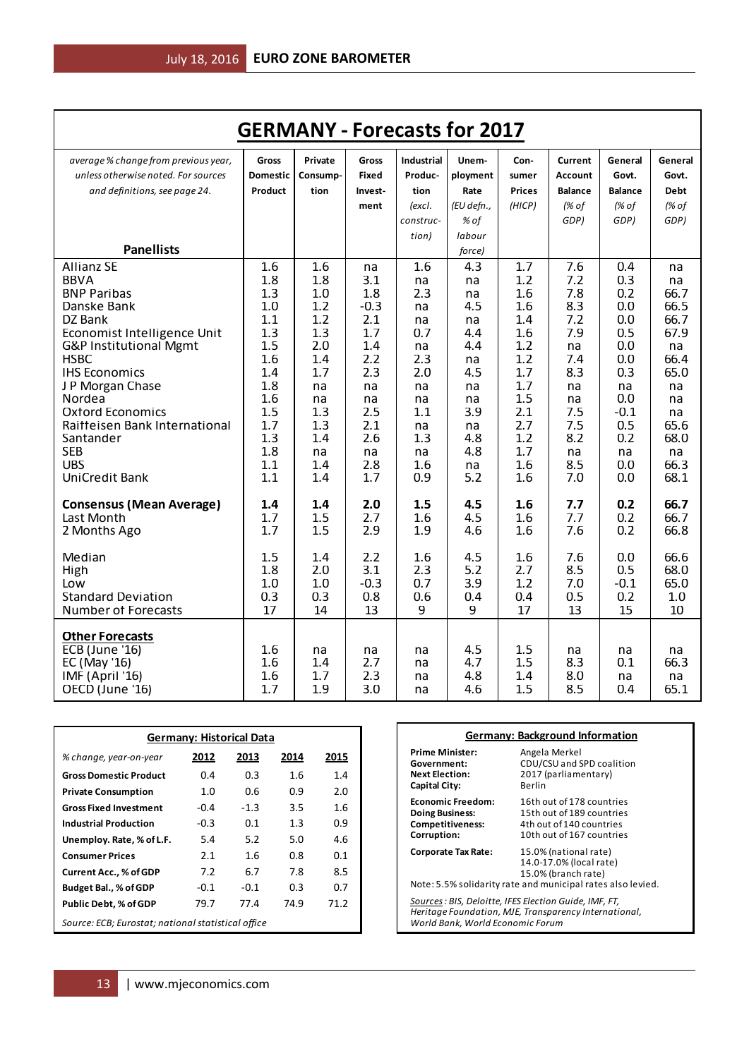| <b>GERMANY - Forecasts for 2017</b>                                                                                                                                                                                                                                                                                                          |                                                                                                                     |                                                                                                                  |                                                                                                                    |                                                                                                             |                                                                                                             |                                                                                                                     |                                                                                                                 |                                                                                                                      |                                                                                                                        |
|----------------------------------------------------------------------------------------------------------------------------------------------------------------------------------------------------------------------------------------------------------------------------------------------------------------------------------------------|---------------------------------------------------------------------------------------------------------------------|------------------------------------------------------------------------------------------------------------------|--------------------------------------------------------------------------------------------------------------------|-------------------------------------------------------------------------------------------------------------|-------------------------------------------------------------------------------------------------------------|---------------------------------------------------------------------------------------------------------------------|-----------------------------------------------------------------------------------------------------------------|----------------------------------------------------------------------------------------------------------------------|------------------------------------------------------------------------------------------------------------------------|
| average % change from previous year,<br>unless otherwise noted. For sources<br>and definitions, see page 24.                                                                                                                                                                                                                                 | Gross<br>Domestic<br>Product                                                                                        | Private<br>Consump-<br>tion                                                                                      | Gross<br>Fixed<br>Invest-<br>ment                                                                                  | <b>Industrial</b><br>Produc-<br>tion<br>(excl.                                                              | Unem-<br>ployment<br>Rate<br>(EU defn.,                                                                     | Con-<br>sumer<br><b>Prices</b><br>(HICP)                                                                            | <b>Current</b><br><b>Account</b><br><b>Balance</b><br>(% of                                                     | General<br>Govt.<br><b>Balance</b><br>(% of                                                                          | General<br>Govt.<br><b>Debt</b><br>(% of                                                                               |
| <b>Panellists</b>                                                                                                                                                                                                                                                                                                                            |                                                                                                                     |                                                                                                                  |                                                                                                                    | construc-<br>tion)                                                                                          | % of<br>labour<br>force)                                                                                    |                                                                                                                     | GDP)                                                                                                            | GDP)                                                                                                                 | GDP)                                                                                                                   |
| <b>Allianz SE</b><br><b>BBVA</b><br><b>BNP Paribas</b><br>Danske Bank<br>DZ Bank<br>Economist Intelligence Unit<br>G&P Institutional Mgmt<br><b>HSBC</b><br><b>IHS Economics</b><br>J P Morgan Chase<br>Nordea<br><b>Oxford Economics</b><br>Raitteisen Bank International<br>Santander<br><b>SEB</b><br><b>UBS</b><br><b>UniCredit Bank</b> | 1.6<br>1.8<br>1.3<br>1.0<br>1.1<br>1.3<br>1.5<br>1.6<br>1.4<br>1.8<br>1.6<br>1.5<br>1.7<br>1.3<br>1.8<br>1.1<br>1.1 | 1.6<br>1.8<br>1.0<br>1.2<br>1.2<br>1.3<br>2.0<br>1.4<br>1.7<br>na<br>na<br>1.3<br>1.3<br>1.4<br>na<br>1.4<br>1.4 | na<br>3.1<br>1.8<br>$-0.3$<br>2.1<br>1.7<br>1.4<br>2.2<br>2.3<br>na<br>na<br>2.5<br>2.1<br>2.6<br>na<br>2.8<br>1.7 | 1.6<br>na<br>2.3<br>na<br>na<br>0.7<br>na<br>2.3<br>2.0<br>na<br>na<br>1.1<br>na<br>1.3<br>na<br>1.6<br>0.9 | 4.3<br>na<br>na<br>4.5<br>na<br>4.4<br>4.4<br>na<br>4.5<br>na<br>na<br>3.9<br>na<br>4.8<br>4.8<br>na<br>5.2 | 1.7<br>1.2<br>1.6<br>1.6<br>1.4<br>1.6<br>1.2<br>1.2<br>1.7<br>1.7<br>1.5<br>2.1<br>2.7<br>1.2<br>1.7<br>1.6<br>1.6 | 7.6<br>7.2<br>7.8<br>8.3<br>7.2<br>7.9<br>na<br>7.4<br>8.3<br>na<br>na<br>7.5<br>7.5<br>8.2<br>na<br>8.5<br>7.0 | 0.4<br>0.3<br>0.2<br>0.0<br>0.0<br>0.5<br>0.0<br>0.0<br>0.3<br>na<br>0.0<br>$-0.1$<br>0.5<br>0.2<br>na<br>0.0<br>0.0 | na<br>na<br>66.7<br>66.5<br>66.7<br>67.9<br>na<br>66.4<br>65.0<br>na<br>na<br>na<br>65.6<br>68.0<br>na<br>66.3<br>68.1 |
| <b>Consensus (Mean Average)</b><br>Last Month<br>2 Months Ago                                                                                                                                                                                                                                                                                | 1.4<br>1.7<br>1.7                                                                                                   | 1.4<br>1.5<br>1.5                                                                                                | 2.0<br>2.7<br>2.9                                                                                                  | 1.5<br>1.6<br>1.9                                                                                           | 4.5<br>4.5<br>4.6                                                                                           | 1.6<br>1.6<br>1.6                                                                                                   | 7.7<br>7.7<br>7.6                                                                                               | 0.2<br>0.2<br>0.2                                                                                                    | 66.7<br>66.7<br>66.8                                                                                                   |
| Median<br>High<br>Low<br><b>Standard Deviation</b><br><b>Number of Forecasts</b>                                                                                                                                                                                                                                                             | 1.5<br>1.8<br>1.0<br>0.3<br>17                                                                                      | 1.4<br>2.0<br>1.0<br>0.3<br>14                                                                                   | 2.2<br>3.1<br>$-0.3$<br>0.8<br>13                                                                                  | 1.6<br>2.3<br>0.7<br>0.6<br>9                                                                               | 4.5<br>5.2<br>3.9<br>0.4<br>9                                                                               | 1.6<br>2.7<br>1.2<br>0.4<br>17                                                                                      | 7.6<br>8.5<br>7.0<br>0.5<br>13                                                                                  | 0.0<br>0.5<br>$-0.1$<br>0.2<br>15                                                                                    | 66.6<br>68.0<br>65.0<br>1.0<br>10                                                                                      |
| <b>Other Forecasts</b><br><b>ECB</b> (June '16)<br>EC (May '16)<br>IMF (April '16)<br>OECD (June '16)                                                                                                                                                                                                                                        | 1.6<br>1.6<br>1.6<br>1.7                                                                                            | na<br>1.4<br>1.7<br>1.9                                                                                          | na<br>2.7<br>2.3<br>3.0                                                                                            | na<br>na<br>na<br>na                                                                                        | 4.5<br>4.7<br>4.8<br>4.6                                                                                    | 1.5<br>1.5<br>1.4<br>1.5                                                                                            | na<br>8.3<br>8.0<br>8.5                                                                                         | na<br>0.1<br>na<br>0.4                                                                                               | na<br>66.3<br>na<br>65.1                                                                                               |

| <b>Germany: Historical Data</b>                    |        |        |      |      |  |  |
|----------------------------------------------------|--------|--------|------|------|--|--|
| % change, year-on-year                             | 2012   | 2013   | 2014 | 2015 |  |  |
| <b>Gross Domestic Product</b>                      | 0.4    | 0.3    | 1.6  | 1.4  |  |  |
| <b>Private Consumption</b>                         | 1.0    | 0.6    | 0.9  | 2.0  |  |  |
| <b>Gross Fixed Investment</b>                      | $-0.4$ | $-1.3$ | 3.5  | 1.6  |  |  |
| <b>Industrial Production</b>                       | $-0.3$ | 0.1    | 1.3  | 0.9  |  |  |
| Unemploy. Rate, % of L.F.                          | 5.4    | 5.2    | 5.0  | 4.6  |  |  |
| <b>Consumer Prices</b>                             | 2.1    | 1.6    | 0.8  | 0.1  |  |  |
| <b>Current Acc., % of GDP</b>                      | 7.2    | 6.7    | 7.8  | 8.5  |  |  |
| Budget Bal., % of GDP                              | $-0.1$ | $-0.1$ | 0.3  | 0.7  |  |  |
| <b>Public Debt, % of GDP</b>                       | 79.7   | 77.4   | 74.9 | 71.2 |  |  |
| Source: ECB; Eurostat; national statistical office |        |        |      |      |  |  |

|                                                                                                                                                     | <b>Germany: Background Information</b>                                                                                                 |  |  |  |
|-----------------------------------------------------------------------------------------------------------------------------------------------------|----------------------------------------------------------------------------------------------------------------------------------------|--|--|--|
| <b>Prime Minister:</b><br>Government:<br><b>Next Election:</b><br><b>Capital City:</b>                                                              | Angela Merkel<br>CDU/CSU and SPD coalition<br>2017 (parliamentary)<br>Berlin                                                           |  |  |  |
| <b>Economic Freedom:</b><br><b>Doing Business:</b><br>Competitiveness:<br>Corruption:                                                               | 16th out of 178 countries<br>15th out of 189 countries<br>4th out of 140 countries<br>10th out of 167 countries                        |  |  |  |
| Corporate Tax Rate:                                                                                                                                 | 15.0% (national rate)<br>14.0-17.0% (local rate)<br>15.0% (branch rate)<br>Note: 5.5% solidarity rate and municipal rates also levied. |  |  |  |
| Sources : BIS, Deloitte, IFES Election Guide, IMF, FT,<br>Heritage Foundation, MJE, Transparency International,<br>World Bank, World Economic Forum |                                                                                                                                        |  |  |  |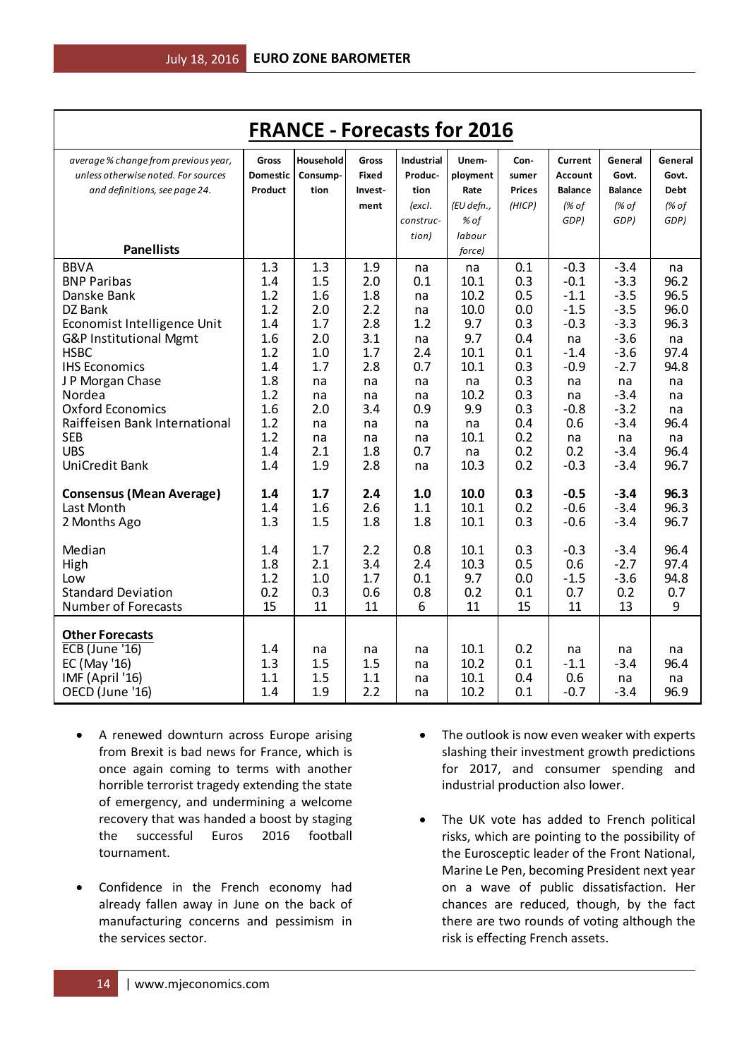|                                      |                 | <b>FRANCE - Forecasts for 2016</b> |              |                   |            |               |                |                |         |
|--------------------------------------|-----------------|------------------------------------|--------------|-------------------|------------|---------------|----------------|----------------|---------|
| average % change from previous year, | <b>Gross</b>    | Household                          | <b>Gross</b> | <b>Industrial</b> | Unem-      | Con-          | <b>Current</b> | General        | General |
| unless otherwise noted. For sources  | <b>Domestic</b> | Consump-                           | Fixed        | Produc-           | ployment   | sumer         | Account        | Govt.          | Govt.   |
| and definitions, see page 24.        | Product         | tion                               | Invest-      | tion              | Rate       | <b>Prices</b> | <b>Balance</b> | <b>Balance</b> | Debt    |
|                                      |                 |                                    | ment         | (excl.            | (EU defn., | (HICP)        | $/$ % of       | (% of          | (% of   |
|                                      |                 |                                    |              | construc-         | % of       |               | GDP)           | GDP)           | GDP)    |
|                                      |                 |                                    |              | tion)             | labour     |               |                |                |         |
| <b>Panellists</b>                    |                 |                                    |              |                   | force)     |               |                |                |         |
| <b>BBVA</b>                          | 1.3             | 1.3                                | 1.9          | na                | na         | 0.1           | $-0.3$         | $-3.4$         | na      |
| <b>BNP Paribas</b>                   | 1.4             | 1.5                                | 2.0          | 0.1               | 10.1       | 0.3           | $-0.1$         | $-3.3$         | 96.2    |
| Danske Bank                          | 1.2             | 1.6                                | 1.8          | na                | 10.2       | 0.5           | $-1.1$         | $-3.5$         | 96.5    |
| DZ Bank                              | 1.2             | 2.0                                | 2.2          | na                | 10.0       | 0.0           | $-1.5$         | $-3.5$         | 96.0    |
| Economist Intelligence Unit          | 1.4             | 1.7                                | 2.8          | 1.2               | 9.7        | 0.3           | $-0.3$         | $-3.3$         | 96.3    |
| G&P Institutional Mgmt               | 1.6             | 2.0                                | 3.1          | na                | 9.7        | 0.4           | na             | $-3.6$         | na      |
| <b>HSBC</b>                          | 1.2             | 1.0                                | 1.7          | 2.4               | 10.1       | 0.1           | $-1.4$         | $-3.6$         | 97.4    |
| <b>IHS Economics</b>                 | 1.4             | 1.7                                | 2.8          | 0.7               | 10.1       | 0.3           | $-0.9$         | $-2.7$         | 94.8    |
| J P Morgan Chase                     | 1.8             | na                                 | na           | na                | na         | 0.3           | na             | na             | na      |
| Nordea                               | 1.2             | na                                 | na           | na                | 10.2       | 0.3           | na             | $-3.4$         | na      |
| <b>Oxford Economics</b>              | 1.6             | 2.0                                | 3.4          | 0.9               | 9.9        | 0.3           | $-0.8$         | $-3.2$         | na      |
| Raiffeisen Bank International        | 1.2             | na                                 | na           | na                | na         | 0.4           | 0.6            | $-3.4$         | 96.4    |
| <b>SEB</b>                           | 1.2             | na                                 | na           | na                | 10.1       | 0.2           | na             | na             | na      |
| <b>UBS</b>                           | 1.4             | 2.1                                | 1.8          | 0.7               | na         | 0.2           | 0.2            | $-3.4$         | 96.4    |
| UniCredit Bank                       | 1.4             | 1.9                                | 2.8          | na                | 10.3       | 0.2           | $-0.3$         | $-3.4$         | 96.7    |
| <b>Consensus (Mean Average)</b>      | 1.4             | 1.7                                | 2.4          | 1.0               | 10.0       | 0.3           | $-0.5$         | $-3.4$         | 96.3    |
| Last Month                           | 1.4             | 1.6                                | 2.6          | 1.1               | 10.1       | 0.2           | $-0.6$         | $-3.4$         | 96.3    |
| 2 Months Ago                         | 1.3             | 1.5                                | 1.8          | 1.8               | 10.1       | 0.3           | $-0.6$         | $-3.4$         | 96.7    |
|                                      |                 |                                    |              |                   |            |               |                |                |         |
| Median                               | 1.4             | 1.7                                | 2.2          | 0.8               | 10.1       | 0.3           | $-0.3$         | $-3.4$         | 96.4    |
| High                                 | 1.8             | 2.1                                | 3.4          | 2.4               | 10.3       | 0.5           | 0.6            | $-2.7$         | 97.4    |
| Low                                  | 1.2             | 1.0                                | 1.7          | 0.1               | 9.7        | 0.0           | $-1.5$         | $-3.6$         | 94.8    |
| <b>Standard Deviation</b>            | 0.2             | 0.3                                | 0.6          | 0.8               | 0.2        | 0.1           | 0.7            | 0.2            | 0.7     |
| <b>Number of Forecasts</b>           | 15              | 11                                 | 11           | 6                 | 11         | 15            | 11             | 13             | 9       |
|                                      |                 |                                    |              |                   |            |               |                |                |         |
| <b>Other Forecasts</b>               |                 |                                    |              |                   |            |               |                |                |         |
| <b>ECB</b> (June '16)                | 1.4             | na                                 | na           | na                | 10.1       | 0.2           | na             | na             | na      |
| EC (May '16)                         | 1.3             | 1.5                                | 1.5          | na                | 10.2       | 0.1           | $-1.1$         | $-3.4$         | 96.4    |
| IMF (April '16)                      | 1.1             | 1.5                                | 1.1          | na                | 10.1       | 0.4           | 0.6            | na             | na      |
| OECD (June '16)                      | 1.4             | 1.9                                | 2.2          | na                | 10.2       | 0.1           | $-0.7$         | $-3.4$         | 96.9    |

- A renewed downturn across Europe arising from Brexit is bad news for France, which is once again coming to terms with another horrible terrorist tragedy extending the state of emergency, and undermining a welcome recovery that was handed a boost by staging the successful Euros 2016 football tournament.
- Confidence in the French economy had already fallen away in June on the back of manufacturing concerns and pessimism in the services sector.
- The outlook is now even weaker with experts slashing their investment growth predictions for 2017, and consumer spending and industrial production also lower.
- The UK vote has added to French political risks, which are pointing to the possibility of the Eurosceptic leader of the Front National, Marine Le Pen, becoming President next year on a wave of public dissatisfaction. Her chances are reduced, though, by the fact there are two rounds of voting although the risk is effecting French assets.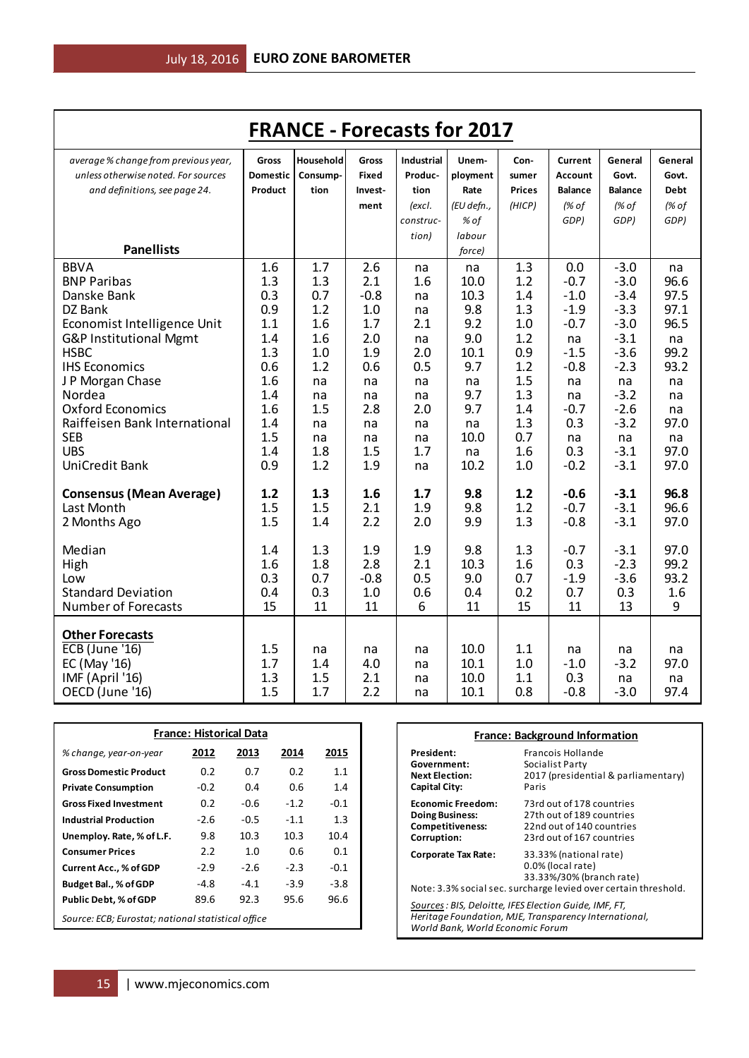| <b>FRANCE - Forecasts for 2017</b>                                                                    |                          |                         |                         |                      |                              |                          |                               |                              |                          |
|-------------------------------------------------------------------------------------------------------|--------------------------|-------------------------|-------------------------|----------------------|------------------------------|--------------------------|-------------------------------|------------------------------|--------------------------|
| average % change from previous year,                                                                  | Gross                    | Household               | Gross                   | <b>Industrial</b>    | Unem-                        | Con-                     | Current                       | General                      | General                  |
| unless otherwise noted. For sources                                                                   | Domestic                 | Consump-                | Fixed                   | Produc-              | ployment                     | sumer                    | <b>Account</b>                | Govt.                        | Govt.                    |
| and definitions, see page 24.                                                                         | Product                  | tion                    | Invest-                 | tion                 | Rate                         | <b>Prices</b>            | <b>Balance</b>                | <b>Balance</b>               | <b>Debt</b>              |
|                                                                                                       |                          |                         | ment                    | (excl.               | (EU defn.,                   | (HICP)                   | (% of                         | (% of                        | (% of                    |
|                                                                                                       |                          |                         |                         | construc-            | % of                         |                          | GDP)                          | GDP)                         | GDP)                     |
|                                                                                                       |                          |                         |                         | tion)                | labour                       |                          |                               |                              |                          |
| <b>Panellists</b>                                                                                     |                          |                         |                         |                      | force)                       |                          |                               |                              |                          |
| <b>BBVA</b>                                                                                           | 1.6                      | 1.7                     | 2.6                     | na                   | na                           | 1.3                      | 0.0                           | $-3.0$                       | na                       |
| <b>BNP Paribas</b>                                                                                    | 1.3                      | 1.3                     | 2.1                     | 1.6                  | 10.0                         | 1.2                      | $-0.7$                        | $-3.0$                       | 96.6                     |
| Danske Bank                                                                                           | 0.3                      | 0.7                     | $-0.8$                  | na                   | 10.3                         | 1.4                      | $-1.0$                        | $-3.4$                       | 97.5                     |
| DZ Bank                                                                                               | 0.9                      | 1.2                     | 1.0                     | na                   | 9.8                          | 1.3                      | $-1.9$                        | $-3.3$                       | 97.1                     |
| Economist Intelligence Unit                                                                           | 1.1                      | 1.6                     | 1.7                     | 2.1                  | 9.2                          | 1.0                      | $-0.7$                        | $-3.0$                       | 96.5                     |
| G&P Institutional Mgmt                                                                                | 1.4                      | 1.6                     | 2.0                     | na                   | 9.0                          | 1.2                      | na                            | $-3.1$                       | na                       |
| <b>HSBC</b><br><b>IHS Economics</b>                                                                   | 1.3<br>0.6               | 1.0<br>1.2              | 1.9                     | 2.0<br>0.5           | 10.1<br>9.7                  | 0.9<br>1.2               | $-1.5$<br>$-0.8$              | $-3.6$<br>$-2.3$             | 99.2<br>93.2             |
| J P Morgan Chase                                                                                      | 1.6                      | na                      | 0.6<br>na               | na                   | na                           | 1.5                      | na                            | na                           | na                       |
| Nordea                                                                                                | 1.4                      | na                      | na                      | na                   | 9.7                          | 1.3                      | na                            | $-3.2$                       | na                       |
| <b>Oxford Economics</b>                                                                               | 1.6                      | 1.5                     | 2.8                     | 2.0                  | 9.7                          | 1.4                      | $-0.7$                        | $-2.6$                       | na                       |
| Raiffeisen Bank International                                                                         | 1.4                      | na                      | na                      | na                   | na                           | 1.3                      | 0.3                           | $-3.2$                       | 97.0                     |
| <b>SEB</b>                                                                                            | 1.5                      | na                      | na                      | na                   | 10.0                         | 0.7                      | na                            | na                           | na                       |
| <b>UBS</b>                                                                                            | 1.4                      | 1.8                     | 1.5                     | 1.7                  | na                           | 1.6                      | 0.3                           | $-3.1$                       | 97.0                     |
| <b>UniCredit Bank</b>                                                                                 | 0.9                      | 1.2                     | 1.9                     | na                   | 10.2                         | 1.0                      | $-0.2$                        | $-3.1$                       | 97.0                     |
| <b>Consensus (Mean Average)</b><br>Last Month<br>2 Months Ago                                         | 1.2<br>1.5<br>1.5        | 1.3<br>1.5<br>1.4       | 1.6<br>2.1<br>2.2       | 1.7<br>1.9<br>2.0    | 9.8<br>9.8<br>9.9            | 1.2<br>1.2<br>1.3        | $-0.6$<br>$-0.7$<br>$-0.8$    | $-3.1$<br>$-3.1$<br>$-3.1$   | 96.8<br>96.6<br>97.0     |
|                                                                                                       |                          |                         |                         |                      |                              |                          |                               |                              |                          |
| Median                                                                                                | 1.4<br>1.6               | 1.3<br>1.8              | 1.9<br>2.8              | 1.9<br>2.1           | 9.8<br>10.3                  | 1.3<br>1.6               | $-0.7$<br>0.3                 | $-3.1$<br>$-2.3$             | 97.0<br>99.2             |
| High<br>Low                                                                                           | 0.3                      | 0.7                     | $-0.8$                  | 0.5                  | 9.0                          | 0.7                      | $-1.9$                        | $-3.6$                       | 93.2                     |
| <b>Standard Deviation</b>                                                                             | 0.4                      | 0.3                     | 1.0                     | 0.6                  | 0.4                          | 0.2                      | 0.7                           | 0.3                          | 1.6                      |
| <b>Number of Forecasts</b>                                                                            | 15                       | 11                      | 11                      | 6                    | 11                           | 15                       | 11                            | 13                           | 9                        |
|                                                                                                       |                          |                         |                         |                      |                              |                          |                               |                              |                          |
| <b>Other Forecasts</b><br><b>ECB</b> (June '16)<br>EC (May '16)<br>IMF (April '16)<br>OECD (June '16) | 1.5<br>1.7<br>1.3<br>1.5 | na<br>1.4<br>1.5<br>1.7 | na<br>4.0<br>2.1<br>2.2 | na<br>na<br>na<br>na | 10.0<br>10.1<br>10.0<br>10.1 | 1.1<br>1.0<br>1.1<br>0.8 | na<br>$-1.0$<br>0.3<br>$-0.8$ | na<br>$-3.2$<br>na<br>$-3.0$ | na<br>97.0<br>na<br>97.4 |

| <b>France: Historical Data</b> |                                                    |        |        |        |  |  |  |
|--------------------------------|----------------------------------------------------|--------|--------|--------|--|--|--|
| % change, year-on-year         | 2012                                               | 2013   | 2014   | 2015   |  |  |  |
| <b>Gross Domestic Product</b>  | 0.2                                                | 0.7    | 0.2    | 1.1    |  |  |  |
| <b>Private Consumption</b>     | $-0.2$                                             | 0.4    | 0.6    | 1.4    |  |  |  |
| <b>Gross Fixed Investment</b>  | 0.2                                                | -0.6   | $-1.2$ | $-0.1$ |  |  |  |
| <b>Industrial Production</b>   | $-2.6$                                             | $-0.5$ | $-1.1$ | 1.3    |  |  |  |
| Unemploy. Rate, % of L.F.      | 9.8                                                | 10.3   | 10.3   | 10.4   |  |  |  |
| <b>Consumer Prices</b>         | 2.2                                                | 1.0    | 0.6    | 0.1    |  |  |  |
| <b>Current Acc., % of GDP</b>  | $-2.9$                                             | $-2.6$ | $-2.3$ | $-0.1$ |  |  |  |
| Budget Bal., % of GDP          | -4.8                                               | $-4.1$ | $-3.9$ | $-3.8$ |  |  |  |
| <b>Public Debt, % of GDP</b>   | 89.6                                               | 92.3   | 95.6   | 96.6   |  |  |  |
|                                | Source: ECB; Eurostat; national statistical office |        |        |        |  |  |  |

|                                                                                                                                                     | <b>France: Background Information</b>                                                                                                      |  |  |  |  |  |
|-----------------------------------------------------------------------------------------------------------------------------------------------------|--------------------------------------------------------------------------------------------------------------------------------------------|--|--|--|--|--|
| President:<br>Government:<br><b>Next Election:</b><br>Capital City:                                                                                 | Francois Hollande<br>Socialist Party<br>2017 (presidential & parliamentary)<br>Paris                                                       |  |  |  |  |  |
| <b>Economic Freedom:</b><br><b>Doing Business:</b><br>Competitiveness:<br>Corruption:                                                               | 73rd out of 178 countries<br>27th out of 189 countries<br>22nd out of 140 countries<br>23rd out of 167 countries                           |  |  |  |  |  |
| Corporate Tax Rate:                                                                                                                                 | 33.33% (national rate)<br>0.0% (local rate)<br>33.33%/30% (branch rate)<br>Note: 3.3% social sec. surcharge levied over certain threshold. |  |  |  |  |  |
| Sources : BIS, Deloitte, IFES Election Guide, IMF, FT,<br>Heritage Foundation, MJE, Transparency International,<br>World Bank, World Economic Forum |                                                                                                                                            |  |  |  |  |  |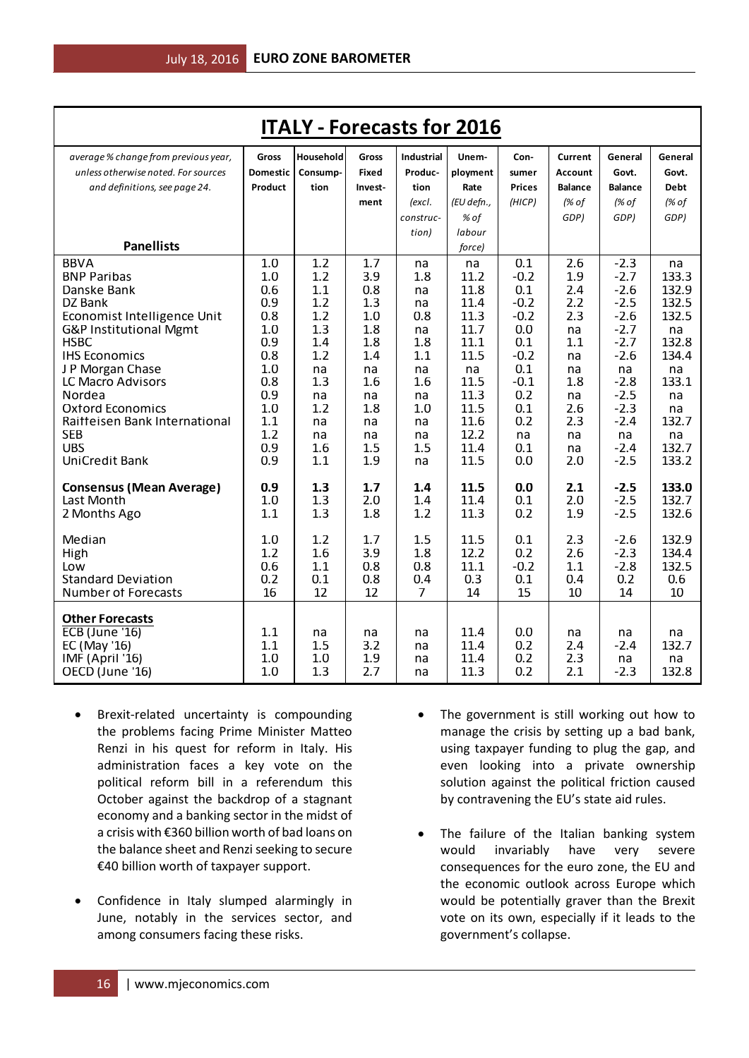| <b>ITALY - Forecasts for 2016</b>                     |                 |            |            |                   |              |                  |                |                  |                |
|-------------------------------------------------------|-----------------|------------|------------|-------------------|--------------|------------------|----------------|------------------|----------------|
| average % change from previous year,                  | Gross           | Household  | Gross      | <b>Industrial</b> | Unem-        | Con-             | Current        | General          | General        |
| unless otherwise noted. For sources                   | <b>Domestic</b> | Consump-   | Fixed      | Produc-           | ployment     | sumer            | <b>Account</b> | Govt.            | Govt.          |
| and definitions, see page 24.                         | Product         | tion       | Invest-    | tion              | Rate         | <b>Prices</b>    | <b>Balance</b> | <b>Balance</b>   | <b>Debt</b>    |
|                                                       |                 |            | ment       | (excl.            | (EU defn.,   | (HICP)           | (% of          | (% of            | (% of          |
|                                                       |                 |            |            | construc-         | % of         |                  | GDP)           | GDP)             | GDP)           |
|                                                       |                 |            |            | tion)             | labour       |                  |                |                  |                |
| <b>Panellists</b>                                     |                 |            |            |                   | force)       |                  |                |                  |                |
| <b>BBVA</b>                                           | 1.0             | 1.2        | 1.7        | na                | na           | 0.1              | 2.6            | $-2.3$           | na             |
| <b>BNP Paribas</b>                                    | 1.0             | 1.2        | 3.9        | 1.8               | 11.2         | $-0.2$           | 1.9            | $-2.7$           | 133.3          |
| Danske Bank                                           | 0.6             | 1.1        | 0.8        | na                | 11.8         | 0.1              | 2.4            | $-2.6$           | 132.9          |
| DZ Bank                                               | 0.9<br>0.8      | 1.2<br>1.2 | 1.3        | na                | 11.4<br>11.3 | $-0.2$<br>$-0.2$ | 2.2            | $-2.5$<br>$-2.6$ | 132.5<br>132.5 |
| Economist Intelligence Unit<br>G&P Institutional Mgmt | 1.0             | 1.3        | 1.0<br>1.8 | 0.8<br>na         | 11.7         | 0.0              | 2.3<br>na      | $-2.7$           | na             |
| <b>HSBC</b>                                           | 0.9             | 1.4        | 1.8        | 1.8               | 11.1         | 0.1              | 1.1            | $-2.7$           | 132.8          |
| <b>IHS Economics</b>                                  | 0.8             | 1.2        | 1.4        | 1.1               | 11.5         | $-0.2$           | na             | $-2.6$           | 134.4          |
| J P Morgan Chase                                      | 1.0             | na         | na         | na                | na           | 0.1              | na             | na               | na             |
| LC Macro Advisors                                     | 0.8             | 1.3        | 1.6        | 1.6               | 11.5         | $-0.1$           | 1.8            | $-2.8$           | 133.1          |
| Nordea                                                | 0.9             | na         | na         | na                | 11.3         | 0.2              | na             | $-2.5$           | na             |
| <b>Oxford Economics</b>                               | 1.0             | 1.2        | 1.8        | 1.0               | 11.5         | 0.1              | 2.6            | $-2.3$           | na             |
| Raitteisen Bank International                         | 1.1             | na         | na         | na                | 11.6         | 0.2              | 2.3            | $-2.4$           | 132.7          |
| <b>SEB</b>                                            | 1.2             | na         | na         | na                | 12.2         | na               | na             | na               | na             |
| <b>UBS</b>                                            | 0.9             | 1.6        | 1.5        | 1.5               | 11.4         | 0.1              | na             | $-2.4$           | 132.7          |
| <b>UniCredit Bank</b>                                 | 0.9             | 1.1        | 1.9        | na                | 11.5         | 0.0              | 2.0            | $-2.5$           | 133.2          |
| <b>Consensus (Mean Average)</b>                       | 0.9             | 1.3        | 1.7        | 1.4               | 11.5         | 0.0              | 2.1            | $-2.5$           | 133.0          |
| Last Month                                            | 1.0             | 1.3        | 2.0        | 1.4               | 11.4         | 0.1              | 2.0            | $-2.5$           | 132.7          |
| 2 Months Ago                                          | 1.1             | 1.3        | 1.8        | 1.2               | 11.3         | 0.2              | 1.9            | $-2.5$           | 132.6          |
|                                                       |                 |            |            |                   |              |                  |                |                  |                |
| Median                                                | 1.0             | 1.2        | 1.7        | 1.5               | 11.5         | 0.1              | 2.3            | $-2.6$           | 132.9          |
| High                                                  | 1.2             | 1.6        | 3.9        | 1.8               | 12.2         | 0.2              | 2.6            | $-2.3$           | 134.4          |
| Low                                                   | 0.6             | 1.1        | 0.8        | 0.8               | 11.1         | $-0.2$           | 1.1            | $-2.8$           | 132.5          |
| <b>Standard Deviation</b>                             | 0.2             | 0.1        | 0.8        | 0.4               | 0.3          | 0.1              | 0.4            | 0.2              | 0.6            |
| <b>Number of Forecasts</b>                            | 16              | 12         | 12         | $\overline{7}$    | 14           | 15               | 10             | 14               | 10             |
| <b>Other Forecasts</b>                                |                 |            |            |                   |              |                  |                |                  |                |
| <b>ECB</b> (June '16)                                 | 1.1             | na         | na         | na                | 11.4         | 0.0              | na             | na               | na             |
| EC (May '16)                                          | 1.1             | 1.5        | 3.2        | na                | 11.4         | 0.2              | 2.4            | $-2.4$           | 132.7          |
| IMF (April '16)                                       | 1.0             | 1.0        | 1.9        | na                | 11.4         | 0.2              | 2.3            | na               | na             |
| OECD (June '16)                                       | 1.0             | 1.3        | 2.7        | na                | 11.3         | 0.2              | 2.1            | $-2.3$           | 132.8          |

- Brexit-related uncertainty is compounding the problems facing Prime Minister Matteo Renzi in his quest for reform in Italy. His administration faces a key vote on the political reform bill in a referendum this October against the backdrop of a stagnant economy and a banking sector in the midst of a crisis with €360 billion worth of bad loans on the balance sheet and Renzi seeking to secure €40 billion worth of taxpayer support.
- Confidence in Italy slumped alarmingly in June, notably in the services sector, and among consumers facing these risks.
- The government is still working out how to manage the crisis by setting up a bad bank, using taxpayer funding to plug the gap, and even looking into a private ownership solution against the political friction caused by contravening the EU's state aid rules.
- The failure of the Italian banking system would invariably have very severe consequences for the euro zone, the EU and the economic outlook across Europe which would be potentially graver than the Brexit vote on its own, especially if it leads to the government's collapse.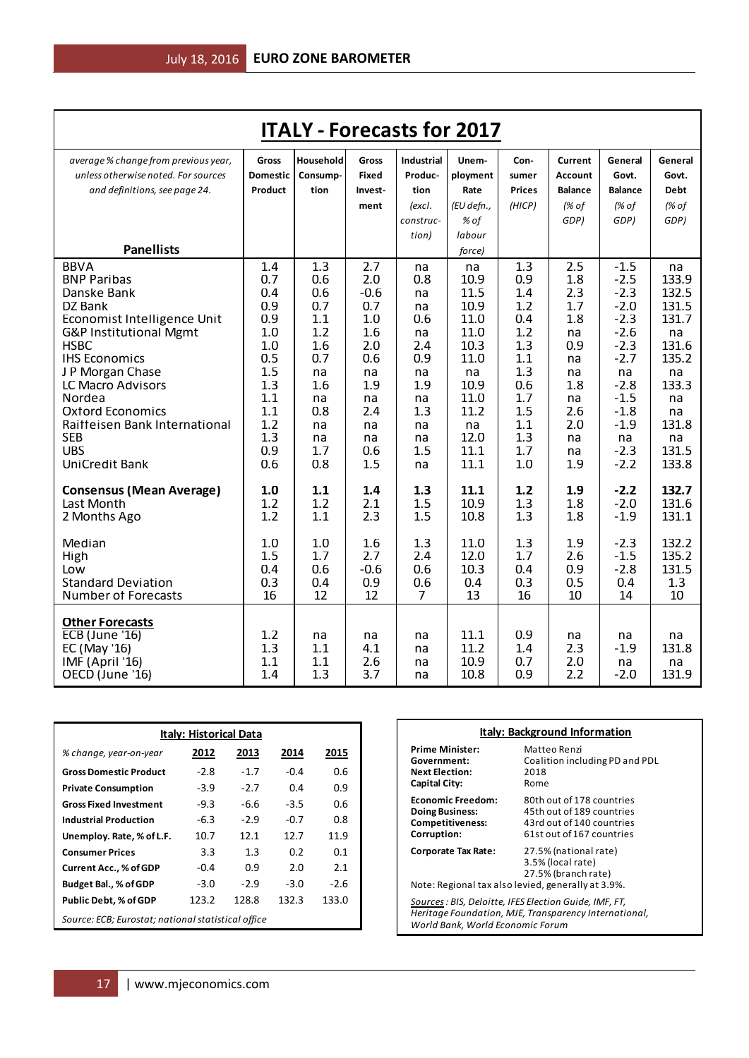| Household<br>average % change from previous year,<br><b>Industrial</b><br>Unem-<br>General<br>General<br>Gross<br><b>Gross</b><br>Con-<br>Current<br>unless otherwise noted. For sources<br>Produc-<br>Govt.<br><b>Domestic</b><br>Consump-<br>Fixed<br>ployment<br>Account<br>Govt.<br>sumer<br>and definitions, see page 24.<br>Product<br>tion<br>tion<br>Rate<br><b>Prices</b><br><b>Balance</b><br><b>Balance</b><br><b>Debt</b><br>Invest-<br>(EU defn.,<br>(HICP)<br>(% of<br>(% of<br>(% of<br>(excl.<br>ment<br>% of<br>GDP)<br>GDP)<br>GDP)<br>construc-<br>labour<br>tion)<br><b>Panellists</b><br>force)<br>1.4<br>1.3<br><b>BBVA</b><br>2.7<br>1.3<br>2.5<br>$-1.5$<br>na<br>na<br>na<br>$-2.5$<br>0.7<br>0.6<br>2.0<br>0.9<br>1.8<br>133.9<br><b>BNP Paribas</b><br>0.8<br>10.9 | <b>ITALY - Forecasts for 2017</b> |     |     |        |    |      |     |     |        |       |
|-----------------------------------------------------------------------------------------------------------------------------------------------------------------------------------------------------------------------------------------------------------------------------------------------------------------------------------------------------------------------------------------------------------------------------------------------------------------------------------------------------------------------------------------------------------------------------------------------------------------------------------------------------------------------------------------------------------------------------------------------------------------------------------------------|-----------------------------------|-----|-----|--------|----|------|-----|-----|--------|-------|
|                                                                                                                                                                                                                                                                                                                                                                                                                                                                                                                                                                                                                                                                                                                                                                                               |                                   |     |     |        |    |      |     |     |        |       |
|                                                                                                                                                                                                                                                                                                                                                                                                                                                                                                                                                                                                                                                                                                                                                                                               |                                   |     |     |        |    |      |     |     |        |       |
|                                                                                                                                                                                                                                                                                                                                                                                                                                                                                                                                                                                                                                                                                                                                                                                               |                                   |     |     |        |    |      |     |     |        |       |
|                                                                                                                                                                                                                                                                                                                                                                                                                                                                                                                                                                                                                                                                                                                                                                                               |                                   |     |     |        |    |      |     |     |        |       |
|                                                                                                                                                                                                                                                                                                                                                                                                                                                                                                                                                                                                                                                                                                                                                                                               |                                   |     |     |        |    |      |     |     |        |       |
|                                                                                                                                                                                                                                                                                                                                                                                                                                                                                                                                                                                                                                                                                                                                                                                               |                                   |     |     |        |    |      |     |     |        |       |
|                                                                                                                                                                                                                                                                                                                                                                                                                                                                                                                                                                                                                                                                                                                                                                                               |                                   |     |     |        |    |      |     |     |        |       |
|                                                                                                                                                                                                                                                                                                                                                                                                                                                                                                                                                                                                                                                                                                                                                                                               | Danske Bank                       | 0.4 | 0.6 | $-0.6$ | na | 11.5 | 1.4 | 2.3 | $-2.3$ | 132.5 |
| 10.9<br>131.5<br>0.9<br>0.7<br>0.7<br>1.2<br>1.7<br>$-2.0$<br>DZ Bank<br>na                                                                                                                                                                                                                                                                                                                                                                                                                                                                                                                                                                                                                                                                                                                   |                                   |     |     |        |    |      |     |     |        |       |
| 0.9<br>1.1<br>1.0<br>11.0<br>0.4<br>1.8<br>$-2.3$<br>131.7<br>Economist Intelligence Unit<br>0.6                                                                                                                                                                                                                                                                                                                                                                                                                                                                                                                                                                                                                                                                                              |                                   |     |     |        |    |      |     |     |        |       |
| $-2.6$<br>1.0<br>1.2<br>1.6<br>11.0<br>1.2<br>G&P Institutional Mgmt<br>na<br>na<br>na                                                                                                                                                                                                                                                                                                                                                                                                                                                                                                                                                                                                                                                                                                        |                                   |     |     |        |    |      |     |     |        |       |
| <b>HSBC</b><br>2.0<br>10.3<br>131.6<br>1.0<br>1.6<br>2.4<br>1.3<br>0.9<br>$-2.3$<br>11.0<br><b>IHS Economics</b><br>0.5<br>0.6<br>0.9<br>$-2.7$<br>135.2<br>0.7<br>1.1<br>na                                                                                                                                                                                                                                                                                                                                                                                                                                                                                                                                                                                                                  |                                   |     |     |        |    |      |     |     |        |       |
| 1.5<br>1.3<br>J P Morgan Chase<br>na<br>na<br>na<br>na<br>na<br>na<br>na                                                                                                                                                                                                                                                                                                                                                                                                                                                                                                                                                                                                                                                                                                                      |                                   |     |     |        |    |      |     |     |        |       |
| 1.3<br>1.6<br>1.9<br>10.9<br>$-2.8$<br>133.3<br>LC Macro Advisors<br>1.9<br>0.6<br>1.8                                                                                                                                                                                                                                                                                                                                                                                                                                                                                                                                                                                                                                                                                                        |                                   |     |     |        |    |      |     |     |        |       |
| Nordea<br>1.1<br>11.0<br>1.7<br>$-1.5$<br>na<br>na<br>na<br>na<br>na                                                                                                                                                                                                                                                                                                                                                                                                                                                                                                                                                                                                                                                                                                                          |                                   |     |     |        |    |      |     |     |        |       |
| 11.2<br>1.1<br>2.4<br>1.5<br>2.6<br>$-1.8$<br><b>Oxford Economics</b><br>0.8<br>1.3<br>na                                                                                                                                                                                                                                                                                                                                                                                                                                                                                                                                                                                                                                                                                                     |                                   |     |     |        |    |      |     |     |        |       |
| 1.2<br>Raitteisen Bank International<br>1.1<br>2.0<br>$-1.9$<br>131.8<br>na<br>na<br>na<br>na                                                                                                                                                                                                                                                                                                                                                                                                                                                                                                                                                                                                                                                                                                 |                                   |     |     |        |    |      |     |     |        |       |
| <b>SEB</b><br>1.3<br>12.0<br>1.3<br>na<br>na<br>na<br>na<br>na<br>na<br><b>UBS</b><br>0.9<br>11.1<br>1.7<br>1.5<br>1.7<br>$-2.3$<br>131.5<br>0.6<br>na                                                                                                                                                                                                                                                                                                                                                                                                                                                                                                                                                                                                                                        |                                   |     |     |        |    |      |     |     |        |       |
| <b>UniCredit Bank</b><br>0.6<br>0.8<br>1.5<br>11.1<br>1.0<br>$-2.2$<br>133.8<br>1.9<br>na                                                                                                                                                                                                                                                                                                                                                                                                                                                                                                                                                                                                                                                                                                     |                                   |     |     |        |    |      |     |     |        |       |
|                                                                                                                                                                                                                                                                                                                                                                                                                                                                                                                                                                                                                                                                                                                                                                                               |                                   |     |     |        |    |      |     |     |        |       |
| 132.7<br>1.0<br>1.1<br>1.4<br>1.3<br>11.1<br>1.2<br>1.9<br>$-2.2$<br><b>Consensus (Mean Average)</b>                                                                                                                                                                                                                                                                                                                                                                                                                                                                                                                                                                                                                                                                                          |                                   |     |     |        |    |      |     |     |        |       |
| 10.9<br>131.6<br>Last Month<br>1.2<br>2.1<br>1.5<br>1.3<br>1.8<br>$-2.0$<br>1.2<br>1.2<br>1.1<br>2.3<br>1.5<br>10.8<br>1.3<br>1.8<br>$-1.9$<br>131.1<br>2 Months Ago                                                                                                                                                                                                                                                                                                                                                                                                                                                                                                                                                                                                                          |                                   |     |     |        |    |      |     |     |        |       |
|                                                                                                                                                                                                                                                                                                                                                                                                                                                                                                                                                                                                                                                                                                                                                                                               |                                   |     |     |        |    |      |     |     |        |       |
| Median<br>1.3<br>11.0<br>1.3<br>1.9<br>132.2<br>1.0<br>1.0<br>1.6<br>$-2.3$                                                                                                                                                                                                                                                                                                                                                                                                                                                                                                                                                                                                                                                                                                                   |                                   |     |     |        |    |      |     |     |        |       |
| 1.5<br>1.7<br>2.7<br>2.4<br>12.0<br>2.6<br>$-1.5$<br>135.2<br>1.7<br>High                                                                                                                                                                                                                                                                                                                                                                                                                                                                                                                                                                                                                                                                                                                     |                                   |     |     |        |    |      |     |     |        |       |
| 0.4<br>0.6<br>$-0.6$<br>0.6<br>10.3<br>0.9<br>$-2.8$<br>131.5<br>Low<br>0.4<br><b>Standard Deviation</b><br>0.3<br>0.4<br>0.9<br>0.6<br>0.4<br>0.3<br>0.5<br>0.4<br>1.3                                                                                                                                                                                                                                                                                                                                                                                                                                                                                                                                                                                                                       |                                   |     |     |        |    |      |     |     |        |       |
| 16<br><b>Number of Forecasts</b><br>16<br>12<br>12<br>7<br>13<br>10<br>14<br>10                                                                                                                                                                                                                                                                                                                                                                                                                                                                                                                                                                                                                                                                                                               |                                   |     |     |        |    |      |     |     |        |       |
|                                                                                                                                                                                                                                                                                                                                                                                                                                                                                                                                                                                                                                                                                                                                                                                               |                                   |     |     |        |    |      |     |     |        |       |
| <b>Other Forecasts</b>                                                                                                                                                                                                                                                                                                                                                                                                                                                                                                                                                                                                                                                                                                                                                                        |                                   |     |     |        |    |      |     |     |        |       |
| 1.2<br><b>ECB</b> (June '16)<br>11.1<br>0.9<br>na<br>na<br>na<br>na<br>na<br>na                                                                                                                                                                                                                                                                                                                                                                                                                                                                                                                                                                                                                                                                                                               |                                   |     |     |        |    |      |     |     |        |       |
| 1.3<br>11.2<br>EC (May '16)<br>1.1<br>4.1<br>1.4<br>2.3<br>$-1.9$<br>131.8<br>na<br>IMF (April '16)<br>1.1<br>1.1<br>2.6<br>10.9<br>2.0<br>0.7<br>na<br>na<br>na                                                                                                                                                                                                                                                                                                                                                                                                                                                                                                                                                                                                                              |                                   |     |     |        |    |      |     |     |        |       |
| 1.4<br>1.3<br>3.7<br>10.8<br>0.9<br>2.2<br>131.9<br>OECD (June '16)<br>$-2.0$<br>na                                                                                                                                                                                                                                                                                                                                                                                                                                                                                                                                                                                                                                                                                                           |                                   |     |     |        |    |      |     |     |        |       |

| <b>Italy: Historical Data</b>                      |        |        |        |        |  |  |  |
|----------------------------------------------------|--------|--------|--------|--------|--|--|--|
| % change, year-on-year                             | 2012   | 2013   | 2014   | 2015   |  |  |  |
| <b>Gross Domestic Product</b>                      | $-2.8$ | $-1.7$ | $-0.4$ | 0.6    |  |  |  |
| <b>Private Consumption</b>                         | $-3.9$ | $-2.7$ | 0.4    | 0.9    |  |  |  |
| <b>Gross Fixed Investment</b>                      | $-9.3$ | -6.6   | $-3.5$ | 0.6    |  |  |  |
| <b>Industrial Production</b>                       | $-6.3$ | $-2.9$ | $-0.7$ | 0.8    |  |  |  |
| Unemploy. Rate, % of L.F.                          | 10.7   | 12.1   | 12.7   | 11.9   |  |  |  |
| <b>Consumer Prices</b>                             | 3.3    | 1.3    | 0.2    | 0.1    |  |  |  |
| <b>Current Acc., % of GDP</b>                      | $-0.4$ | 0.9    | 2.0    | 2.1    |  |  |  |
| Budget Bal., % of GDP                              | $-3.0$ | $-2.9$ | $-3.0$ | $-2.6$ |  |  |  |
| Public Debt, % of GDP                              | 123.2  | 128.8  | 132.3  | 133.0  |  |  |  |
| Source: ECB; Eurostat; national statistical office |        |        |        |        |  |  |  |

| <b>Italy: Background Information</b> |                                                                   |  |  |  |
|--------------------------------------|-------------------------------------------------------------------|--|--|--|
| <b>Prime Minister:</b>               | Matteo Renzi                                                      |  |  |  |
| Government:                          | Coalition including PD and PDL                                    |  |  |  |
| <b>Next Election:</b>                | 2018                                                              |  |  |  |
| Capital City:                        | Rome                                                              |  |  |  |
| <b>Economic Freedom:</b>             | 80th out of 178 countries                                         |  |  |  |
| <b>Doing Business:</b>               | 45th out of 189 countries                                         |  |  |  |
| <b>Competitiveness:</b>              | 43rd out of 140 countries                                         |  |  |  |
| Corruption:                          | 61st out of 167 countries                                         |  |  |  |
| <b>Corporate Tax Rate:</b>           | 27.5% (national rate)<br>3.5% (local rate)<br>27.5% (branch rate) |  |  |  |

Note: Regional tax also levied, generally at 3.9%.

*Sources: BIS, Deloitte, IFES Election Guide, IMF, FT, Heritage Foundation, MJE, Transparency International, World Bank, World Economic Forum*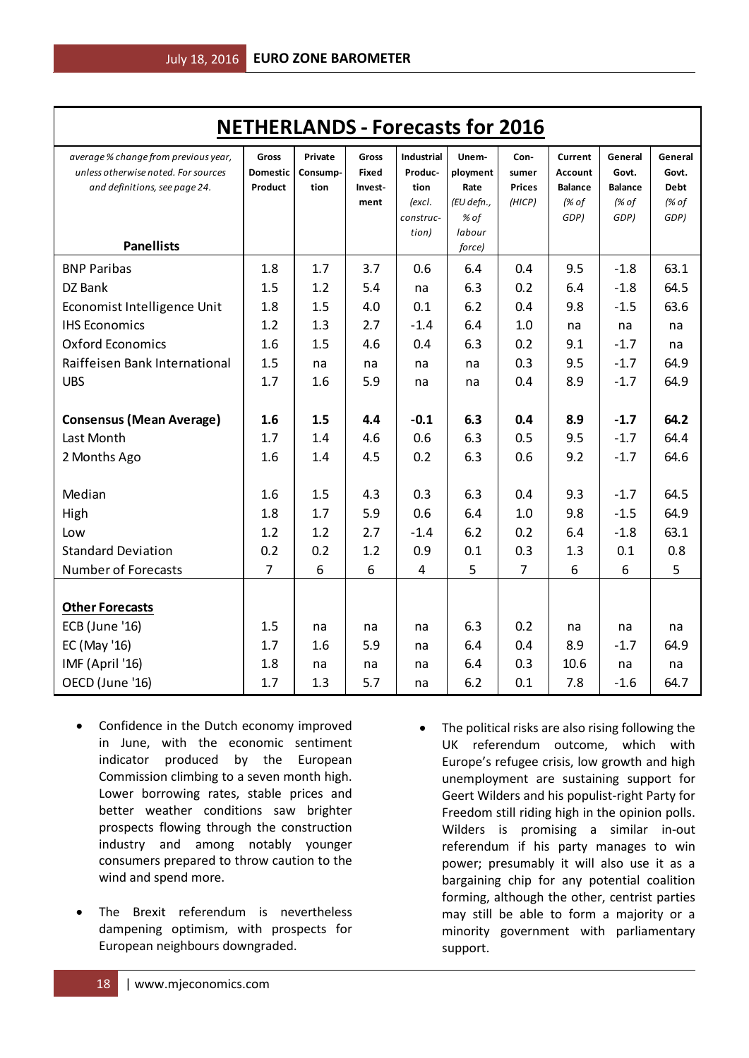| <b>NETHERLANDS - Forecasts for 2016</b>                                     |                          |                     |                       |                              |                    |                |                           |                  |                  |
|-----------------------------------------------------------------------------|--------------------------|---------------------|-----------------------|------------------------------|--------------------|----------------|---------------------------|------------------|------------------|
| average % change from previous year,<br>unless otherwise noted. For sources | Gross<br><b>Domestic</b> | Private<br>Consump- | Gross<br><b>Fixed</b> | <b>Industrial</b><br>Produc- | Unem-<br>ployment  | Con-<br>sumer  | Current<br><b>Account</b> | General<br>Govt. | General<br>Govt. |
| and definitions, see page 24.                                               | Product                  | tion                | Invest-               | tion                         | Rate               | <b>Prices</b>  | <b>Balance</b>            | <b>Balance</b>   | <b>Debt</b>      |
|                                                                             |                          |                     | ment                  | (excl.<br>construc-          | (EU defn.,<br>% of | (HICP)         | (% of<br>GDP)             | (% of<br>GDP)    | (% of<br>GDP)    |
|                                                                             |                          |                     |                       | tion)                        | labour             |                |                           |                  |                  |
| <b>Panellists</b>                                                           |                          |                     |                       |                              | force)             |                |                           |                  |                  |
| <b>BNP Paribas</b>                                                          | 1.8                      | 1.7                 | 3.7                   | 0.6                          | 6.4                | 0.4            | 9.5                       | $-1.8$           | 63.1             |
| DZ Bank                                                                     | 1.5                      | 1.2                 | 5.4                   | na                           | 6.3                | 0.2            | 6.4                       | $-1.8$           | 64.5             |
| Economist Intelligence Unit                                                 | 1.8                      | 1.5                 | 4.0                   | 0.1                          | 6.2                | 0.4            | 9.8                       | $-1.5$           | 63.6             |
| <b>IHS Economics</b>                                                        | 1.2                      | 1.3                 | 2.7                   | $-1.4$                       | 6.4                | 1.0            | na                        | na               | na               |
| <b>Oxford Economics</b>                                                     | 1.6                      | 1.5                 | 4.6                   | 0.4                          | 6.3                | 0.2            | 9.1                       | $-1.7$           | na               |
| Raiffeisen Bank International                                               | 1.5                      | na                  | na                    | na                           | na                 | 0.3            | 9.5                       | $-1.7$           | 64.9             |
| <b>UBS</b>                                                                  | 1.7                      | 1.6                 | 5.9                   | na                           | na                 | 0.4            | 8.9                       | $-1.7$           | 64.9             |
|                                                                             |                          |                     |                       |                              |                    |                |                           |                  |                  |
| <b>Consensus (Mean Average)</b>                                             | 1.6                      | 1.5                 | 4.4                   | $-0.1$                       | 6.3                | 0.4            | 8.9                       | $-1.7$           | 64.2             |
| Last Month                                                                  | 1.7                      | 1.4                 | 4.6                   | 0.6                          | 6.3                | 0.5            | 9.5                       | $-1.7$           | 64.4             |
| 2 Months Ago                                                                | 1.6                      | 1.4                 | 4.5                   | 0.2                          | 6.3                | 0.6            | 9.2                       | $-1.7$           | 64.6             |
|                                                                             |                          |                     |                       |                              |                    |                |                           |                  |                  |
| Median                                                                      | 1.6                      | 1.5                 | 4.3                   | 0.3                          | 6.3                | 0.4            | 9.3                       | $-1.7$           | 64.5             |
| High                                                                        | 1.8                      | 1.7                 | 5.9                   | 0.6                          | 6.4                | 1.0            | 9.8                       | $-1.5$           | 64.9             |
| Low                                                                         | 1.2                      | 1.2                 | 2.7                   | $-1.4$                       | 6.2                | 0.2            | 6.4                       | $-1.8$           | 63.1             |
| <b>Standard Deviation</b>                                                   | 0.2                      | 0.2                 | 1.2                   | 0.9                          | 0.1                | 0.3            | 1.3                       | 0.1              | 0.8              |
| Number of Forecasts                                                         | $\overline{7}$           | 6                   | 6                     | 4                            | 5                  | $\overline{7}$ | 6                         | 6                | 5                |
|                                                                             |                          |                     |                       |                              |                    |                |                           |                  |                  |
| <b>Other Forecasts</b>                                                      |                          |                     |                       |                              |                    |                |                           |                  |                  |
| <b>ECB</b> (June '16)                                                       | 1.5                      | na                  | na                    | na                           | 6.3                | 0.2            | na                        | na               | na               |
| EC (May '16)                                                                | 1.7                      | 1.6                 | 5.9                   | na                           | 6.4                | 0.4            | 8.9                       | $-1.7$           | 64.9             |
| IMF (April '16)                                                             | 1.8                      | na                  | na                    | na                           | 6.4                | 0.3            | 10.6                      | na               | na               |
| OECD (June '16)                                                             | 1.7                      | 1.3                 | 5.7                   | na                           | 6.2                | 0.1            | 7.8                       | $-1.6$           | 64.7             |

- Confidence in the Dutch economy improved in June, with the economic sentiment indicator produced by the European Commission climbing to a seven month high. Lower borrowing rates, stable prices and better weather conditions saw brighter prospects flowing through the construction industry and among notably younger consumers prepared to throw caution to the wind and spend more.
- The Brexit referendum is nevertheless dampening optimism, with prospects for European neighbours downgraded.
- The political risks are also rising following the UK referendum outcome, which with Europe's refugee crisis, low growth and high unemployment are sustaining support for Geert Wilders and his populist-right Party for Freedom still riding high in the opinion polls. Wilders is promising a similar in-out referendum if his party manages to win power; presumably it will also use it as a bargaining chip for any potential coalition forming, although the other, centrist parties may still be able to form a majority or a minority government with parliamentary support.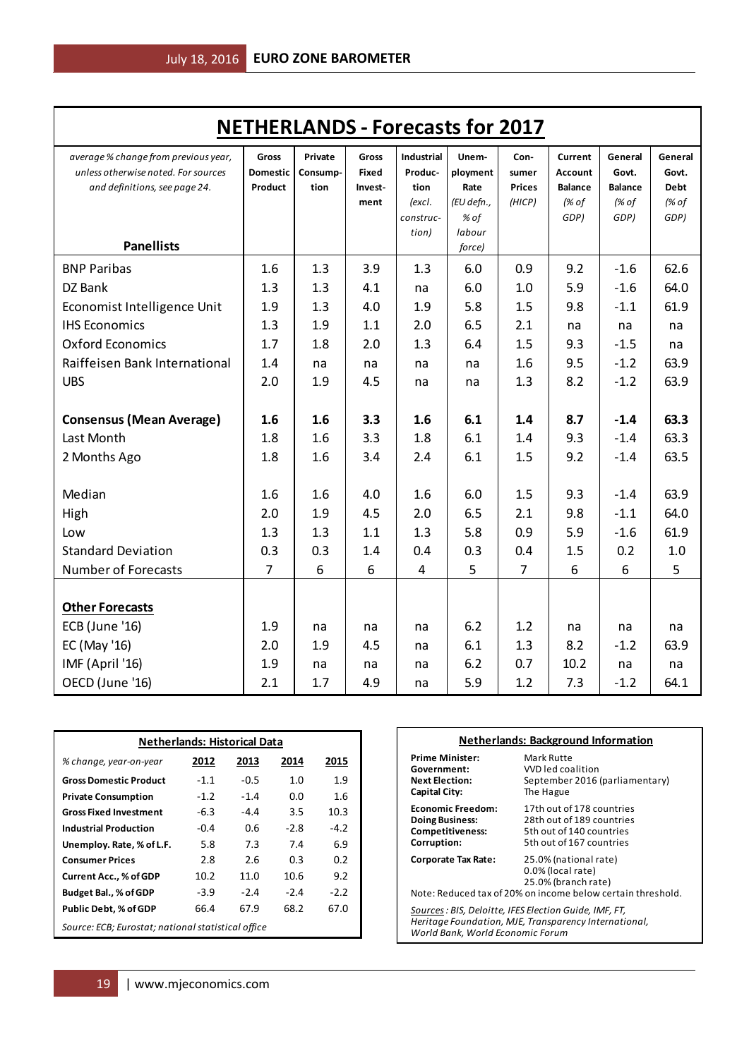| <b>NETHERLANDS - Forecasts for 2017</b> |                            |          |                         |                   |                  |                        |                         |                         |               |
|-----------------------------------------|----------------------------|----------|-------------------------|-------------------|------------------|------------------------|-------------------------|-------------------------|---------------|
| average % change from previous year,    | Gross                      | Private  | Gross                   | <b>Industrial</b> | Unem-            | Con-                   | Current                 | General                 | General       |
| unless otherwise noted. For sources     | <b>Domestic</b><br>Product | Consump- | <b>Fixed</b><br>Invest- | Produc-           | ployment<br>Rate | sumer<br><b>Prices</b> | <b>Account</b>          | Govt.                   | Govt.         |
| and definitions, see page 24.           |                            | tion     | ment                    | tion<br>(excl.    | (EU defn.,       | (HICP)                 | <b>Balance</b><br>(% of | <b>Balance</b><br>(% of | Debt<br>(% of |
|                                         |                            |          |                         | construc-         | % of             |                        | GDP)                    | GDP)                    | GDP)          |
|                                         |                            |          |                         | tion)             | labour           |                        |                         |                         |               |
| <b>Panellists</b>                       |                            |          |                         |                   | force)           |                        |                         |                         |               |
| <b>BNP Paribas</b>                      | 1.6                        | 1.3      | 3.9                     | 1.3               | 6.0              | 0.9                    | 9.2                     | $-1.6$                  | 62.6          |
| DZ Bank                                 | 1.3                        | 1.3      | 4.1                     | na                | 6.0              | 1.0                    | 5.9                     | $-1.6$                  | 64.0          |
| Economist Intelligence Unit             | 1.9                        | 1.3      | 4.0                     | 1.9               | 5.8              | 1.5                    | 9.8                     | $-1.1$                  | 61.9          |
| <b>IHS Economics</b>                    | 1.3                        | 1.9      | 1.1                     | 2.0               | 6.5              | 2.1                    | na                      | na                      | na            |
| <b>Oxford Economics</b>                 | 1.7                        | 1.8      | 2.0                     | 1.3               | 6.4              | 1.5                    | 9.3                     | $-1.5$                  | na            |
| Raiffeisen Bank International           | 1.4                        | na       | na                      | na                | na               | 1.6                    | 9.5                     | $-1.2$                  | 63.9          |
| <b>UBS</b>                              | 2.0                        | 1.9      | 4.5                     | na                | na               | 1.3                    | 8.2                     | $-1.2$                  | 63.9          |
|                                         |                            |          |                         |                   |                  |                        |                         |                         |               |
| <b>Consensus (Mean Average)</b>         | 1.6                        | 1.6      | 3.3                     | 1.6               | 6.1              | 1.4                    | 8.7                     | $-1.4$                  | 63.3          |
| Last Month                              | 1.8                        | 1.6      | 3.3                     | 1.8               | 6.1              | 1.4                    | 9.3                     | $-1.4$                  | 63.3          |
| 2 Months Ago                            | 1.8                        | 1.6      | 3.4                     | 2.4               | 6.1              | 1.5                    | 9.2                     | $-1.4$                  | 63.5          |
|                                         |                            |          |                         |                   |                  |                        |                         |                         |               |
| Median                                  | 1.6                        | 1.6      | 4.0                     | 1.6               | 6.0              | 1.5                    | 9.3                     | $-1.4$                  | 63.9          |
| High                                    | 2.0                        | 1.9      | 4.5                     | 2.0               | 6.5              | 2.1                    | 9.8                     | $-1.1$                  | 64.0          |
| Low                                     | 1.3                        | 1.3      | 1.1                     | 1.3               | 5.8              | 0.9                    | 5.9                     | $-1.6$                  | 61.9          |
| <b>Standard Deviation</b>               | 0.3                        | 0.3      | 1.4                     | 0.4               | 0.3              | 0.4                    | 1.5                     | 0.2                     | 1.0           |
| <b>Number of Forecasts</b>              | $\overline{7}$             | 6        | 6                       | 4                 | 5                | $\overline{7}$         | 6                       | 6                       | 5             |
|                                         |                            |          |                         |                   |                  |                        |                         |                         |               |
| <b>Other Forecasts</b>                  |                            |          |                         |                   |                  |                        |                         |                         |               |
| ECB (June '16)                          | 1.9                        | na       | na                      | na                | 6.2              | 1.2                    | na                      | na                      | na            |
| EC (May '16)                            | 2.0                        | 1.9      | 4.5                     | na                | 6.1              | 1.3                    | 8.2                     | $-1.2$                  | 63.9          |
| IMF (April '16)                         | 1.9                        | na       | na                      | na                | 6.2              | 0.7                    | 10.2                    | na                      | na            |
| OECD (June '16)                         | 2.1                        | 1.7      | 4.9                     | na                | 5.9              | 1.2                    | 7.3                     | $-1.2$                  | 64.1          |

| <b>Netherlands: Historical Data</b>                |        |        |             |        |  |  |  |
|----------------------------------------------------|--------|--------|-------------|--------|--|--|--|
| % change, year-on-year                             | 2012   | 2013   | 2014        | 2015   |  |  |  |
| <b>Gross Domestic Product</b>                      | $-1.1$ | $-0.5$ | 1. $\Omega$ | 1.9    |  |  |  |
| <b>Private Consumption</b>                         | $-1.2$ | $-1.4$ | 0.O         | 1.6    |  |  |  |
| <b>Gross Fixed Investment</b>                      | -6.3   | $-4.4$ | 3.5         | 10.3   |  |  |  |
| <b>Industrial Production</b>                       | $-0.4$ | 0.6    | $-2.8$      | $-4.2$ |  |  |  |
| Unemploy. Rate, % of L.F.                          | 5.8    | 7.3    | 7.4         | 6.9    |  |  |  |
| <b>Consumer Prices</b>                             | 2.8    | 2.6    | 0.3         | 0.2    |  |  |  |
| <b>Current Acc., % of GDP</b>                      | 10.2   | 11.0   | 10.6        | 9.2    |  |  |  |
| Budget Bal., % of GDP                              | $-3.9$ | $-2.4$ | $-2.4$      | $-2.2$ |  |  |  |
| <b>Public Debt, % of GDP</b>                       | 66.4   | 67.9   | 68.2        | 67.0   |  |  |  |
| Source: ECB; Eurostat; national statistical office |        |        |             |        |  |  |  |

| <b>Netherlands: Background Information</b>                                                                                                          |                                                                                                                                  |  |  |  |  |
|-----------------------------------------------------------------------------------------------------------------------------------------------------|----------------------------------------------------------------------------------------------------------------------------------|--|--|--|--|
| <b>Prime Minister:</b><br>Government:<br><b>Next Election:</b><br>Capital City:                                                                     | Mark Rutte<br>VVD led coalition<br>September 2016 (parliamentary)<br>The Hague                                                   |  |  |  |  |
| <b>Economic Freedom:</b><br><b>Doing Business:</b><br><b>Competitiveness:</b><br>Corruption:                                                        | 17th out of 178 countries<br>28th out of 189 countries<br>5th out of 140 countries<br>5th out of 167 countries                   |  |  |  |  |
| Corporate Tax Rate:                                                                                                                                 | 25.0% (national rate)<br>0.0% (local rate)<br>25.0% (branch rate)<br>Note: Reduced tax of 20% on income below certain threshold. |  |  |  |  |
| Sources : BIS, Deloitte, IFES Election Guide, IMF, FT,<br>Heritage Foundation, MJE, Transparency International,<br>World Bank, World Economic Forum |                                                                                                                                  |  |  |  |  |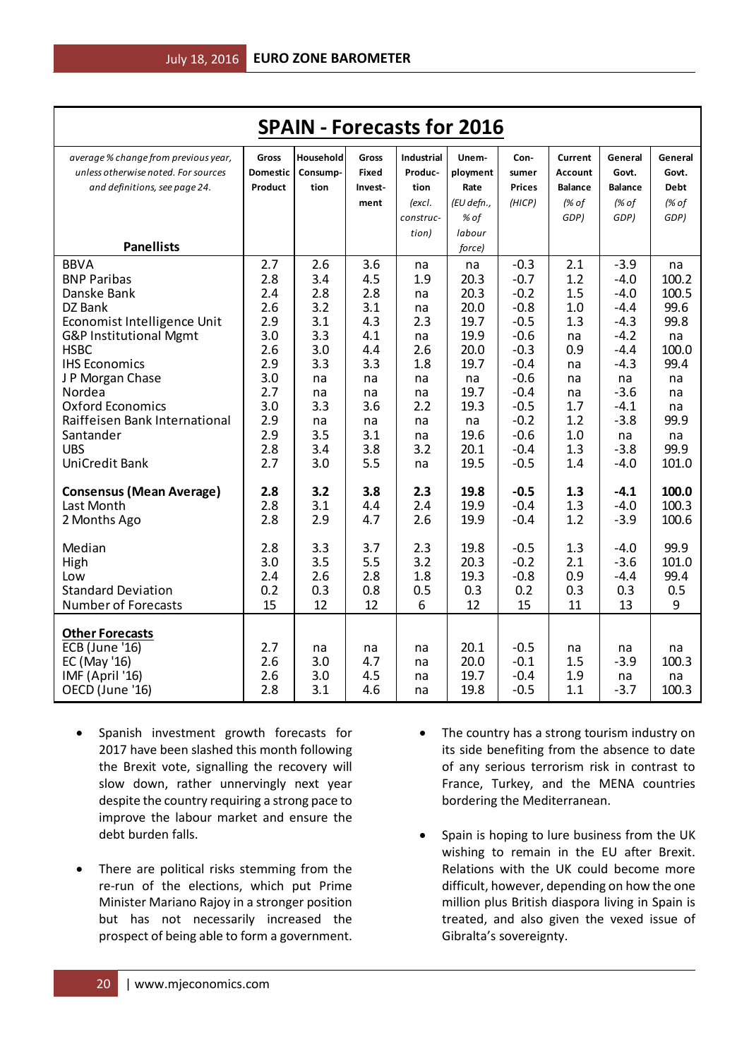| <b>SPAIN - Forecasts for 2016</b>                       |                 |                  |              |                   |              |                  |                |                  |              |
|---------------------------------------------------------|-----------------|------------------|--------------|-------------------|--------------|------------------|----------------|------------------|--------------|
| average % change from previous year,                    | Gross           | <b>Household</b> | Gross        | <b>Industrial</b> | Unem-        | Con-             | <b>Current</b> | General          | General      |
| unless otherwise noted. For sources                     | <b>Domestic</b> | Consump-         | <b>Fixed</b> | Produc-           | ployment     | sumer            | <b>Account</b> | Govt.            | Govt.        |
| and definitions, see page 24.                           | Product         | tion             | Invest-      | tion              | Rate         | <b>Prices</b>    | <b>Balance</b> | <b>Balance</b>   | <b>Debt</b>  |
|                                                         |                 |                  | ment         | (excl.            | (EU defn.,   | (HICP)           | (% of          | (% of            | (% of        |
|                                                         |                 |                  |              | construc-         | % of         |                  | GDP)           | GDP)             | GDP)         |
|                                                         |                 |                  |              | tion)             | labour       |                  |                |                  |              |
| <b>Panellists</b>                                       |                 |                  |              |                   | force)       |                  |                |                  |              |
| <b>BBVA</b>                                             | 2.7             | 2.6              | 3.6          | na                | na           | $-0.3$           | 2.1            | $-3.9$           | na           |
| <b>BNP Paribas</b>                                      | 2.8             | 3.4              | 4.5          | 1.9               | 20.3         | $-0.7$           | 1.2            | $-4.0$           | 100.2        |
| Danske Bank                                             | 2.4             | 2.8              | 2.8          | na                | 20.3         | $-0.2$           | 1.5            | $-4.0$           | 100.5        |
| DZ Bank                                                 | 2.6<br>2.9      | 3.2<br>3.1       | 3.1<br>4.3   | na<br>2.3         | 20.0<br>19.7 | $-0.8$<br>$-0.5$ | 1.0<br>1.3     | $-4.4$<br>$-4.3$ | 99.6<br>99.8 |
| Economist Intelligence Unit<br>G&P Institutional Mgmt   | 3.0             | 3.3              | 4.1          | na                | 19.9         | $-0.6$           | na             | $-4.2$           | na           |
| <b>HSBC</b>                                             | 2.6             | 3.0              | 4.4          | 2.6               | 20.0         | $-0.3$           | 0.9            | $-4.4$           | 100.0        |
| <b>IHS Economics</b>                                    | 2.9             | 3.3              | 3.3          | 1.8               | 19.7         | $-0.4$           | na             | $-4.3$           | 99.4         |
| J P Morgan Chase                                        | 3.0             | na               | na           | na                | na           | $-0.6$           | na             | na               | na           |
| Nordea                                                  | 2.7             | na               | na           | na                | 19.7         | $-0.4$           | na             | $-3.6$           | na           |
| <b>Oxford Economics</b>                                 | 3.0             | 3.3              | 3.6          | 2.2               | 19.3         | $-0.5$           | 1.7            | $-4.1$           | na           |
| Raiffeisen Bank International                           | 2.9             | na               | na           | na                | na           | $-0.2$           | 1.2            | $-3.8$           | 99.9         |
| Santander                                               | 2.9             | 3.5              | 3.1          | na                | 19.6         | $-0.6$           | 1.0            | na               | na           |
| <b>UBS</b>                                              | 2.8             | 3.4              | 3.8          | 3.2               | 20.1         | $-0.4$           | 1.3            | $-3.8$           | 99.9         |
| <b>UniCredit Bank</b>                                   | 2.7             | 3.0              | 5.5          | na                | 19.5         | $-0.5$           | 1.4            | $-4.0$           | 101.0        |
| <b>Consensus (Mean Average)</b>                         | 2.8             | 3.2              | 3.8          | 2.3               | 19.8         | $-0.5$           | 1.3            | $-4.1$           | 100.0        |
| Last Month                                              | 2.8             | 3.1              | 4.4          | 2.4               | 19.9         | $-0.4$           | 1.3            | $-4.0$           | 100.3        |
| 2 Months Ago                                            | 2.8             | 2.9              | 4.7          | 2.6               | 19.9         | $-0.4$           | 1.2            | $-3.9$           | 100.6        |
|                                                         |                 |                  |              |                   |              |                  |                |                  |              |
| Median                                                  | 2.8             | 3.3              | 3.7          | 2.3               | 19.8         | $-0.5$           | 1.3            | $-4.0$           | 99.9         |
| High                                                    | 3.0             | 3.5              | 5.5          | 3.2               | 20.3         | $-0.2$           | 2.1            | $-3.6$           | 101.0        |
| Low                                                     | 2.4             | 2.6              | 2.8          | 1.8               | 19.3         | $-0.8$           | 0.9            | $-4.4$           | 99.4         |
| <b>Standard Deviation</b><br><b>Number of Forecasts</b> | 0.2<br>15       | 0.3<br>12        | 0.8<br>12    | 0.5<br>6          | 0.3<br>12    | 0.2<br>15        | 0.3<br>11      | 0.3<br>13        | 0.5<br>9     |
|                                                         |                 |                  |              |                   |              |                  |                |                  |              |
| <b>Other Forecasts</b>                                  |                 |                  |              |                   |              |                  |                |                  |              |
| <b>ECB</b> (June '16)                                   | 2.7             | na               | na           | na                | 20.1         | $-0.5$           | na             | na               | na           |
| EC (May '16)                                            | 2.6             | 3.0              | 4.7          | na                | 20.0         | $-0.1$           | 1.5            | $-3.9$           | 100.3        |
| IMF (April '16)                                         | 2.6             | 3.0              | 4.5          | na                | 19.7         | $-0.4$           | 1.9            | na               | na           |
| OECD (June '16)                                         | 2.8             | 3.1              | 4.6          | na                | 19.8         | $-0.5$           | 1.1            | $-3.7$           | 100.3        |

- Spanish investment growth forecasts for 2017 have been slashed this month following the Brexit vote, signalling the recovery will slow down, rather unnervingly next year despite the country requiring a strong pace to improve the labour market and ensure the debt burden falls.
- There are political risks stemming from the re-run of the elections, which put Prime Minister Mariano Rajoy in a stronger position but has not necessarily increased the prospect of being able to form a government.
- The country has a strong tourism industry on its side benefiting from the absence to date of any serious terrorism risk in contrast to France, Turkey, and the MENA countries bordering the Mediterranean.
- Spain is hoping to lure business from the UK wishing to remain in the EU after Brexit. Relations with the UK could become more difficult, however, depending on how the one million plus British diaspora living in Spain is treated, and also given the vexed issue of Gibralta's sovereignty.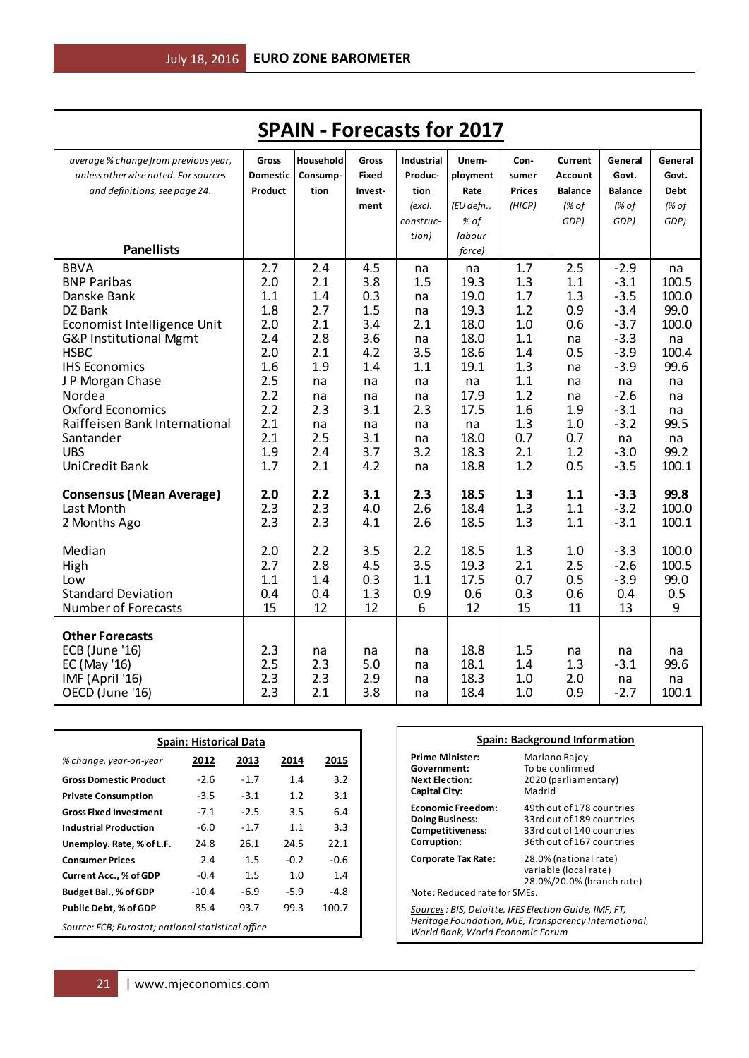| Household<br><b>Industrial</b><br>average % change from previous year,<br>Gross<br>Gross<br>Unem-<br>Current<br>General<br>General<br>Con-<br>unless otherwise noted. For sources<br><b>Domestic</b><br>Produc-<br>ployment<br>Consump-<br>Fixed<br><b>Account</b><br>Govt.<br>Govt.<br>sumer<br>Product<br><b>Prices</b><br>and definitions, see page 24.<br>tion<br>tion<br>Rate<br><b>Balance</b><br><b>Balance</b><br><b>Debt</b><br>Invest-<br>(HICP)<br>(% of<br>(% of<br>(% of<br>(excl.<br>(EU defn.,<br>ment<br>construc-<br>% of<br>GDP)<br>GDP)<br>GDP)<br>labour<br>tion)<br><b>Panellists</b><br>force)<br><b>BBVA</b><br>$-2.9$<br>2.7<br>2.4<br>4.5<br>1.7<br>2.5<br>na<br>na<br>na<br>19.3<br>100.5<br><b>BNP Paribas</b><br>2.0<br>2.1<br>3.8<br>1.5<br>1.3<br>$-3.1$<br>1.1 |
|-----------------------------------------------------------------------------------------------------------------------------------------------------------------------------------------------------------------------------------------------------------------------------------------------------------------------------------------------------------------------------------------------------------------------------------------------------------------------------------------------------------------------------------------------------------------------------------------------------------------------------------------------------------------------------------------------------------------------------------------------------------------------------------------------|
|                                                                                                                                                                                                                                                                                                                                                                                                                                                                                                                                                                                                                                                                                                                                                                                               |
|                                                                                                                                                                                                                                                                                                                                                                                                                                                                                                                                                                                                                                                                                                                                                                                               |
|                                                                                                                                                                                                                                                                                                                                                                                                                                                                                                                                                                                                                                                                                                                                                                                               |
|                                                                                                                                                                                                                                                                                                                                                                                                                                                                                                                                                                                                                                                                                                                                                                                               |
|                                                                                                                                                                                                                                                                                                                                                                                                                                                                                                                                                                                                                                                                                                                                                                                               |
|                                                                                                                                                                                                                                                                                                                                                                                                                                                                                                                                                                                                                                                                                                                                                                                               |
|                                                                                                                                                                                                                                                                                                                                                                                                                                                                                                                                                                                                                                                                                                                                                                                               |
|                                                                                                                                                                                                                                                                                                                                                                                                                                                                                                                                                                                                                                                                                                                                                                                               |
|                                                                                                                                                                                                                                                                                                                                                                                                                                                                                                                                                                                                                                                                                                                                                                                               |
| $-3.5$<br>100.0<br>Danske Bank<br>1.1<br>1.4<br>0.3<br>19.0<br>1.7<br>1.3<br>na                                                                                                                                                                                                                                                                                                                                                                                                                                                                                                                                                                                                                                                                                                               |
| 99.0<br>1.8<br>2.7<br>1.5<br>19.3<br>0.9<br>DZ Bank<br>1.2<br>$-3.4$<br>na                                                                                                                                                                                                                                                                                                                                                                                                                                                                                                                                                                                                                                                                                                                    |
| 3.4<br>18.0<br>$-3.7$<br>100.0<br>Economist Intelligence Unit<br>2.0<br>2.1<br>2.1<br>1.0<br>0.6                                                                                                                                                                                                                                                                                                                                                                                                                                                                                                                                                                                                                                                                                              |
| 2.4<br>2.8<br>3.6<br>18.0<br>1.1<br>$-3.3$<br>G&P Institutional Mgmt<br>na<br>na<br>na                                                                                                                                                                                                                                                                                                                                                                                                                                                                                                                                                                                                                                                                                                        |
| <b>HSBC</b><br>18.6<br>$-3.9$<br>100.4<br>2.0<br>2.1<br>4.2<br>3.5<br>0.5<br>1.4                                                                                                                                                                                                                                                                                                                                                                                                                                                                                                                                                                                                                                                                                                              |
| 1.9<br>99.6<br><b>IHS Economics</b><br>1.6<br>1.4<br>1.1<br>19.1<br>1.3<br>$-3.9$<br>na                                                                                                                                                                                                                                                                                                                                                                                                                                                                                                                                                                                                                                                                                                       |
| 2.5<br>J P Morgan Chase<br>1.1<br>na<br>na<br>na<br>na<br>na<br>na<br>na<br>2.2                                                                                                                                                                                                                                                                                                                                                                                                                                                                                                                                                                                                                                                                                                               |
| 17.9<br>1.2<br>$-2.6$<br>Nordea<br>na<br>na<br>na<br>na<br>na<br>2.2<br><b>Oxford Economics</b><br>2.3<br>3.1<br>17.5<br>$-3.1$<br>2.3<br>1.6<br>1.9                                                                                                                                                                                                                                                                                                                                                                                                                                                                                                                                                                                                                                          |
| na<br>$-3.2$<br>99.5<br>Raiffeisen Bank International<br>2.1<br>1.3<br>1.0<br>na<br>na<br>na<br>na                                                                                                                                                                                                                                                                                                                                                                                                                                                                                                                                                                                                                                                                                            |
| 2.1<br>2.5<br>3.1<br>18.0<br>0.7<br>0.7<br>Santander<br>na<br>na<br>na                                                                                                                                                                                                                                                                                                                                                                                                                                                                                                                                                                                                                                                                                                                        |
| 99.2<br><b>UBS</b><br>1.9<br>3.7<br>3.2<br>18.3<br>$-3.0$<br>2.4<br>2.1<br>1.2                                                                                                                                                                                                                                                                                                                                                                                                                                                                                                                                                                                                                                                                                                                |
| UniCredit Bank<br>1.7<br>18.8<br>1.2<br>0.5<br>$-3.5$<br>2.1<br>4.2<br>100.1<br>na                                                                                                                                                                                                                                                                                                                                                                                                                                                                                                                                                                                                                                                                                                            |
|                                                                                                                                                                                                                                                                                                                                                                                                                                                                                                                                                                                                                                                                                                                                                                                               |
| 99.8<br><b>Consensus (Mean Average)</b><br>2.0<br>2.2<br>3.1<br>2.3<br>18.5<br>1.3<br>$-3.3$<br>1.1                                                                                                                                                                                                                                                                                                                                                                                                                                                                                                                                                                                                                                                                                           |
| 2.3<br>2.6<br>18.4<br>1.1<br>$-3.2$<br>100.0<br>Last Month<br>2.3<br>4.0<br>1.3                                                                                                                                                                                                                                                                                                                                                                                                                                                                                                                                                                                                                                                                                                               |
| 2.3<br>18.5<br>100.1<br>2.3<br>2.6<br>1.3<br>$-3.1$<br>2 Months Ago<br>4.1<br>1.1                                                                                                                                                                                                                                                                                                                                                                                                                                                                                                                                                                                                                                                                                                             |
|                                                                                                                                                                                                                                                                                                                                                                                                                                                                                                                                                                                                                                                                                                                                                                                               |
| 3.5<br>18.5<br>100.0<br>Median<br>2.0<br>2.2<br>2.2<br>1.3<br>$-3.3$<br>1.0                                                                                                                                                                                                                                                                                                                                                                                                                                                                                                                                                                                                                                                                                                                   |
| 2.8<br>3.5<br>2.7<br>19.3<br>2.1<br>2.5<br>$-2.6$<br>100.5<br>High<br>4.5                                                                                                                                                                                                                                                                                                                                                                                                                                                                                                                                                                                                                                                                                                                     |
| 1.1<br>17.5<br>0.5<br>$-3.9$<br>99.0<br>Low<br>1.4<br>0.3<br>1.1<br>0.7                                                                                                                                                                                                                                                                                                                                                                                                                                                                                                                                                                                                                                                                                                                       |
| <b>Standard Deviation</b><br>0.4<br>0.4<br>1.3<br>0.9<br>0.6<br>0.3<br>0.6<br>0.4<br>0.5                                                                                                                                                                                                                                                                                                                                                                                                                                                                                                                                                                                                                                                                                                      |
| <b>Number of Forecasts</b><br>15<br>12<br>12<br>6<br>12<br>15<br>11<br>13<br>9                                                                                                                                                                                                                                                                                                                                                                                                                                                                                                                                                                                                                                                                                                                |
|                                                                                                                                                                                                                                                                                                                                                                                                                                                                                                                                                                                                                                                                                                                                                                                               |
| <b>Other Forecasts</b><br><b>ECB</b> (June '16)<br>2.3<br>18.8<br>1.5                                                                                                                                                                                                                                                                                                                                                                                                                                                                                                                                                                                                                                                                                                                         |
| na<br>na<br>na<br>na<br>na<br>na<br>2.5<br>2.3<br>5.0<br>18.1<br>$-3.1$<br>99.6<br>EC (May '16)<br>1.4<br>1.3<br>na                                                                                                                                                                                                                                                                                                                                                                                                                                                                                                                                                                                                                                                                           |
| 2.3<br>2.3<br>2.9<br>18.3<br>IMF (April '16)<br>1.0<br>2.0<br>na<br>na<br>na                                                                                                                                                                                                                                                                                                                                                                                                                                                                                                                                                                                                                                                                                                                  |
| 2.3<br>2.1<br>3.8<br>18.4<br>100.1<br>OECD (June '16)<br>1.0<br>0.9<br>$-2.7$<br>na                                                                                                                                                                                                                                                                                                                                                                                                                                                                                                                                                                                                                                                                                                           |

| <b>Spain: Historical Data</b>                      |         |         |        |        |  |  |  |
|----------------------------------------------------|---------|---------|--------|--------|--|--|--|
| % change, year-on-year                             | 2012    | 2013    | 2014   | 2015   |  |  |  |
| <b>Gross Domestic Product</b>                      | $-2.6$  | $-1.7$  | 1.4    | 3.2    |  |  |  |
| <b>Private Consumption</b>                         | $-3.5$  | $-3.1$  | 1.2    | 3.1    |  |  |  |
| <b>Gross Fixed Investment</b>                      | $-7.1$  | $-2.5$  | 3.5    | 6.4    |  |  |  |
| <b>Industrial Production</b>                       | $-6.0$  | $-1.7$  | 1.1    | 3.3    |  |  |  |
| Unemploy. Rate, % of L.F.                          | 24.8    | 26.1    | 24.5   | 22.1   |  |  |  |
| <b>Consumer Prices</b>                             | 2.4     | 1.5     | $-0.2$ | $-0.6$ |  |  |  |
| Current Acc., % of GDP                             | $-0.4$  | $1.5\,$ | 1.0    | 1.4    |  |  |  |
| Budget Bal., % of GDP                              | $-10.4$ | -6.9    | $-5.9$ | $-4.8$ |  |  |  |
| <b>Public Debt, % of GDP</b>                       | 85.4    | 93.7    | 99.3   | 100.7  |  |  |  |
| Source: ECB; Eurostat; national statistical office |         |         |        |        |  |  |  |

| Spain: Background Information                                                                                                                       |                                                                                                                  |  |  |  |  |
|-----------------------------------------------------------------------------------------------------------------------------------------------------|------------------------------------------------------------------------------------------------------------------|--|--|--|--|
| <b>Prime Minister:</b><br>Government:<br><b>Next Election:</b><br><b>Capital City:</b>                                                              | Mariano Rajoy<br>To be confirmed<br>2020 (parliamentary)<br>Madrid                                               |  |  |  |  |
| <b>Economic Freedom:</b><br><b>Doing Business:</b><br><b>Competitiveness:</b><br>Corruption:                                                        | 49th out of 178 countries<br>33rd out of 189 countries<br>33rd out of 140 countries<br>36th out of 167 countries |  |  |  |  |
| <b>Corporate Tax Rate:</b><br>Note: Reduced rate for SMEs.                                                                                          | 28.0% (national rate)<br>variable (local rate)<br>28.0%/20.0% (branch rate)                                      |  |  |  |  |
| Sources : BIS, Deloitte, IFES Election Guide, IMF, FT,<br>Heritage Foundation, MJE, Transparency International,<br>World Bank, World Economic Forum |                                                                                                                  |  |  |  |  |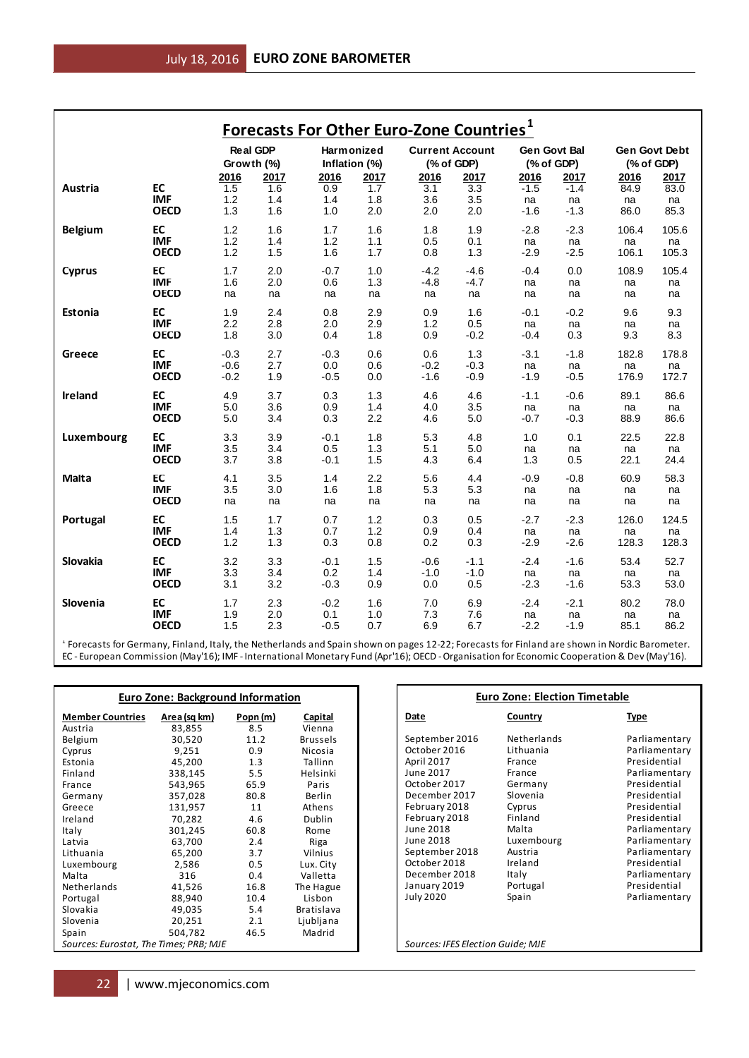|                                                                                                                                                                                                                                                                                              |                                          |                               |            | <b>Forecasts For Other Euro-Zone Countries</b> <sup>1</sup> |            |                                   |                                      |                                      |              |                               |                                |
|----------------------------------------------------------------------------------------------------------------------------------------------------------------------------------------------------------------------------------------------------------------------------------------------|------------------------------------------|-------------------------------|------------|-------------------------------------------------------------|------------|-----------------------------------|--------------------------------------|--------------------------------------|--------------|-------------------------------|--------------------------------|
|                                                                                                                                                                                                                                                                                              |                                          | <b>Real GDP</b><br>Growth (%) |            | Harmonized<br>Inflation (%)                                 |            |                                   | <b>Current Account</b><br>(% of GDP) | <b>Gen Govt Bal</b><br>(% of GDP)    |              | Gen Govt Debt<br>$(%$ of GDP) |                                |
|                                                                                                                                                                                                                                                                                              |                                          | 2016                          | 2017       | 2016                                                        | 2017       | 2016                              | 2017                                 | 2016                                 | 2017         | 2016                          | 2017                           |
| Austria                                                                                                                                                                                                                                                                                      | EC<br><b>IMF</b>                         | 1.5<br>1.2                    | 1.6<br>1.4 | 0.9<br>1.4                                                  | 1.7<br>1.8 | 3.1<br>3.6                        | 3.3<br>3.5                           | $-1.5$<br>na                         | $-1.4$<br>na | 84.9<br>na                    | 83.0<br>na                     |
|                                                                                                                                                                                                                                                                                              | <b>OECD</b>                              | 1.3                           | 1.6        | 1.0                                                         | 2.0        | 2.0                               | 2.0                                  | $-1.6$                               | $-1.3$       | 86.0                          | 85.3                           |
| <b>Belgium</b>                                                                                                                                                                                                                                                                               | EC                                       | 1.2                           | 1.6        | 1.7                                                         | 1.6        | 1.8                               | 1.9                                  | $-2.8$                               | $-2.3$       | 106.4                         | 105.6                          |
|                                                                                                                                                                                                                                                                                              | <b>IMF</b>                               | 1.2                           | 1.4        | 1.2                                                         | 1.1        | 0.5                               | 0.1                                  | na                                   | na           | na                            | na                             |
|                                                                                                                                                                                                                                                                                              | <b>OECD</b>                              | 1.2                           | 1.5        | 1.6                                                         | 1.7        | 0.8                               | 1.3                                  | $-2.9$                               | $-2.5$       | 106.1                         | 105.3                          |
| <b>Cyprus</b>                                                                                                                                                                                                                                                                                | EC<br><b>IMF</b>                         | 1.7<br>1.6                    | 2.0<br>2.0 | $-0.7$<br>0.6                                               | 1.0<br>1.3 | $-4.2$<br>-4.8                    | $-4.6$<br>$-4.7$                     | $-0.4$<br>na                         | 0.0<br>na    | 108.9<br>na                   | 105.4<br>na                    |
|                                                                                                                                                                                                                                                                                              | <b>OECD</b>                              | na                            | na         | na                                                          | na         | na                                | na                                   | na                                   | na           | na                            | na                             |
| Estonia                                                                                                                                                                                                                                                                                      | EC                                       | 1.9                           | 2.4        | 0.8                                                         | 2.9        | 0.9                               | 1.6                                  | $-0.1$                               | $-0.2$       | 9.6                           | 9.3                            |
|                                                                                                                                                                                                                                                                                              | <b>IMF</b>                               | 2.2                           | 2.8        | 2.0                                                         | 2.9        | 1.2                               | 0.5                                  | na                                   | na           | na                            | na                             |
|                                                                                                                                                                                                                                                                                              | <b>OECD</b>                              | 1.8                           | 3.0        | 0.4                                                         | 1.8        | 0.9                               | $-0.2$                               | $-0.4$                               | 0.3          | 9.3                           | 8.3                            |
| Greece                                                                                                                                                                                                                                                                                       | EC                                       | $-0.3$                        | 2.7        | $-0.3$                                                      | 0.6        | 0.6                               | 1.3                                  | $-3.1$                               | $-1.8$       | 182.8                         | 178.8                          |
|                                                                                                                                                                                                                                                                                              | <b>IMF</b><br><b>OECD</b>                | $-0.6$<br>$-0.2$              | 2.7<br>1.9 | 0.0<br>$-0.5$                                               | 0.6<br>0.0 | $-0.2$<br>-1.6                    | $-0.3$<br>$-0.9$                     | na<br>$-1.9$                         | na<br>$-0.5$ | na<br>176.9                   | na<br>172.7                    |
| Ireland                                                                                                                                                                                                                                                                                      | EC                                       | 4.9                           | 3.7        | 0.3                                                         | 1.3        | 4.6                               | 4.6                                  | $-1.1$                               | $-0.6$       | 89.1                          | 86.6                           |
|                                                                                                                                                                                                                                                                                              | <b>IMF</b>                               | 5.0                           | 3.6        | 0.9                                                         | 1.4        | 4.0                               | 3.5                                  | na                                   | na           | na                            | na                             |
|                                                                                                                                                                                                                                                                                              | <b>OECD</b>                              | 5.0                           | 3.4        | 0.3                                                         | 2.2        | 4.6                               | 5.0                                  | $-0.7$                               | $-0.3$       | 88.9                          | 86.6                           |
| Luxembourg                                                                                                                                                                                                                                                                                   | EC                                       | 3.3                           | 3.9        | $-0.1$                                                      | 1.8        | 5.3                               | 4.8                                  | 1.0                                  | 0.1          | 22.5                          | 22.8                           |
|                                                                                                                                                                                                                                                                                              | <b>IMF</b><br><b>OECD</b>                | 3.5<br>3.7                    | 3.4<br>3.8 | 0.5<br>$-0.1$                                               | 1.3<br>1.5 | 5.1<br>4.3                        | 5.0<br>6.4                           | na<br>1.3                            | na<br>0.5    | na<br>22.1                    | na<br>24.4                     |
| Malta                                                                                                                                                                                                                                                                                        | EC                                       | 4.1                           | 3.5        | 1.4                                                         | 2.2        | 5.6                               | 4.4                                  | $-0.9$                               | $-0.8$       | 60.9                          | 58.3                           |
|                                                                                                                                                                                                                                                                                              | <b>IMF</b>                               | 3.5                           | 3.0        | 1.6                                                         | 1.8        | 5.3                               | 5.3                                  | na                                   | na           | na                            | na                             |
|                                                                                                                                                                                                                                                                                              | <b>OECD</b>                              | na                            | na         | na                                                          | na         | na                                | na                                   | na                                   | na           | na                            | na                             |
| Portugal                                                                                                                                                                                                                                                                                     | EC                                       | 1.5                           | 1.7        | 0.7                                                         | 1.2        | 0.3                               | 0.5                                  | $-2.7$                               | $-2.3$       | 126.0                         | 124.5                          |
|                                                                                                                                                                                                                                                                                              | <b>IMF</b><br><b>OECD</b>                | 1.4<br>1.2                    | 1.3<br>1.3 | 0.7<br>0.3                                                  | 1.2<br>0.8 | 0.9<br>0.2                        | 0.4<br>0.3                           | na<br>$-2.9$                         | na<br>$-2.6$ | na<br>128.3                   | na<br>128.3                    |
|                                                                                                                                                                                                                                                                                              |                                          |                               |            |                                                             |            |                                   |                                      |                                      |              |                               |                                |
| Slovakia                                                                                                                                                                                                                                                                                     | EC<br><b>IMF</b>                         | 3.2<br>3.3                    | 3.3<br>3.4 | $-0.1$<br>0.2                                               | 1.5<br>1.4 | $-0.6$<br>$-1.0$                  | $-1.1$<br>$-1.0$                     | $-2.4$<br>na                         | $-1.6$<br>na | 53.4<br>na                    | 52.7<br>na                     |
|                                                                                                                                                                                                                                                                                              | <b>OECD</b>                              | 3.1                           | 3.2        | $-0.3$                                                      | 0.9        | 0.0                               | 0.5                                  | $-2.3$                               | -1.6         | 53.3                          | 53.0                           |
| Slovenia                                                                                                                                                                                                                                                                                     | EC                                       | 1.7                           | 2.3        | $-0.2$                                                      | 1.6        | 7.0                               | 6.9                                  | $-2.4$                               | $-2.1$       | 80.2                          | 78.0                           |
|                                                                                                                                                                                                                                                                                              | <b>IMF</b><br><b>OECD</b>                | 1.9<br>1.5                    | 2.0<br>2.3 | 0.1<br>$-0.5$                                               | 1.0<br>0.7 | 7.3<br>6.9                        | 7.6<br>6.7                           | na<br>$-2.2$                         | na<br>$-1.9$ | na<br>85.1                    | na<br>86.2                     |
|                                                                                                                                                                                                                                                                                              |                                          |                               |            |                                                             |            |                                   |                                      |                                      |              |                               |                                |
| f Forecasts for Germany, Finland, Italy, the Netherlands and Spain shown on pages 12-22; Forecasts for Finland are shown in Nordic Barometer.<br>EC - European Commission (May'16); IMF - International Monetary Fund (Apr'16); OECD - Organisation for Economic Cooperation & Dev (May'16). |                                          |                               |            |                                                             |            |                                   |                                      |                                      |              |                               |                                |
|                                                                                                                                                                                                                                                                                              |                                          |                               |            |                                                             |            |                                   |                                      |                                      |              |                               |                                |
|                                                                                                                                                                                                                                                                                              |                                          |                               |            |                                                             |            |                                   |                                      | <b>Euro Zone: Election Timetable</b> |              |                               |                                |
|                                                                                                                                                                                                                                                                                              | <b>Euro Zone: Background Information</b> |                               |            |                                                             |            |                                   |                                      |                                      |              |                               |                                |
| <b>Member Countries</b><br>Austria                                                                                                                                                                                                                                                           | Area (sq km)<br>83,855                   | Popn (m)<br>8.5               |            | Capital<br>Vienna                                           |            | Date                              |                                      | Country                              |              | <b>Type</b>                   |                                |
| Belgium                                                                                                                                                                                                                                                                                      | 30,520                                   | 11.2                          |            | <b>Brussels</b>                                             |            | September 2016                    |                                      | Netherlands                          |              |                               | Parliamentary                  |
| Cyprus<br>Estonia                                                                                                                                                                                                                                                                            | 9,251<br>45,200                          | 0.9<br>1.3                    |            | Nicosia<br>Tallinn                                          |            | October 2016<br><b>April 2017</b> |                                      | Lithuania<br>France                  |              |                               | Parliamentary<br>Presidential  |
| Finland                                                                                                                                                                                                                                                                                      | 338,145                                  | 5.5                           |            | Helsinki                                                    |            | June 2017                         |                                      | France                               |              |                               | Parliamentary                  |
| France                                                                                                                                                                                                                                                                                       | 543,965                                  | 65.9                          |            | Paris                                                       |            | October 2017                      |                                      | Germany                              |              |                               | Presidential                   |
| Germany<br>Greece                                                                                                                                                                                                                                                                            | 357,028<br>131,957                       | 80.8<br>11                    |            | <b>Berlin</b><br>Athens                                     |            | December 2017<br>February 2018    |                                      | Slovenia<br>Cyprus                   |              |                               | Presidential<br>Presidential   |
| Ireland                                                                                                                                                                                                                                                                                      | 70,282                                   | 4.6                           |            | Dublin                                                      |            | February 2018                     |                                      | Finland                              |              |                               | Presidential                   |
| Italy<br>Latvia                                                                                                                                                                                                                                                                              | 301,245<br>63,700                        | 60.8<br>2.4                   |            | Rome<br>Riga                                                |            | June 2018<br>June 2018            |                                      | Malta<br>Luxembourg                  |              |                               | Parliamentary<br>Parliamentary |
| Lithuania                                                                                                                                                                                                                                                                                    | 65,200                                   | 3.7                           |            | Vilnius                                                     |            | September 2018                    |                                      | Austria                              |              |                               | Parliamentary                  |
| Luxembourg                                                                                                                                                                                                                                                                                   | 2,586                                    | 0.5                           |            | Lux. City                                                   |            | October 2018<br>December 2018     |                                      | Ireland                              |              |                               | Presidential<br>Parliamentary  |
| Malta<br><b>Netherlands</b>                                                                                                                                                                                                                                                                  | 316<br>41,526                            | 0.4<br>16.8                   |            | Valletta<br>The Hague                                       |            | January 2019                      |                                      | Italy<br>Portugal                    |              |                               | Presidential                   |
| Portugal                                                                                                                                                                                                                                                                                     | 88,940                                   | 10.4                          |            | Lisbon                                                      |            | <b>July 2020</b>                  |                                      | Spain                                |              |                               | Parliamentary                  |
| Slovakia<br>Slovenia                                                                                                                                                                                                                                                                         | 49,035<br>20,251                         | 5.4<br>2.1                    |            | <b>Bratislava</b><br>Ljubljana                              |            |                                   |                                      |                                      |              |                               |                                |
| Spain                                                                                                                                                                                                                                                                                        | 504,782                                  | 46.5                          |            | Madrid                                                      |            |                                   |                                      |                                      |              |                               |                                |
| Sources: Eurostat, The Times; PRB; MJE                                                                                                                                                                                                                                                       |                                          |                               |            |                                                             |            |                                   | Sources: IFES Election Guide; MJE    |                                      |              |                               |                                |
|                                                                                                                                                                                                                                                                                              |                                          |                               |            |                                                             |            |                                   |                                      |                                      |              |                               |                                |
| 22                                                                                                                                                                                                                                                                                           | www.mjeconomics.com                      |                               |            |                                                             |            |                                   |                                      |                                      |              |                               |                                |

| <b>Euro Zone: Background Information</b> |              |          |                 |  |  |  |
|------------------------------------------|--------------|----------|-----------------|--|--|--|
| <b>Member Countries</b>                  | Area (sq km) | Popn (m) | Capital         |  |  |  |
| Austria                                  | 83,855       | 8.5      | Vienna          |  |  |  |
| Belgium                                  | 30,520       | 11.2     | <b>Brussels</b> |  |  |  |
| Cyprus                                   | 9,251        | 0.9      | Nicosia         |  |  |  |
| Estonia                                  | 45,200       | 1.3      | Tallinn         |  |  |  |
| Finland                                  | 338,145      | 5.5      | Helsinki        |  |  |  |
| France                                   | 543,965      | 65.9     | Paris           |  |  |  |
| Germany                                  | 357,028      | 80.8     | Berlin          |  |  |  |
| Greece                                   | 131,957      | 11       | Athens          |  |  |  |
| Ireland                                  | 70,282       | 4.6      | Dublin          |  |  |  |
| Italy                                    | 301,245      | 60.8     | Rome            |  |  |  |
| Latvia                                   | 63,700       | 2.4      | Riga            |  |  |  |
| Lithuania                                | 65,200       | 3.7      | Vilnius         |  |  |  |
| Luxembourg                               | 2,586        | 0.5      | Lux. City       |  |  |  |
| Malta                                    | 316          | 0.4      | Valletta        |  |  |  |
| Netherlands                              | 41,526       | 16.8     | The Hague       |  |  |  |
| Portugal                                 | 88,940       | 10.4     | Lisbon          |  |  |  |
| Slovakia                                 | 49,035       | 5.4      | Bratislava      |  |  |  |
| Slovenia                                 | 20,251       | 2.1      | Ljubljana       |  |  |  |
| Spain                                    | 504.782      | 46.5     | Madrid          |  |  |  |
| Sources: Eurostat, The Times; PRB; MJE   |              |          |                 |  |  |  |

#### **Date Country Type** September 2016 Netherlands Parliamentary<br>October 2016 Lithuania Parliamentary October 2016 Lithuania Rarliamentary<br>
Parliamentary Presidential<br>
Presidential April 2017 France **Presidential**<br>
June 2017 France **Parliamental** France Parliamentary<br>
Germany Presidential October 2017 Germany Presidential<br>
December 2017 Slovenia Presidential December 2017 Slovenia Presidential<br>
Pebruary 2018 Cyprus Presidential February 2018 Cyprus Cyprus Presidential<br>
February 2018 Finland Presidential February 2018 Finland<br>June 2018 Malta Parliamentary June 2018 Luxembourg Parliamentary September 2018 Austria **Parliamentary**<br> **COLOGERY COLOGERY** COLOGERY COLOGERY Presidential October 2018 Ireland Press Italy Parliamentary<br>
Parliamentary<br>
Presidential January 2019 Portug<br>July 2020 Spain Parliamentary *Sources: IFES Election Guide; MJE* **Euro Zone: Election Timetable**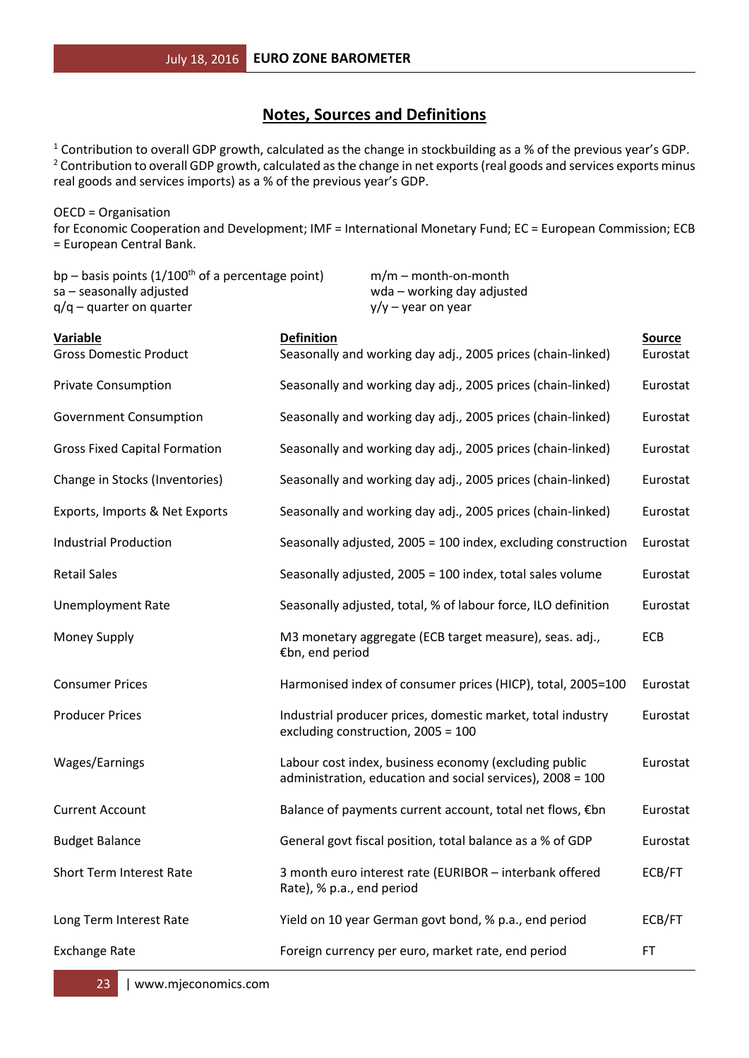### **Notes, Sources and Definitions**

<sup>1</sup> Contribution to overall GDP growth, calculated as the change in stockbuilding as a % of the previous year's GDP. <sup>2</sup> Contribution to overall GDP growth, calculated as the change in net exports (real goods and services exports minus real goods and services imports) as a % of the previous year's GDP.

OECD = Organisation for Economic Cooperation and Development; IMF = International Monetary Fund; EC = European Commission; ECB = European Central Bank.

| bp – basis points $(1/100th$ of a percentage point)<br>sa - seasonally adjusted<br>$q/q$ – quarter on quarter |                           | $m/m$ – month-on-month<br>wda - working day adjusted<br>$y/y - year$ on year |                                                                                                                     |                           |
|---------------------------------------------------------------------------------------------------------------|---------------------------|------------------------------------------------------------------------------|---------------------------------------------------------------------------------------------------------------------|---------------------------|
| <b>Variable</b><br><b>Gross Domestic Product</b>                                                              | <b>Definition</b>         |                                                                              | Seasonally and working day adj., 2005 prices (chain-linked)                                                         | <b>Source</b><br>Eurostat |
| <b>Private Consumption</b>                                                                                    |                           |                                                                              | Seasonally and working day adj., 2005 prices (chain-linked)                                                         | Eurostat                  |
| <b>Government Consumption</b>                                                                                 |                           |                                                                              | Seasonally and working day adj., 2005 prices (chain-linked)                                                         | Eurostat                  |
| <b>Gross Fixed Capital Formation</b>                                                                          |                           |                                                                              | Seasonally and working day adj., 2005 prices (chain-linked)                                                         | Eurostat                  |
| Change in Stocks (Inventories)                                                                                |                           |                                                                              | Seasonally and working day adj., 2005 prices (chain-linked)                                                         | Eurostat                  |
| Exports, Imports & Net Exports                                                                                |                           |                                                                              | Seasonally and working day adj., 2005 prices (chain-linked)                                                         | Eurostat                  |
| <b>Industrial Production</b>                                                                                  |                           |                                                                              | Seasonally adjusted, 2005 = 100 index, excluding construction                                                       | Eurostat                  |
| <b>Retail Sales</b>                                                                                           |                           |                                                                              | Seasonally adjusted, 2005 = 100 index, total sales volume                                                           | Eurostat                  |
| <b>Unemployment Rate</b>                                                                                      |                           |                                                                              | Seasonally adjusted, total, % of labour force, ILO definition                                                       | Eurostat                  |
| Money Supply                                                                                                  | €bn, end period           |                                                                              | M3 monetary aggregate (ECB target measure), seas. adj.,                                                             | ECB                       |
| <b>Consumer Prices</b>                                                                                        |                           |                                                                              | Harmonised index of consumer prices (HICP), total, 2005=100                                                         | Eurostat                  |
| <b>Producer Prices</b>                                                                                        |                           | excluding construction, 2005 = 100                                           | Industrial producer prices, domestic market, total industry                                                         | Eurostat                  |
| Wages/Earnings                                                                                                |                           |                                                                              | Labour cost index, business economy (excluding public<br>administration, education and social services), 2008 = 100 | Eurostat                  |
| <b>Current Account</b>                                                                                        |                           |                                                                              | Balance of payments current account, total net flows, €bn                                                           | Eurostat                  |
| <b>Budget Balance</b>                                                                                         |                           |                                                                              | General govt fiscal position, total balance as a % of GDP                                                           | Eurostat                  |
| <b>Short Term Interest Rate</b>                                                                               | Rate), % p.a., end period |                                                                              | 3 month euro interest rate (EURIBOR - interbank offered                                                             | ECB/FT                    |
| Long Term Interest Rate                                                                                       |                           |                                                                              | Yield on 10 year German govt bond, % p.a., end period                                                               | ECB/FT                    |
| <b>Exchange Rate</b>                                                                                          |                           |                                                                              | Foreign currency per euro, market rate, end period                                                                  | FT                        |